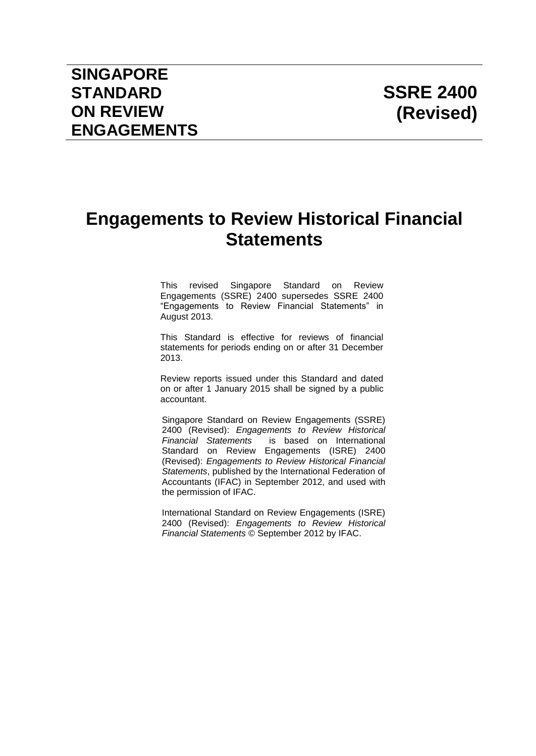# **Engagements to Review Historical Financial Statements**

This revised Singapore Standard on Review Engagements (SSRE) 2400 supersedes SSRE 2400 "Engagements to Review Financial Statements" in August 2013.

This Standard is effective for reviews of financial statements for periods ending on or after 31 December 2013.

Review reports issued under this Standard and dated on or after 1 January 2015 shall be signed by a public accountant.

Singapore Standard on Review Engagements (SSRE) 2400 (Revised): *Engagements to Review Historical Financial Statements* is based on International Standard on Review Engagements (ISRE) 2400 (Revised): *Engagements to Review Historical Financial Statements*, published by the International Federation of Accountants (IFAC) in September 2012, and used with the permission of IFAC.

International Standard on Review Engagements (ISRE) 2400 (Revised): *Engagements to Review Historical Financial Statements* © September 2012 by IFAC.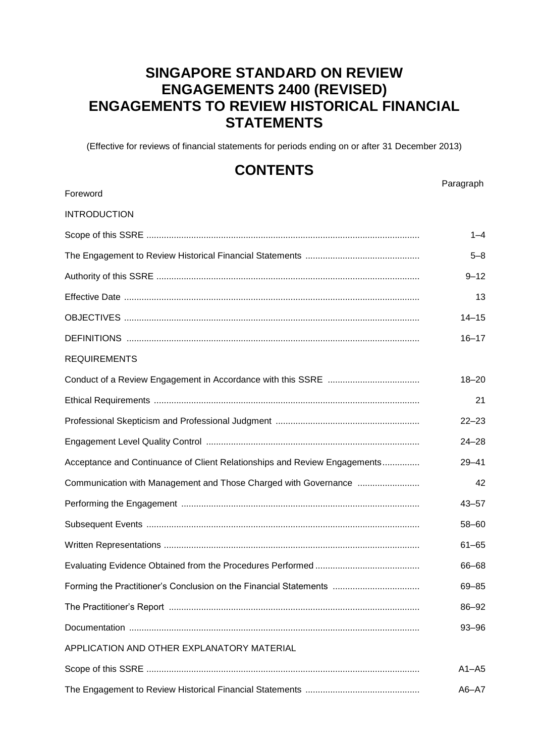# **SINGAPORE STANDARD ON REVIEW ENGAGEMENTS 2400 (REVISED) ENGAGEMENTS TO REVIEW HISTORICAL FINANCIAL STATEMENTS**

(Effective for reviews of financial statements for periods ending on or after 31 December 2013)

# **CONTENTS**

Paragraph Foreword INTRODUCTION Scope of this SSRE .............................................................................................................. 1–4 The Engagement to Review Historical Financial Statements .............................................. 5–8 Authority of this SSRE .......................................................................................................... 9–12 Effective Date ....................................................................................................................... 13 OBJECTIVES ....................................................................................................................... 14–15 DEFINITIONS ...................................................................................................................... 16–17 REQUIREMENTS Conduct of a Review Engagement in Accordance with this SSRE ..................................... 18–20 Ethical Requirements ........................................................................................................... 21 Professional Skepticism and Professional Judgment .......................................................... 22–23 Engagement Level Quality Control ...................................................................................... 24–28 Acceptance and Continuance of Client Relationships and Review Engagements............... 29–41 Communication with Management and Those Charged with Governance ......................... 42 Performing the Engagement ................................................................................................ 43–57 Subsequent Events .............................................................................................................. 58–60 Written Representations ....................................................................................................... 61–65 Evaluating Evidence Obtained from the Procedures Performed .......................................... 66–68 Forming the Practitioner's Conclusion on the Financial Statements ................................... 69–85 The Practitioner's Report ..................................................................................................... 86–92 Documentation ..................................................................................................................... 93–96 APPLICATION AND OTHER EXPLANATORY MATERIAL Scope of this SSRE .............................................................................................................. A1–A5 The Engagement to Review Historical Financial Statements .............................................. A6–A7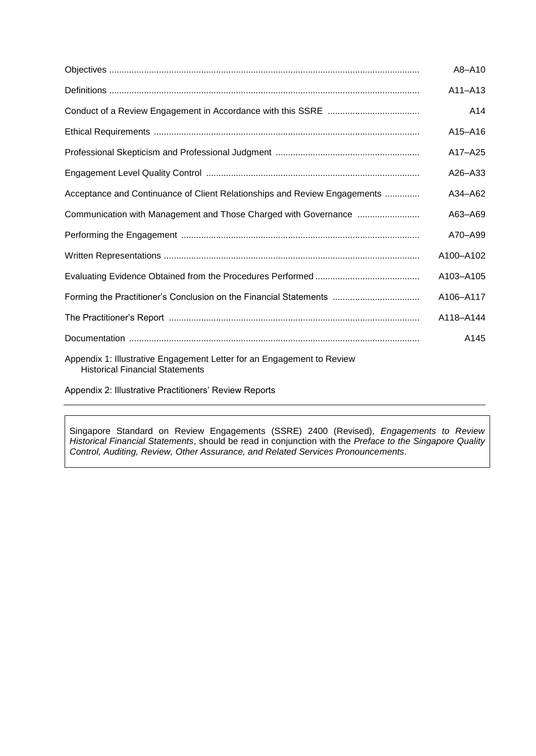|                                                                                                                  | A8-A10      |
|------------------------------------------------------------------------------------------------------------------|-------------|
|                                                                                                                  | A11-A13     |
|                                                                                                                  | A14         |
|                                                                                                                  | A15-A16     |
|                                                                                                                  | A17-A25     |
|                                                                                                                  | $A26 - A33$ |
| Acceptance and Continuance of Client Relationships and Review Engagements                                        | A34-A62     |
| Communication with Management and Those Charged with Governance                                                  | A63-A69     |
|                                                                                                                  | A70-A99     |
|                                                                                                                  | A100-A102   |
|                                                                                                                  | A103-A105   |
| Forming the Practitioner's Conclusion on the Financial Statements                                                | A106-A117   |
|                                                                                                                  | A118-A144   |
|                                                                                                                  | A145        |
| Appendix 1: Illustrative Engagement Letter for an Engagement to Review<br><b>Historical Financial Statements</b> |             |

Appendix 2: Illustrative Practitioners' Review Reports

Singapore Standard on Review Engagements (SSRE) 2400 (Revised), *Engagements to Review Historical Financial Statements*, should be read in conjunction with the *Preface to the Singapore Quality Control, Auditing, Review, Other Assurance, and Related Services Pronouncements*.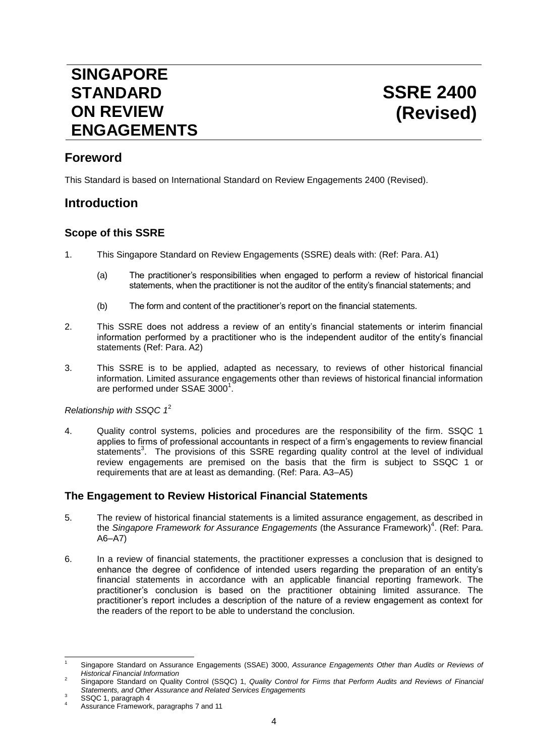# **SINGAPORE STANDARD ON REVIEW ENGAGEMENTS**

# **Foreword**

This Standard is based on International Standard on Review Engagements 2400 (Revised).

# **Introduction**

# **Scope of this SSRE**

- 1. This Singapore Standard on Review Engagements (SSRE) deals with: (Ref: Para. A1)
	- (a) The practitioner's responsibilities when engaged to perform a review of historical financial statements, when the practitioner is not the auditor of the entity's financial statements; and
	- (b) The form and content of the practitioner's report on the financial statements.
- 2. This SSRE does not address a review of an entity's financial statements or interim financial information performed by a practitioner who is the independent auditor of the entity's financial statements (Ref: Para. A2)
- 3. This SSRE is to be applied, adapted as necessary, to reviews of other historical financial information. Limited assurance engagements other than reviews of historical financial information are performed under SSAE 3000<sup>1</sup>.

*Relationship with SSQC 1* 2

4. Quality control systems, policies and procedures are the responsibility of the firm. SSQC 1 applies to firms of professional accountants in respect of a firm's engagements to review financial statements<sup>3</sup>. The provisions of this SSRE regarding quality control at the level of individual review engagements are premised on the basis that the firm is subject to SSQC 1 or requirements that are at least as demanding. (Ref: Para. A3–A5)

# **The Engagement to Review Historical Financial Statements**

- 5. The review of historical financial statements is a limited assurance engagement, as described in the Singapore Framework for Assurance Engagements (the Assurance Framework)<sup>4</sup>. (Ref: Para. A6–A7)
- 6. In a review of financial statements, the practitioner expresses a conclusion that is designed to enhance the degree of confidence of intended users regarding the preparation of an entity's financial statements in accordance with an applicable financial reporting framework. The practitioner's conclusion is based on the practitioner obtaining limited assurance. The practitioner's report includes a description of the nature of a review engagement as context for the readers of the report to be able to understand the conclusion.

<sup>1</sup> <sup>1</sup> Singapore Standard on Assurance Engagements (SSAE) 3000, *Assurance Engagements Other than Audits or Reviews of Historical Financial Information*

<sup>2</sup> Singapore Standard on Quality Control (SSQC) 1, *Quality Control for Firms that Perform Audits and Reviews of Financial Statements, and Other Assurance and Related Services Engagements*

<sup>3</sup> SSQC 1, paragraph 4

<sup>4</sup> Assurance Framework, paragraphs 7 and 11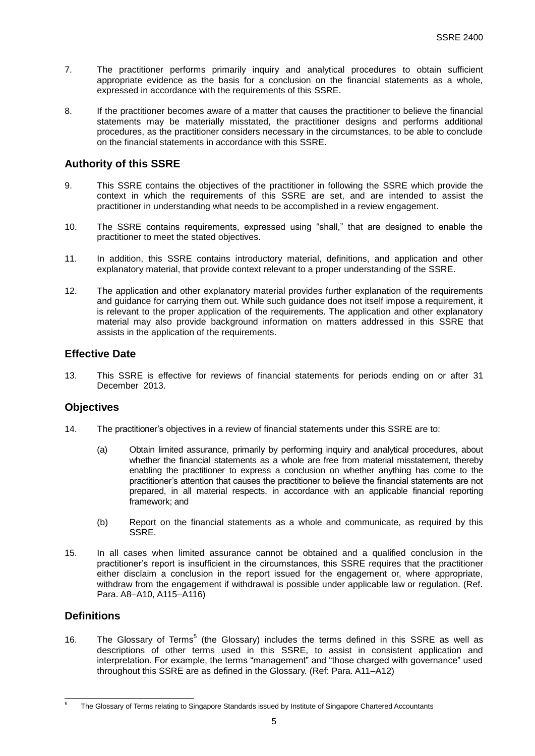- 7. The practitioner performs primarily inquiry and analytical procedures to obtain sufficient appropriate evidence as the basis for a conclusion on the financial statements as a whole, expressed in accordance with the requirements of this SSRE.
- 8. If the practitioner becomes aware of a matter that causes the practitioner to believe the financial statements may be materially misstated, the practitioner designs and performs additional procedures, as the practitioner considers necessary in the circumstances, to be able to conclude on the financial statements in accordance with this SSRE.

# **Authority of this SSRE**

- 9. This SSRE contains the objectives of the practitioner in following the SSRE which provide the context in which the requirements of this SSRE are set, and are intended to assist the practitioner in understanding what needs to be accomplished in a review engagement.
- 10. The SSRE contains requirements, expressed using "shall," that are designed to enable the practitioner to meet the stated objectives.
- 11. In addition, this SSRE contains introductory material, definitions, and application and other explanatory material, that provide context relevant to a proper understanding of the SSRE.
- 12. The application and other explanatory material provides further explanation of the requirements and guidance for carrying them out. While such guidance does not itself impose a requirement, it is relevant to the proper application of the requirements. The application and other explanatory material may also provide background information on matters addressed in this SSRE that assists in the application of the requirements.

# **Effective Date**

13. This SSRE is effective for reviews of financial statements for periods ending on or after 31 December 2013.

# **Objectives**

- 14. The practitioner's objectives in a review of financial statements under this SSRE are to:
	- (a) Obtain limited assurance, primarily by performing inquiry and analytical procedures, about whether the financial statements as a whole are free from material misstatement, thereby enabling the practitioner to express a conclusion on whether anything has come to the practitioner's attention that causes the practitioner to believe the financial statements are not prepared, in all material respects, in accordance with an applicable financial reporting framework; and
	- (b) Report on the financial statements as a whole and communicate, as required by this SSRE.
- 15. In all cases when limited assurance cannot be obtained and a qualified conclusion in the practitioner's report is insufficient in the circumstances, this SSRE requires that the practitioner either disclaim a conclusion in the report issued for the engagement or, where appropriate, withdraw from the engagement if withdrawal is possible under applicable law or regulation. (Ref. Para. A8–A10, A115–A116)

# **Definitions**

16. The Glossary of Terms<sup>5</sup> (the Glossary) includes the terms defined in this SSRE as well as descriptions of other terms used in this SSRE, to assist in consistent application and interpretation. For example, the terms "management" and "those charged with governance" used throughout this SSRE are as defined in the Glossary. (Ref: Para. A11–A12)

<sup>1</sup> 5 The Glossary of Terms relating to Singapore Standards issued by Institute of Singapore Chartered Accountants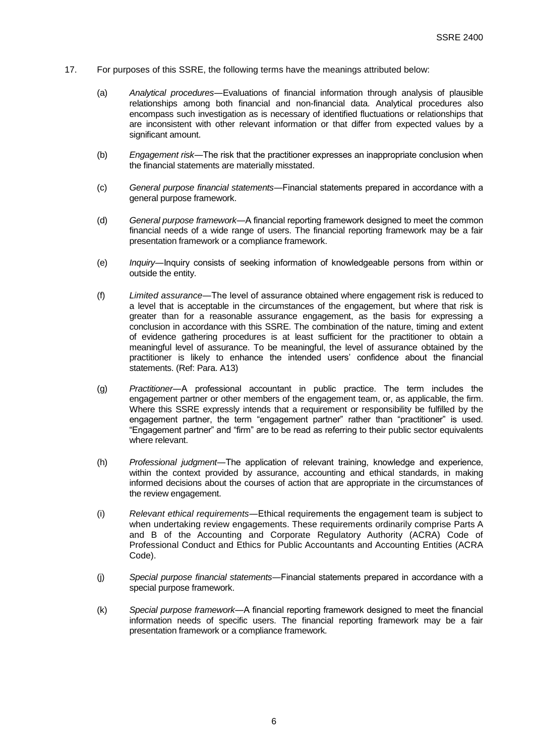- 17. For purposes of this SSRE, the following terms have the meanings attributed below:
	- (a) *Analytical procedures*―Evaluations of financial information through analysis of plausible relationships among both financial and non-financial data. Analytical procedures also encompass such investigation as is necessary of identified fluctuations or relationships that are inconsistent with other relevant information or that differ from expected values by a significant amount.
	- (b) *Engagement risk*―The risk that the practitioner expresses an inappropriate conclusion when the financial statements are materially misstated.
	- (c) *General purpose financial statements*―Financial statements prepared in accordance with a general purpose framework.
	- (d) *General purpose framework*―A financial reporting framework designed to meet the common financial needs of a wide range of users. The financial reporting framework may be a fair presentation framework or a compliance framework.
	- (e) *Inquiry*―Inquiry consists of seeking information of knowledgeable persons from within or outside the entity.
	- (f) *Limited assurance*―The level of assurance obtained where engagement risk is reduced to a level that is acceptable in the circumstances of the engagement, but where that risk is greater than for a reasonable assurance engagement, as the basis for expressing a conclusion in accordance with this SSRE. The combination of the nature, timing and extent of evidence gathering procedures is at least sufficient for the practitioner to obtain a meaningful level of assurance. To be meaningful, the level of assurance obtained by the practitioner is likely to enhance the intended users' confidence about the financial statements. (Ref: Para. A13)
	- (g) *Practitioner*―A professional accountant in public practice. The term includes the engagement partner or other members of the engagement team, or, as applicable, the firm. Where this SSRE expressly intends that a requirement or responsibility be fulfilled by the engagement partner, the term "engagement partner" rather than "practitioner" is used. "Engagement partner" and "firm" are to be read as referring to their public sector equivalents where relevant.
	- (h) *Professional judgment*―The application of relevant training, knowledge and experience, within the context provided by assurance, accounting and ethical standards, in making informed decisions about the courses of action that are appropriate in the circumstances of the review engagement.
	- (i) *Relevant ethical requirements*―Ethical requirements the engagement team is subject to when undertaking review engagements. These requirements ordinarily comprise Parts A and B of the Accounting and Corporate Regulatory Authority (ACRA) Code of Professional Conduct and Ethics for Public Accountants and Accounting Entities (ACRA Code).
	- (j) *Special purpose financial statements*―Financial statements prepared in accordance with a special purpose framework.
	- (k) *Special purpose framework*―A financial reporting framework designed to meet the financial information needs of specific users. The financial reporting framework may be a fair presentation framework or a compliance framework*.*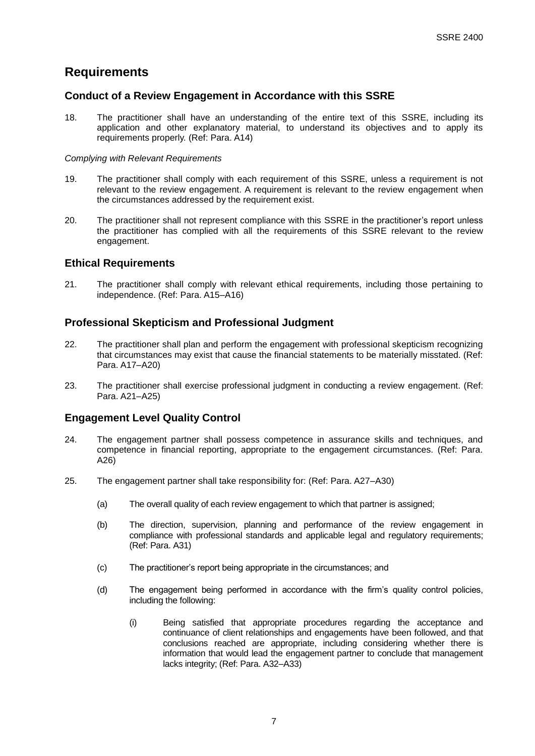# **Requirements**

# **Conduct of a Review Engagement in Accordance with this SSRE**

18. The practitioner shall have an understanding of the entire text of this SSRE, including its application and other explanatory material, to understand its objectives and to apply its requirements properly. (Ref: Para. A14)

#### *Complying with Relevant Requirements*

- 19. The practitioner shall comply with each requirement of this SSRE, unless a requirement is not relevant to the review engagement. A requirement is relevant to the review engagement when the circumstances addressed by the requirement exist.
- 20. The practitioner shall not represent compliance with this SSRE in the practitioner's report unless the practitioner has complied with all the requirements of this SSRE relevant to the review engagement.

# **Ethical Requirements**

21. The practitioner shall comply with relevant ethical requirements, including those pertaining to independence. (Ref: Para. A15–A16)

# **Professional Skepticism and Professional Judgment**

- 22. The practitioner shall plan and perform the engagement with professional skepticism recognizing that circumstances may exist that cause the financial statements to be materially misstated. (Ref: Para. A17–A20)
- 23. The practitioner shall exercise professional judgment in conducting a review engagement. (Ref: Para. A21–A25)

# **Engagement Level Quality Control**

- 24. The engagement partner shall possess competence in assurance skills and techniques, and competence in financial reporting, appropriate to the engagement circumstances. (Ref: Para. A26)
- 25. The engagement partner shall take responsibility for: (Ref: Para. A27–A30)
	- (a) The overall quality of each review engagement to which that partner is assigned;
	- (b) The direction, supervision, planning and performance of the review engagement in compliance with professional standards and applicable legal and regulatory requirements; (Ref: Para. A31)
	- (c) The practitioner's report being appropriate in the circumstances; and
	- (d) The engagement being performed in accordance with the firm's quality control policies, including the following:
		- (i) Being satisfied that appropriate procedures regarding the acceptance and continuance of client relationships and engagements have been followed, and that conclusions reached are appropriate, including considering whether there is information that would lead the engagement partner to conclude that management lacks integrity; (Ref: Para. A32–A33)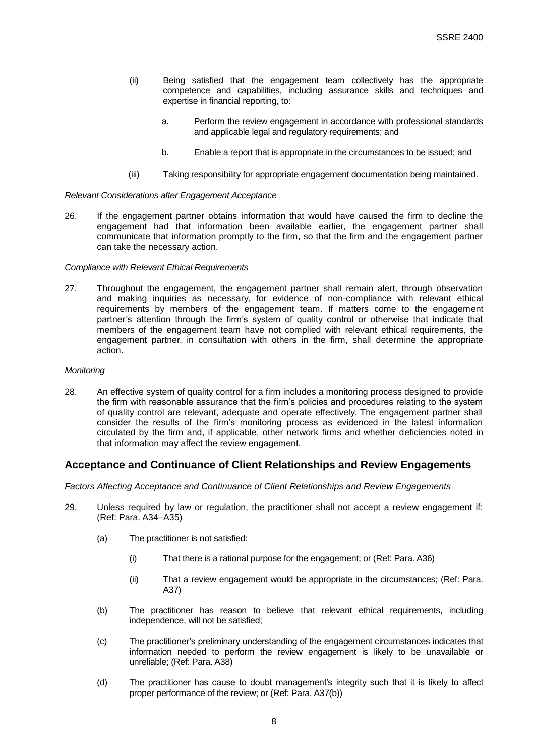- (ii) Being satisfied that the engagement team collectively has the appropriate competence and capabilities, including assurance skills and techniques and expertise in financial reporting, to:
	- a. Perform the review engagement in accordance with professional standards and applicable legal and regulatory requirements; and
	- b. Enable a report that is appropriate in the circumstances to be issued; and
- (iii) Taking responsibility for appropriate engagement documentation being maintained.

#### *Relevant Considerations after Engagement Acceptance*

26. If the engagement partner obtains information that would have caused the firm to decline the engagement had that information been available earlier, the engagement partner shall communicate that information promptly to the firm, so that the firm and the engagement partner can take the necessary action.

#### *Compliance with Relevant Ethical Requirements*

27. Throughout the engagement, the engagement partner shall remain alert, through observation and making inquiries as necessary, for evidence of non-compliance with relevant ethical requirements by members of the engagement team. If matters come to the engagement partner's attention through the firm's system of quality control or otherwise that indicate that members of the engagement team have not complied with relevant ethical requirements, the engagement partner, in consultation with others in the firm, shall determine the appropriate action.

#### *Monitoring*

28. An effective system of quality control for a firm includes a monitoring process designed to provide the firm with reasonable assurance that the firm's policies and procedures relating to the system of quality control are relevant, adequate and operate effectively. The engagement partner shall consider the results of the firm's monitoring process as evidenced in the latest information circulated by the firm and, if applicable, other network firms and whether deficiencies noted in that information may affect the review engagement.

### **Acceptance and Continuance of Client Relationships and Review Engagements**

*Factors Affecting Acceptance and Continuance of Client Relationships and Review Engagements* 

- 29. Unless required by law or regulation, the practitioner shall not accept a review engagement if: (Ref: Para. A34–A35)
	- (a) The practitioner is not satisfied:
		- (i) That there is a rational purpose for the engagement; or (Ref: Para. A36)
		- (ii) That a review engagement would be appropriate in the circumstances; (Ref: Para. A37)
	- (b) The practitioner has reason to believe that relevant ethical requirements, including independence, will not be satisfied;
	- (c) The practitioner's preliminary understanding of the engagement circumstances indicates that information needed to perform the review engagement is likely to be unavailable or unreliable; (Ref: Para. A38)
	- (d) The practitioner has cause to doubt management's integrity such that it is likely to affect proper performance of the review; or (Ref: Para. A37(b))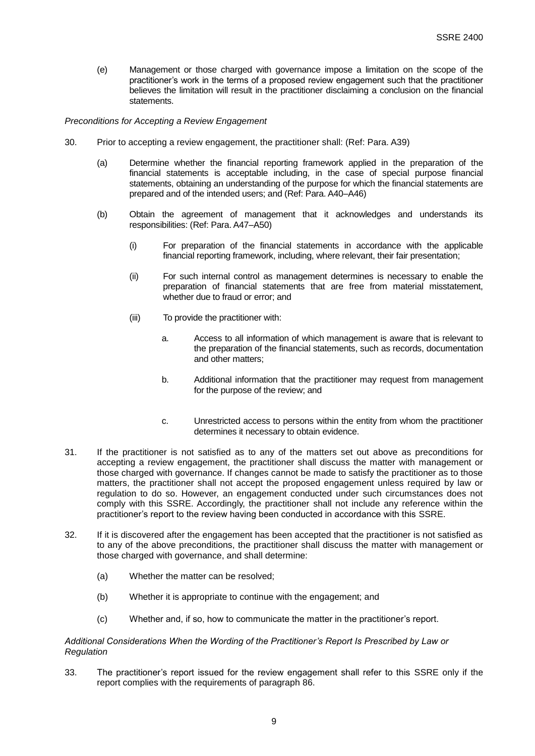(e) Management or those charged with governance impose a limitation on the scope of the practitioner's work in the terms of a proposed review engagement such that the practitioner believes the limitation will result in the practitioner disclaiming a conclusion on the financial statements.

#### *Preconditions for Accepting a Review Engagement*

- 30. Prior to accepting a review engagement, the practitioner shall: (Ref: Para. A39)
	- (a) Determine whether the financial reporting framework applied in the preparation of the financial statements is acceptable including, in the case of special purpose financial statements, obtaining an understanding of the purpose for which the financial statements are prepared and of the intended users; and (Ref: Para. A40–A46)
	- (b) Obtain the agreement of management that it acknowledges and understands its responsibilities: (Ref: Para. A47–A50)
		- (i) For preparation of the financial statements in accordance with the applicable financial reporting framework, including, where relevant, their fair presentation;
		- (ii) For such internal control as management determines is necessary to enable the preparation of financial statements that are free from material misstatement, whether due to fraud or error; and
		- (iii) To provide the practitioner with:
			- a. Access to all information of which management is aware that is relevant to the preparation of the financial statements, such as records, documentation and other matters;
			- b. Additional information that the practitioner may request from management for the purpose of the review; and
			- c. Unrestricted access to persons within the entity from whom the practitioner determines it necessary to obtain evidence.
- 31. If the practitioner is not satisfied as to any of the matters set out above as preconditions for accepting a review engagement, the practitioner shall discuss the matter with management or those charged with governance. If changes cannot be made to satisfy the practitioner as to those matters, the practitioner shall not accept the proposed engagement unless required by law or regulation to do so. However, an engagement conducted under such circumstances does not comply with this SSRE. Accordingly, the practitioner shall not include any reference within the practitioner's report to the review having been conducted in accordance with this SSRE.
- 32. If it is discovered after the engagement has been accepted that the practitioner is not satisfied as to any of the above preconditions, the practitioner shall discuss the matter with management or those charged with governance, and shall determine:
	- (a) Whether the matter can be resolved;
	- (b) Whether it is appropriate to continue with the engagement; and
	- (c) Whether and, if so, how to communicate the matter in the practitioner's report.

#### *Additional Considerations When the Wording of the Practitioner's Report Is Prescribed by Law or Regulation*

33. The practitioner's report issued for the review engagement shall refer to this SSRE only if the report complies with the requirements of paragraph 86.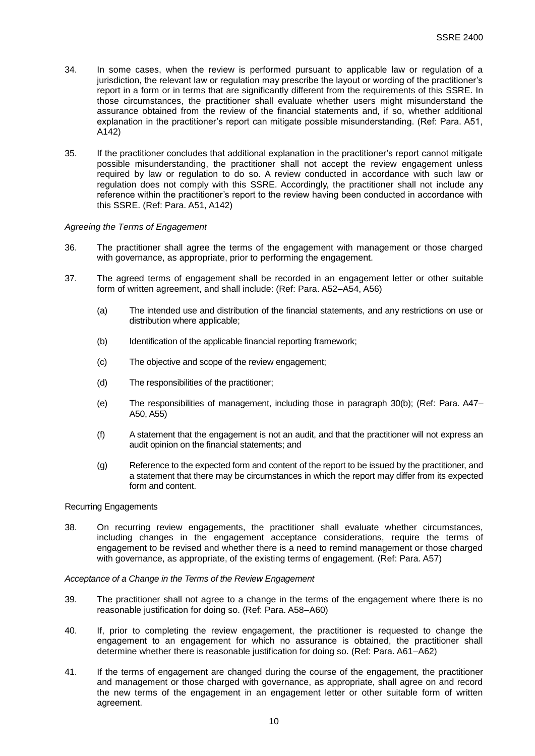- 34. In some cases, when the review is performed pursuant to applicable law or regulation of a jurisdiction, the relevant law or regulation may prescribe the layout or wording of the practitioner's report in a form or in terms that are significantly different from the requirements of this SSRE. In those circumstances, the practitioner shall evaluate whether users might misunderstand the assurance obtained from the review of the financial statements and, if so, whether additional explanation in the practitioner's report can mitigate possible misunderstanding. (Ref: Para. A51, A142)
- 35. If the practitioner concludes that additional explanation in the practitioner's report cannot mitigate possible misunderstanding, the practitioner shall not accept the review engagement unless required by law or regulation to do so. A review conducted in accordance with such law or regulation does not comply with this SSRE. Accordingly, the practitioner shall not include any reference within the practitioner's report to the review having been conducted in accordance with this SSRE. (Ref: Para. A51, A142)

#### *Agreeing the Terms of Engagement*

- 36. The practitioner shall agree the terms of the engagement with management or those charged with governance, as appropriate, prior to performing the engagement.
- 37. The agreed terms of engagement shall be recorded in an engagement letter or other suitable form of written agreement, and shall include: (Ref: Para. A52–A54, A56)
	- (a) The intended use and distribution of the financial statements, and any restrictions on use or distribution where applicable;
	- (b) Identification of the applicable financial reporting framework;
	- (c) The objective and scope of the review engagement;
	- (d) The responsibilities of the practitioner;
	- (e) The responsibilities of management, including those in paragraph 30(b); (Ref: Para. A47– A50, A55)
	- (f) A statement that the engagement is not an audit, and that the practitioner will not express an audit opinion on the financial statements; and
	- (g) Reference to the expected form and content of the report to be issued by the practitioner, and a statement that there may be circumstances in which the report may differ from its expected form and content.

#### Recurring Engagements

38. On recurring review engagements, the practitioner shall evaluate whether circumstances, including changes in the engagement acceptance considerations, require the terms of engagement to be revised and whether there is a need to remind management or those charged with governance, as appropriate, of the existing terms of engagement. (Ref: Para. A57)

#### *Acceptance of a Change in the Terms of the Review Engagement*

- 39. The practitioner shall not agree to a change in the terms of the engagement where there is no reasonable justification for doing so. (Ref: Para. A58–A60)
- 40. If, prior to completing the review engagement, the practitioner is requested to change the engagement to an engagement for which no assurance is obtained, the practitioner shall determine whether there is reasonable justification for doing so. (Ref: Para. A61–A62)
- 41. If the terms of engagement are changed during the course of the engagement, the practitioner and management or those charged with governance, as appropriate, shall agree on and record the new terms of the engagement in an engagement letter or other suitable form of written agreement.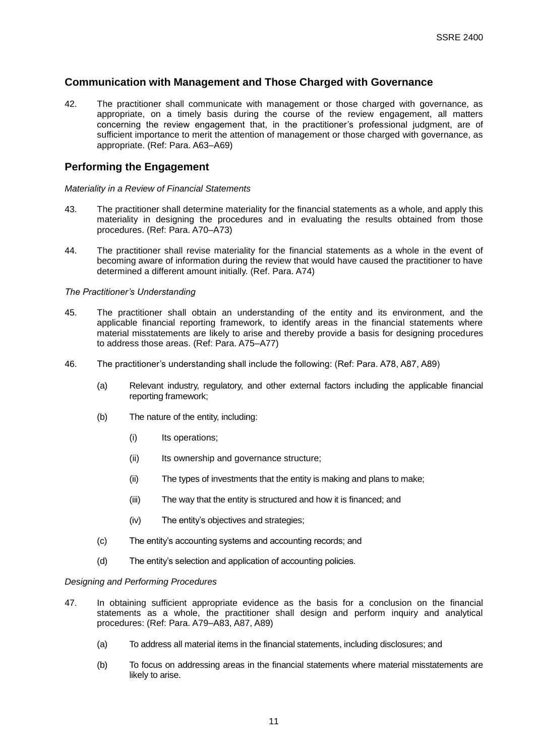# **Communication with Management and Those Charged with Governance**

42. The practitioner shall communicate with management or those charged with governance, as appropriate, on a timely basis during the course of the review engagement, all matters concerning the review engagement that, in the practitioner's professional judgment, are of sufficient importance to merit the attention of management or those charged with governance, as appropriate. (Ref: Para. A63–A69)

# **Performing the Engagement**

#### *Materiality in a Review of Financial Statements*

- 43. The practitioner shall determine materiality for the financial statements as a whole, and apply this materiality in designing the procedures and in evaluating the results obtained from those procedures. (Ref: Para. A70–A73)
- 44. The practitioner shall revise materiality for the financial statements as a whole in the event of becoming aware of information during the review that would have caused the practitioner to have determined a different amount initially. (Ref. Para. A74)

#### *The Practitioner's Understanding*

- 45. The practitioner shall obtain an understanding of the entity and its environment, and the applicable financial reporting framework, to identify areas in the financial statements where material misstatements are likely to arise and thereby provide a basis for designing procedures to address those areas. (Ref: Para. A75–A77)
- 46. The practitioner's understanding shall include the following: (Ref: Para. A78, A87, A89)
	- (a) Relevant industry, regulatory, and other external factors including the applicable financial reporting framework;
	- (b) The nature of the entity, including:
		- (i) Its operations;
		- (ii) Its ownership and governance structure;
		- (ii) The types of investments that the entity is making and plans to make;
		- (iii) The way that the entity is structured and how it is financed; and
		- (iv) The entity's objectives and strategies;
	- (c) The entity's accounting systems and accounting records; and
	- (d) The entity's selection and application of accounting policies.

#### *Designing and Performing Procedures*

- 47. In obtaining sufficient appropriate evidence as the basis for a conclusion on the financial statements as a whole, the practitioner shall design and perform inquiry and analytical procedures: (Ref: Para. A79–A83, A87, A89)
	- (a) To address all material items in the financial statements, including disclosures; and
	- (b) To focus on addressing areas in the financial statements where material misstatements are likely to arise.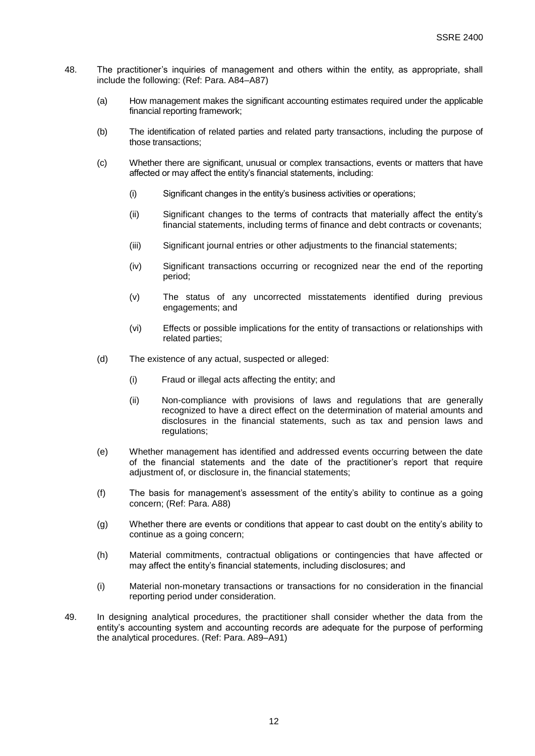- 48. The practitioner's inquiries of management and others within the entity, as appropriate, shall include the following: (Ref: Para. A84–A87)
	- (a) How management makes the significant accounting estimates required under the applicable financial reporting framework;
	- (b) The identification of related parties and related party transactions, including the purpose of those transactions;
	- (c) Whether there are significant, unusual or complex transactions, events or matters that have affected or may affect the entity's financial statements, including:
		- (i) Significant changes in the entity's business activities or operations;
		- (ii) Significant changes to the terms of contracts that materially affect the entity's financial statements, including terms of finance and debt contracts or covenants;
		- (iii) Significant journal entries or other adjustments to the financial statements;
		- (iv) Significant transactions occurring or recognized near the end of the reporting period;
		- (v) The status of any uncorrected misstatements identified during previous engagements; and
		- (vi) Effects or possible implications for the entity of transactions or relationships with related parties;
	- (d) The existence of any actual, suspected or alleged:
		- (i) Fraud or illegal acts affecting the entity; and
		- (ii) Non-compliance with provisions of laws and regulations that are generally recognized to have a direct effect on the determination of material amounts and disclosures in the financial statements, such as tax and pension laws and regulations:
	- (e) Whether management has identified and addressed events occurring between the date of the financial statements and the date of the practitioner's report that require adjustment of, or disclosure in, the financial statements;
	- (f) The basis for management's assessment of the entity's ability to continue as a going concern; (Ref: Para. A88)
	- (g) Whether there are events or conditions that appear to cast doubt on the entity's ability to continue as a going concern;
	- (h) Material commitments, contractual obligations or contingencies that have affected or may affect the entity's financial statements, including disclosures; and
	- (i) Material non-monetary transactions or transactions for no consideration in the financial reporting period under consideration.
- 49. In designing analytical procedures, the practitioner shall consider whether the data from the entity's accounting system and accounting records are adequate for the purpose of performing the analytical procedures. (Ref: Para. A89–A91)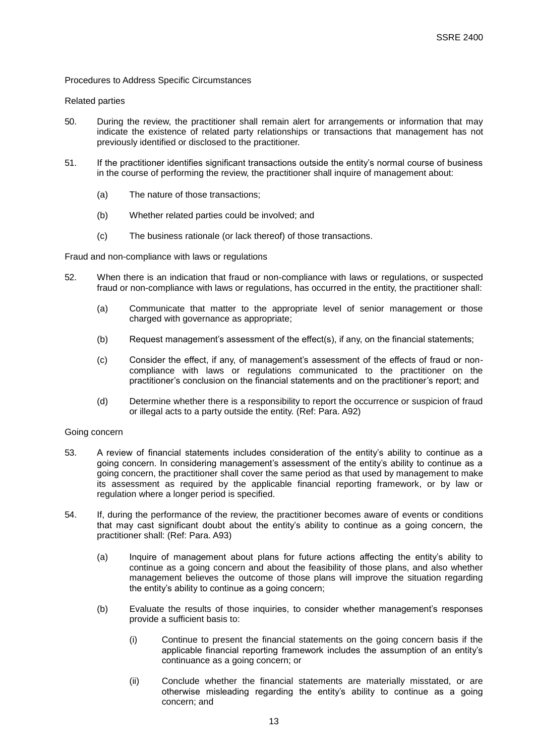#### Procedures to Address Specific Circumstances

#### Related parties

- 50. During the review, the practitioner shall remain alert for arrangements or information that may indicate the existence of related party relationships or transactions that management has not previously identified or disclosed to the practitioner.
- 51. If the practitioner identifies significant transactions outside the entity's normal course of business in the course of performing the review, the practitioner shall inquire of management about:
	- (a) The nature of those transactions;
	- (b) Whether related parties could be involved; and
	- (c) The business rationale (or lack thereof) of those transactions.

Fraud and non-compliance with laws or regulations

- 52. When there is an indication that fraud or non-compliance with laws or regulations, or suspected fraud or non-compliance with laws or regulations, has occurred in the entity, the practitioner shall:
	- (a) Communicate that matter to the appropriate level of senior management or those charged with governance as appropriate;
	- (b) Request management's assessment of the effect(s), if any, on the financial statements;
	- (c) Consider the effect, if any, of management's assessment of the effects of fraud or noncompliance with laws or regulations communicated to the practitioner on the practitioner's conclusion on the financial statements and on the practitioner's report; and
	- (d) Determine whether there is a responsibility to report the occurrence or suspicion of fraud or illegal acts to a party outside the entity. (Ref: Para. A92)

#### Going concern

- 53. A review of financial statements includes consideration of the entity's ability to continue as a going concern. In considering management's assessment of the entity's ability to continue as a going concern, the practitioner shall cover the same period as that used by management to make its assessment as required by the applicable financial reporting framework, or by law or regulation where a longer period is specified.
- 54. If, during the performance of the review, the practitioner becomes aware of events or conditions that may cast significant doubt about the entity's ability to continue as a going concern, the practitioner shall: (Ref: Para. A93)
	- (a) Inquire of management about plans for future actions affecting the entity's ability to continue as a going concern and about the feasibility of those plans, and also whether management believes the outcome of those plans will improve the situation regarding the entity's ability to continue as a going concern;
	- (b) Evaluate the results of those inquiries, to consider whether management's responses provide a sufficient basis to:
		- (i) Continue to present the financial statements on the going concern basis if the applicable financial reporting framework includes the assumption of an entity's continuance as a going concern; or
		- (ii) Conclude whether the financial statements are materially misstated, or are otherwise misleading regarding the entity's ability to continue as a going concern; and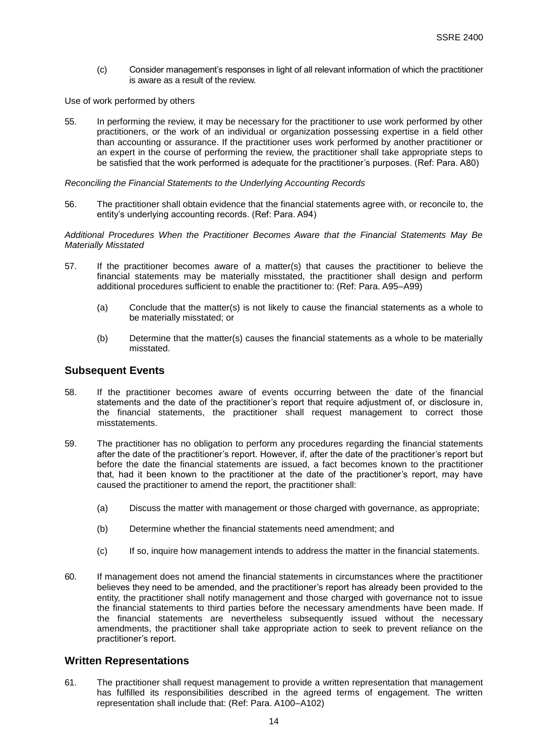(c) Consider management's responses in light of all relevant information of which the practitioner is aware as a result of the review.

Use of work performed by others

55. In performing the review, it may be necessary for the practitioner to use work performed by other practitioners, or the work of an individual or organization possessing expertise in a field other than accounting or assurance. If the practitioner uses work performed by another practitioner or an expert in the course of performing the review, the practitioner shall take appropriate steps to be satisfied that the work performed is adequate for the practitioner's purposes. (Ref: Para. A80)

#### *Reconciling the Financial Statements to the Underlying Accounting Records*

56. The practitioner shall obtain evidence that the financial statements agree with, or reconcile to, the entity's underlying accounting records. (Ref: Para. A94)

*Additional Procedures When the Practitioner Becomes Aware that the Financial Statements May Be Materially Misstated*

- 57. If the practitioner becomes aware of a matter(s) that causes the practitioner to believe the financial statements may be materially misstated, the practitioner shall design and perform additional procedures sufficient to enable the practitioner to: (Ref: Para. A95–A99)
	- (a) Conclude that the matter(s) is not likely to cause the financial statements as a whole to be materially misstated; or
	- (b) Determine that the matter(s) causes the financial statements as a whole to be materially misstated.

### **Subsequent Events**

- 58. If the practitioner becomes aware of events occurring between the date of the financial statements and the date of the practitioner's report that require adjustment of, or disclosure in, the financial statements, the practitioner shall request management to correct those misstatements.
- 59. The practitioner has no obligation to perform any procedures regarding the financial statements after the date of the practitioner's report. However, if, after the date of the practitioner's report but before the date the financial statements are issued, a fact becomes known to the practitioner that, had it been known to the practitioner at the date of the practitioner's report, may have caused the practitioner to amend the report, the practitioner shall:
	- (a) Discuss the matter with management or those charged with governance, as appropriate;
	- (b) Determine whether the financial statements need amendment; and
	- (c) If so, inquire how management intends to address the matter in the financial statements.
- 60. If management does not amend the financial statements in circumstances where the practitioner believes they need to be amended, and the practitioner's report has already been provided to the entity, the practitioner shall notify management and those charged with governance not to issue the financial statements to third parties before the necessary amendments have been made. If the financial statements are nevertheless subsequently issued without the necessary amendments, the practitioner shall take appropriate action to seek to prevent reliance on the practitioner's report.

### **Written Representations**

61. The practitioner shall request management to provide a written representation that management has fulfilled its responsibilities described in the agreed terms of engagement. The written representation shall include that: (Ref: Para. A100–A102)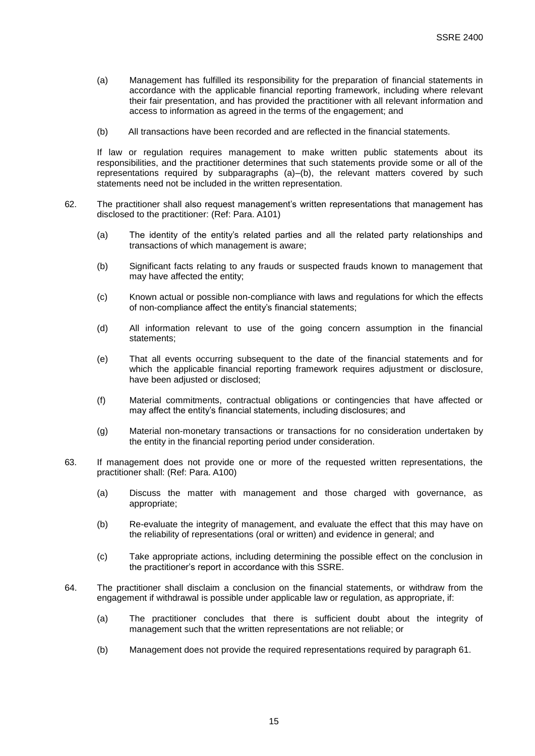- (a) Management has fulfilled its responsibility for the preparation of financial statements in accordance with the applicable financial reporting framework, including where relevant their fair presentation, and has provided the practitioner with all relevant information and access to information as agreed in the terms of the engagement; and
- (b) All transactions have been recorded and are reflected in the financial statements.

If law or regulation requires management to make written public statements about its responsibilities, and the practitioner determines that such statements provide some or all of the representations required by subparagraphs (a)–(b), the relevant matters covered by such statements need not be included in the written representation.

- 62. The practitioner shall also request management's written representations that management has disclosed to the practitioner: (Ref: Para. A101)
	- (a) The identity of the entity's related parties and all the related party relationships and transactions of which management is aware;
	- (b) Significant facts relating to any frauds or suspected frauds known to management that may have affected the entity;
	- (c) Known actual or possible non-compliance with laws and regulations for which the effects of non-compliance affect the entity's financial statements;
	- (d) All information relevant to use of the going concern assumption in the financial statements;
	- (e) That all events occurring subsequent to the date of the financial statements and for which the applicable financial reporting framework requires adjustment or disclosure, have been adjusted or disclosed;
	- (f) Material commitments, contractual obligations or contingencies that have affected or may affect the entity's financial statements, including disclosures; and
	- (g) Material non-monetary transactions or transactions for no consideration undertaken by the entity in the financial reporting period under consideration.
- 63. If management does not provide one or more of the requested written representations, the practitioner shall: (Ref: Para. A100)
	- (a) Discuss the matter with management and those charged with governance, as appropriate;
	- (b) Re-evaluate the integrity of management, and evaluate the effect that this may have on the reliability of representations (oral or written) and evidence in general; and
	- (c) Take appropriate actions, including determining the possible effect on the conclusion in the practitioner's report in accordance with this SSRE.
- 64. The practitioner shall disclaim a conclusion on the financial statements, or withdraw from the engagement if withdrawal is possible under applicable law or regulation, as appropriate, if:
	- (a) The practitioner concludes that there is sufficient doubt about the integrity of management such that the written representations are not reliable; or
	- (b) Management does not provide the required representations required by paragraph 61.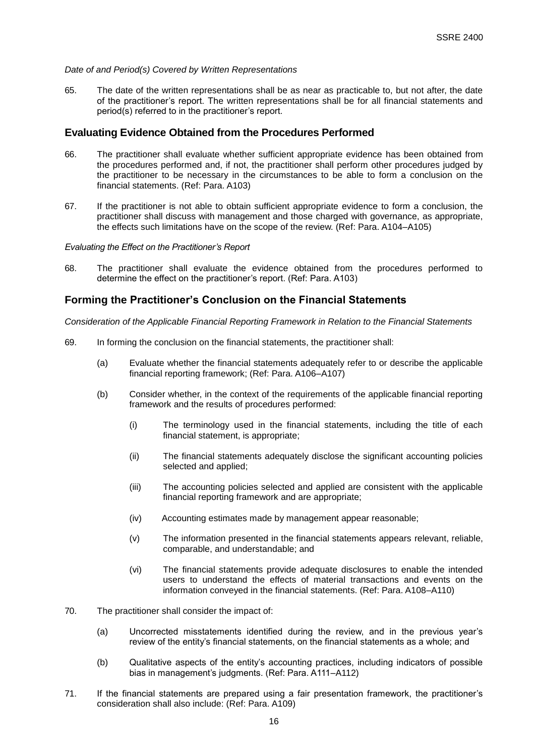#### *Date of and Period(s) Covered by Written Representations*

65. The date of the written representations shall be as near as practicable to, but not after, the date of the practitioner's report. The written representations shall be for all financial statements and period(s) referred to in the practitioner's report.

# **Evaluating Evidence Obtained from the Procedures Performed**

- 66. The practitioner shall evaluate whether sufficient appropriate evidence has been obtained from the procedures performed and, if not, the practitioner shall perform other procedures judged by the practitioner to be necessary in the circumstances to be able to form a conclusion on the financial statements. (Ref: Para. A103)
- 67. If the practitioner is not able to obtain sufficient appropriate evidence to form a conclusion, the practitioner shall discuss with management and those charged with governance, as appropriate, the effects such limitations have on the scope of the review. (Ref: Para. A104–A105)

#### *Evaluating the Effect on the Practitioner's Report*

68. The practitioner shall evaluate the evidence obtained from the procedures performed to determine the effect on the practitioner's report. (Ref: Para. A103)

# **Forming the Practitioner's Conclusion on the Financial Statements**

*Consideration of the Applicable Financial Reporting Framework in Relation to the Financial Statements*

- 69. In forming the conclusion on the financial statements, the practitioner shall:
	- (a) Evaluate whether the financial statements adequately refer to or describe the applicable financial reporting framework; (Ref: Para. A106–A107)
	- (b) Consider whether, in the context of the requirements of the applicable financial reporting framework and the results of procedures performed:
		- (i) The terminology used in the financial statements, including the title of each financial statement, is appropriate;
		- (ii) The financial statements adequately disclose the significant accounting policies selected and applied;
		- (iii) The accounting policies selected and applied are consistent with the applicable financial reporting framework and are appropriate;
		- (iv) Accounting estimates made by management appear reasonable;
		- (v) The information presented in the financial statements appears relevant, reliable, comparable, and understandable; and
		- (vi) The financial statements provide adequate disclosures to enable the intended users to understand the effects of material transactions and events on the information conveyed in the financial statements. (Ref: Para. A108–A110)
- 70. The practitioner shall consider the impact of:
	- (a) Uncorrected misstatements identified during the review, and in the previous year's review of the entity's financial statements, on the financial statements as a whole; and
	- (b) Qualitative aspects of the entity's accounting practices, including indicators of possible bias in management's judgments. (Ref: Para. A111–A112)
- 71. If the financial statements are prepared using a fair presentation framework, the practitioner's consideration shall also include: (Ref: Para. A109)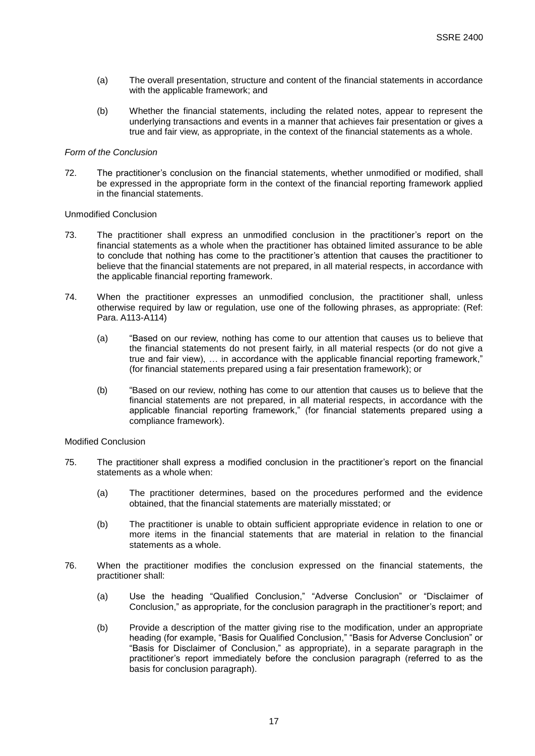- (a) The overall presentation, structure and content of the financial statements in accordance with the applicable framework; and
- (b) Whether the financial statements, including the related notes, appear to represent the underlying transactions and events in a manner that achieves fair presentation or gives a true and fair view, as appropriate, in the context of the financial statements as a whole.

#### *Form of the Conclusion*

72. The practitioner's conclusion on the financial statements, whether unmodified or modified, shall be expressed in the appropriate form in the context of the financial reporting framework applied in the financial statements.

#### Unmodified Conclusion

- 73. The practitioner shall express an unmodified conclusion in the practitioner's report on the financial statements as a whole when the practitioner has obtained limited assurance to be able to conclude that nothing has come to the practitioner's attention that causes the practitioner to believe that the financial statements are not prepared, in all material respects, in accordance with the applicable financial reporting framework.
- 74. When the practitioner expresses an unmodified conclusion, the practitioner shall, unless otherwise required by law or regulation, use one of the following phrases, as appropriate: (Ref: Para. A113-A114)
	- (a) "Based on our review, nothing has come to our attention that causes us to believe that the financial statements do not present fairly, in all material respects (or do not give a true and fair view), … in accordance with the applicable financial reporting framework," (for financial statements prepared using a fair presentation framework); or
	- (b) "Based on our review, nothing has come to our attention that causes us to believe that the financial statements are not prepared, in all material respects, in accordance with the applicable financial reporting framework," (for financial statements prepared using a compliance framework).

#### Modified Conclusion

- 75. The practitioner shall express a modified conclusion in the practitioner's report on the financial statements as a whole when:
	- (a) The practitioner determines, based on the procedures performed and the evidence obtained, that the financial statements are materially misstated; or
	- (b) The practitioner is unable to obtain sufficient appropriate evidence in relation to one or more items in the financial statements that are material in relation to the financial statements as a whole.
- 76. When the practitioner modifies the conclusion expressed on the financial statements, the practitioner shall:
	- (a) Use the heading "Qualified Conclusion," "Adverse Conclusion" or "Disclaimer of Conclusion," as appropriate, for the conclusion paragraph in the practitioner's report; and
	- (b) Provide a description of the matter giving rise to the modification, under an appropriate heading (for example, "Basis for Qualified Conclusion," "Basis for Adverse Conclusion" or "Basis for Disclaimer of Conclusion," as appropriate), in a separate paragraph in the practitioner's report immediately before the conclusion paragraph (referred to as the basis for conclusion paragraph).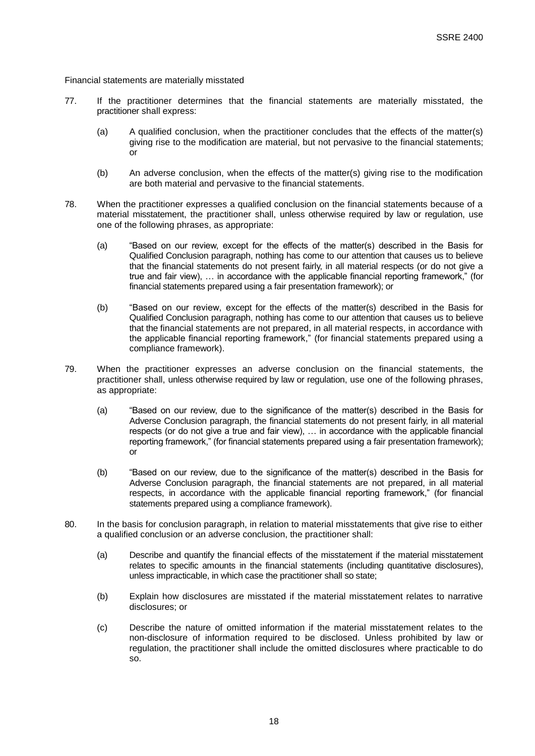Financial statements are materially misstated

- 77. If the practitioner determines that the financial statements are materially misstated, the practitioner shall express:
	- (a) A qualified conclusion, when the practitioner concludes that the effects of the matter(s) giving rise to the modification are material, but not pervasive to the financial statements; or
	- (b) An adverse conclusion, when the effects of the matter(s) giving rise to the modification are both material and pervasive to the financial statements.
- 78. When the practitioner expresses a qualified conclusion on the financial statements because of a material misstatement, the practitioner shall, unless otherwise required by law or regulation, use one of the following phrases, as appropriate:
	- (a) "Based on our review, except for the effects of the matter(s) described in the Basis for Qualified Conclusion paragraph, nothing has come to our attention that causes us to believe that the financial statements do not present fairly, in all material respects (or do not give a true and fair view), … in accordance with the applicable financial reporting framework," (for financial statements prepared using a fair presentation framework); or
	- (b) "Based on our review, except for the effects of the matter(s) described in the Basis for Qualified Conclusion paragraph, nothing has come to our attention that causes us to believe that the financial statements are not prepared, in all material respects, in accordance with the applicable financial reporting framework," (for financial statements prepared using a compliance framework).
- 79. When the practitioner expresses an adverse conclusion on the financial statements, the practitioner shall, unless otherwise required by law or regulation, use one of the following phrases, as appropriate:
	- (a) "Based on our review, due to the significance of the matter(s) described in the Basis for Adverse Conclusion paragraph, the financial statements do not present fairly, in all material respects (or do not give a true and fair view), … in accordance with the applicable financial reporting framework," (for financial statements prepared using a fair presentation framework); or
	- (b) "Based on our review, due to the significance of the matter(s) described in the Basis for Adverse Conclusion paragraph, the financial statements are not prepared, in all material respects, in accordance with the applicable financial reporting framework," (for financial statements prepared using a compliance framework).
- 80. In the basis for conclusion paragraph, in relation to material misstatements that give rise to either a qualified conclusion or an adverse conclusion, the practitioner shall:
	- (a) Describe and quantify the financial effects of the misstatement if the material misstatement relates to specific amounts in the financial statements (including quantitative disclosures), unless impracticable, in which case the practitioner shall so state;
	- (b) Explain how disclosures are misstated if the material misstatement relates to narrative disclosures; or
	- (c) Describe the nature of omitted information if the material misstatement relates to the non-disclosure of information required to be disclosed. Unless prohibited by law or regulation, the practitioner shall include the omitted disclosures where practicable to do so.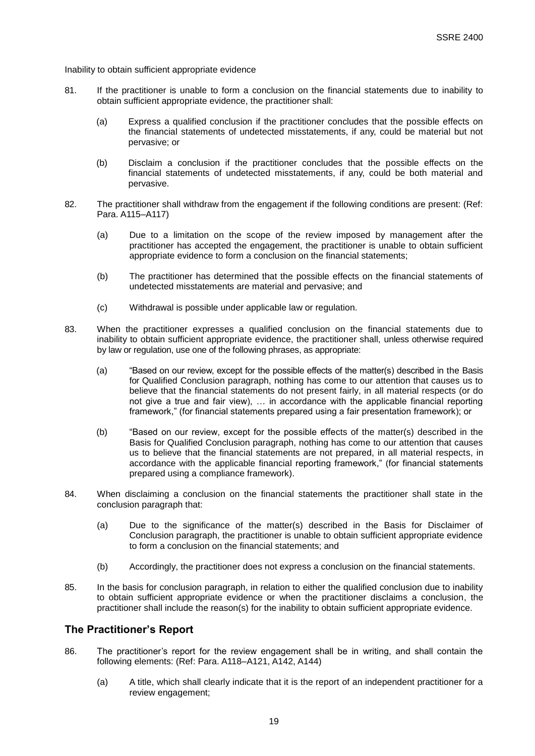Inability to obtain sufficient appropriate evidence

- 81. If the practitioner is unable to form a conclusion on the financial statements due to inability to obtain sufficient appropriate evidence, the practitioner shall:
	- (a) Express a qualified conclusion if the practitioner concludes that the possible effects on the financial statements of undetected misstatements, if any, could be material but not pervasive; or
	- (b) Disclaim a conclusion if the practitioner concludes that the possible effects on the financial statements of undetected misstatements, if any, could be both material and pervasive.
- 82. The practitioner shall withdraw from the engagement if the following conditions are present: (Ref: Para. A115–A117)
	- (a) Due to a limitation on the scope of the review imposed by management after the practitioner has accepted the engagement, the practitioner is unable to obtain sufficient appropriate evidence to form a conclusion on the financial statements;
	- (b) The practitioner has determined that the possible effects on the financial statements of undetected misstatements are material and pervasive; and
	- (c) Withdrawal is possible under applicable law or regulation.
- 83. When the practitioner expresses a qualified conclusion on the financial statements due to inability to obtain sufficient appropriate evidence, the practitioner shall, unless otherwise required by law or regulation, use one of the following phrases, as appropriate:
	- (a) "Based on our review, except for the possible effects of the matter(s) described in the Basis for Qualified Conclusion paragraph, nothing has come to our attention that causes us to believe that the financial statements do not present fairly, in all material respects (or do not give a true and fair view), … in accordance with the applicable financial reporting framework," (for financial statements prepared using a fair presentation framework); or
	- (b) "Based on our review, except for the possible effects of the matter(s) described in the Basis for Qualified Conclusion paragraph, nothing has come to our attention that causes us to believe that the financial statements are not prepared, in all material respects, in accordance with the applicable financial reporting framework," (for financial statements prepared using a compliance framework).
- 84. When disclaiming a conclusion on the financial statements the practitioner shall state in the conclusion paragraph that:
	- (a) Due to the significance of the matter(s) described in the Basis for Disclaimer of Conclusion paragraph, the practitioner is unable to obtain sufficient appropriate evidence to form a conclusion on the financial statements; and
	- (b) Accordingly, the practitioner does not express a conclusion on the financial statements.
- 85. In the basis for conclusion paragraph, in relation to either the qualified conclusion due to inability to obtain sufficient appropriate evidence or when the practitioner disclaims a conclusion, the practitioner shall include the reason(s) for the inability to obtain sufficient appropriate evidence.

### **The Practitioner's Report**

- 86. The practitioner's report for the review engagement shall be in writing, and shall contain the following elements: (Ref: Para. A118–A121, A142, A144)
	- (a) A title, which shall clearly indicate that it is the report of an independent practitioner for a review engagement;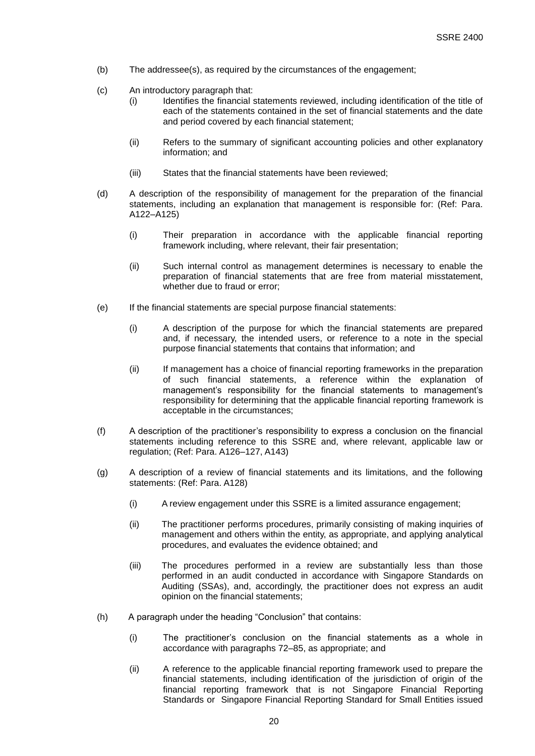- (b) The addressee(s), as required by the circumstances of the engagement;
- (c) An introductory paragraph that:
	- (i) Identifies the financial statements reviewed, including identification of the title of each of the statements contained in the set of financial statements and the date and period covered by each financial statement;
	- (ii) Refers to the summary of significant accounting policies and other explanatory information; and
	- (iii) States that the financial statements have been reviewed;
- (d) A description of the responsibility of management for the preparation of the financial statements, including an explanation that management is responsible for: (Ref: Para. A122–A125)
	- (i) Their preparation in accordance with the applicable financial reporting framework including, where relevant, their fair presentation;
	- (ii) Such internal control as management determines is necessary to enable the preparation of financial statements that are free from material misstatement, whether due to fraud or error;
- (e) If the financial statements are special purpose financial statements:
	- (i) A description of the purpose for which the financial statements are prepared and, if necessary, the intended users, or reference to a note in the special purpose financial statements that contains that information; and
	- (ii) If management has a choice of financial reporting frameworks in the preparation of such financial statements, a reference within the explanation of management's responsibility for the financial statements to management's responsibility for determining that the applicable financial reporting framework is acceptable in the circumstances;
- (f) A description of the practitioner's responsibility to express a conclusion on the financial statements including reference to this SSRE and, where relevant, applicable law or regulation; (Ref: Para. A126–127, A143)
- (g) A description of a review of financial statements and its limitations, and the following statements: (Ref: Para. A128)
	- (i) A review engagement under this SSRE is a limited assurance engagement;
	- (ii) The practitioner performs procedures, primarily consisting of making inquiries of management and others within the entity, as appropriate, and applying analytical procedures, and evaluates the evidence obtained; and
	- (iii) The procedures performed in a review are substantially less than those performed in an audit conducted in accordance with Singapore Standards on Auditing (SSAs), and, accordingly, the practitioner does not express an audit opinion on the financial statements;
- (h) A paragraph under the heading "Conclusion" that contains:
	- (i) The practitioner's conclusion on the financial statements as a whole in accordance with paragraphs 72–85, as appropriate; and
	- (ii) A reference to the applicable financial reporting framework used to prepare the financial statements, including identification of the jurisdiction of origin of the financial reporting framework that is not Singapore Financial Reporting Standards or Singapore Financial Reporting Standard for Small Entities issued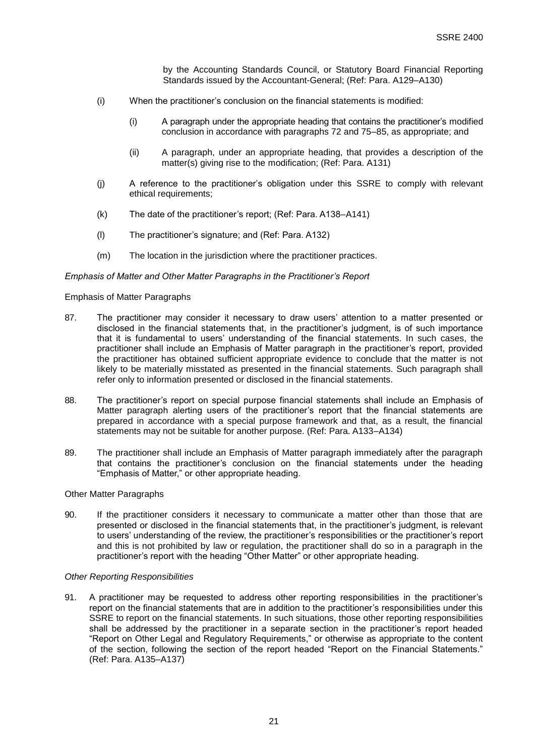by the Accounting Standards Council, or Statutory Board Financial Reporting Standards issued by the Accountant-General; (Ref: Para. A129–A130)

- (i) When the practitioner's conclusion on the financial statements is modified:
	- (i) A paragraph under the appropriate heading that contains the practitioner's modified conclusion in accordance with paragraphs 72 and 75–85, as appropriate; and
	- (ii) A paragraph, under an appropriate heading, that provides a description of the matter(s) giving rise to the modification; (Ref: Para. A131)
- (j) A reference to the practitioner's obligation under this SSRE to comply with relevant ethical requirements;
- (k) The date of the practitioner's report; (Ref: Para. A138–A141)
- (l) The practitioner's signature; and (Ref: Para. A132)
- (m) The location in the jurisdiction where the practitioner practices.

#### *Emphasis of Matter and Other Matter Paragraphs in the Practitioner's Report*

#### Emphasis of Matter Paragraphs

- 87. The practitioner may consider it necessary to draw users' attention to a matter presented or disclosed in the financial statements that, in the practitioner's judgment, is of such importance that it is fundamental to users' understanding of the financial statements. In such cases, the practitioner shall include an Emphasis of Matter paragraph in the practitioner's report, provided the practitioner has obtained sufficient appropriate evidence to conclude that the matter is not likely to be materially misstated as presented in the financial statements. Such paragraph shall refer only to information presented or disclosed in the financial statements.
- 88. The practitioner's report on special purpose financial statements shall include an Emphasis of Matter paragraph alerting users of the practitioner's report that the financial statements are prepared in accordance with a special purpose framework and that, as a result, the financial statements may not be suitable for another purpose. (Ref: Para. A133–A134)
- 89. The practitioner shall include an Emphasis of Matter paragraph immediately after the paragraph that contains the practitioner's conclusion on the financial statements under the heading "Emphasis of Matter," or other appropriate heading.

#### Other Matter Paragraphs

90. If the practitioner considers it necessary to communicate a matter other than those that are presented or disclosed in the financial statements that, in the practitioner's judgment, is relevant to users' understanding of the review, the practitioner's responsibilities or the practitioner's report and this is not prohibited by law or regulation, the practitioner shall do so in a paragraph in the practitioner's report with the heading "Other Matter" or other appropriate heading.

#### *Other Reporting Responsibilities*

91. A practitioner may be requested to address other reporting responsibilities in the practitioner's report on the financial statements that are in addition to the practitioner's responsibilities under this SSRE to report on the financial statements. In such situations, those other reporting responsibilities shall be addressed by the practitioner in a separate section in the practitioner's report headed "Report on Other Legal and Regulatory Requirements," or otherwise as appropriate to the content of the section, following the section of the report headed "Report on the Financial Statements." (Ref: Para. A135–A137)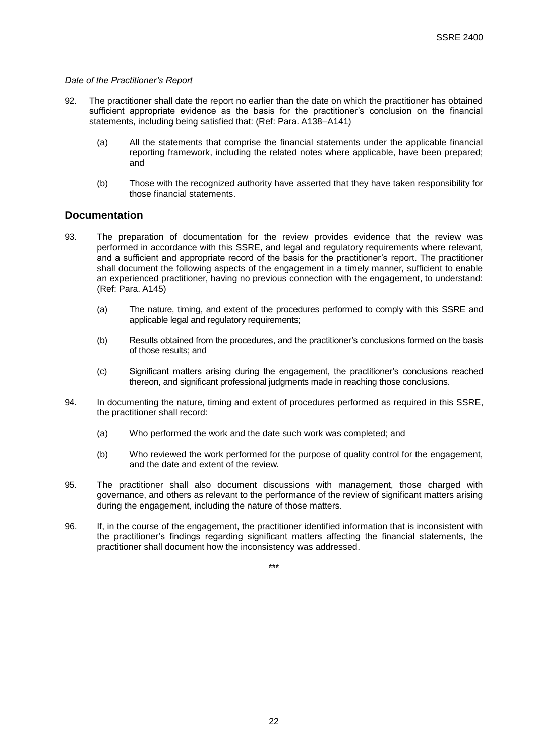#### *Date of the Practitioner's Report*

- 92. The practitioner shall date the report no earlier than the date on which the practitioner has obtained sufficient appropriate evidence as the basis for the practitioner's conclusion on the financial statements, including being satisfied that: (Ref: Para. A138–A141)
	- (a) All the statements that comprise the financial statements under the applicable financial reporting framework, including the related notes where applicable, have been prepared; and
	- (b) Those with the recognized authority have asserted that they have taken responsibility for those financial statements.

# **Documentation**

- 93. The preparation of documentation for the review provides evidence that the review was performed in accordance with this SSRE, and legal and regulatory requirements where relevant, and a sufficient and appropriate record of the basis for the practitioner's report. The practitioner shall document the following aspects of the engagement in a timely manner, sufficient to enable an experienced practitioner, having no previous connection with the engagement, to understand: (Ref: Para. A145)
	- (a) The nature, timing, and extent of the procedures performed to comply with this SSRE and applicable legal and regulatory requirements;
	- (b) Results obtained from the procedures, and the practitioner's conclusions formed on the basis of those results; and
	- (c) Significant matters arising during the engagement, the practitioner's conclusions reached thereon, and significant professional judgments made in reaching those conclusions.
- 94. In documenting the nature, timing and extent of procedures performed as required in this SSRE, the practitioner shall record:
	- (a) Who performed the work and the date such work was completed; and
	- (b) Who reviewed the work performed for the purpose of quality control for the engagement, and the date and extent of the review.
- 95. The practitioner shall also document discussions with management, those charged with governance, and others as relevant to the performance of the review of significant matters arising during the engagement, including the nature of those matters.
- 96. If, in the course of the engagement, the practitioner identified information that is inconsistent with the practitioner's findings regarding significant matters affecting the financial statements, the practitioner shall document how the inconsistency was addressed.

\*\*\*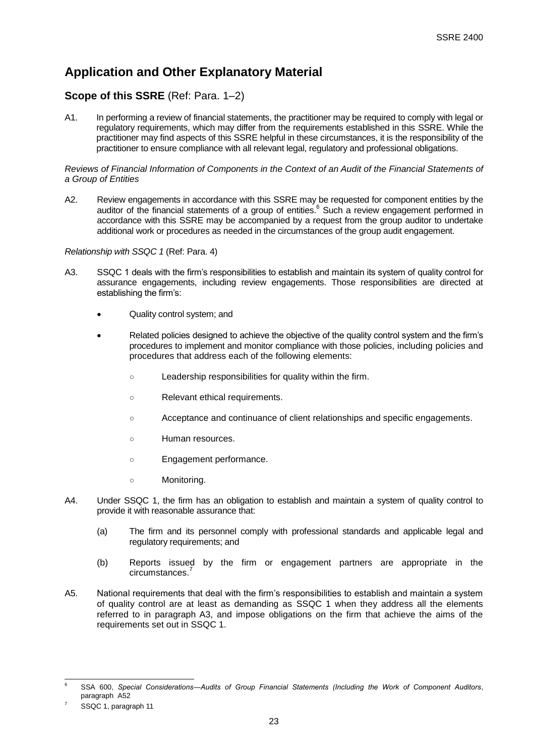# **Application and Other Explanatory Material**

# **Scope of this SSRE** (Ref: Para. 1–2)

A1. In performing a review of financial statements, the practitioner may be required to comply with legal or regulatory requirements, which may differ from the requirements established in this SSRE. While the practitioner may find aspects of this SSRE helpful in these circumstances, it is the responsibility of the practitioner to ensure compliance with all relevant legal, regulatory and professional obligations.

*Reviews of Financial Information of Components in the Context of an Audit of the Financial Statements of a Group of Entities* 

A2. Review engagements in accordance with this SSRE may be requested for component entities by the auditor of the financial statements of a group of entities.<sup>6</sup> Such a review engagement performed in accordance with this SSRE may be accompanied by a request from the group auditor to undertake additional work or procedures as needed in the circumstances of the group audit engagement.

*Relationship with SSQC 1* (Ref: Para. 4)

- A3. SSQC 1 deals with the firm's responsibilities to establish and maintain its system of quality control for assurance engagements, including review engagements. Those responsibilities are directed at establishing the firm's:
	- Quality control system; and
	- Related policies designed to achieve the objective of the quality control system and the firm's procedures to implement and monitor compliance with those policies, including policies and procedures that address each of the following elements:
		- Leadership responsibilities for quality within the firm.
		- Relevant ethical requirements.
		- Acceptance and continuance of client relationships and specific engagements.
		- o Human resources.
		- Engagement performance.
		- Monitoring.
- A4. Under SSQC 1, the firm has an obligation to establish and maintain a system of quality control to provide it with reasonable assurance that:
	- (a) The firm and its personnel comply with professional standards and applicable legal and regulatory requirements; and
	- (b) Reports issued by the firm or engagement partners are appropriate in the circumstances.<sup>7</sup>
- A5. National requirements that deal with the firm's responsibilities to establish and maintain a system of quality control are at least as demanding as SSQC 1 when they address all the elements referred to in paragraph A3, and impose obligations on the firm that achieve the aims of the requirements set out in SSQC 1.

1

<sup>6</sup> SSA 600, *Special Considerations―Audits of Group Financial Statements (Including the Work of Component Auditors*, paragraph A52

SSQC 1, paragraph 11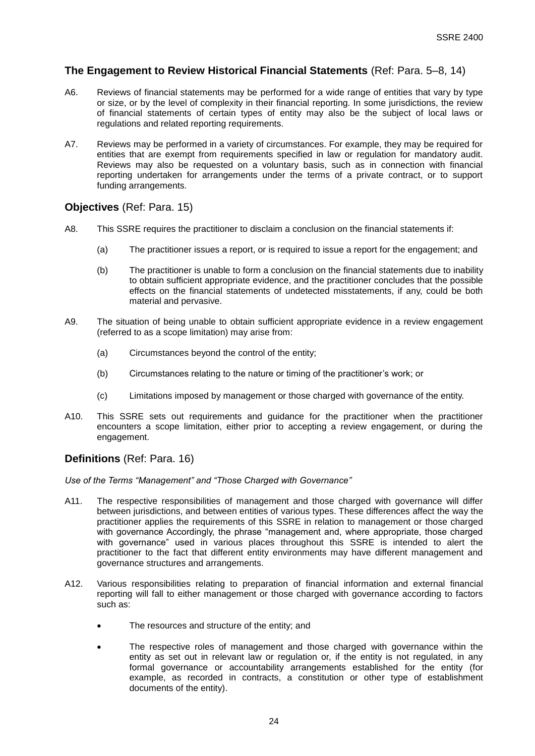# **The Engagement to Review Historical Financial Statements** (Ref: Para. 5–8, 14)

- A6. Reviews of financial statements may be performed for a wide range of entities that vary by type or size, or by the level of complexity in their financial reporting. In some jurisdictions, the review of financial statements of certain types of entity may also be the subject of local laws or regulations and related reporting requirements.
- A7. Reviews may be performed in a variety of circumstances. For example, they may be required for entities that are exempt from requirements specified in law or regulation for mandatory audit. Reviews may also be requested on a voluntary basis, such as in connection with financial reporting undertaken for arrangements under the terms of a private contract, or to support funding arrangements.

# **Objectives** (Ref: Para. 15)

- A8. This SSRE requires the practitioner to disclaim a conclusion on the financial statements if:
	- (a) The practitioner issues a report, or is required to issue a report for the engagement; and
	- (b) The practitioner is unable to form a conclusion on the financial statements due to inability to obtain sufficient appropriate evidence, and the practitioner concludes that the possible effects on the financial statements of undetected misstatements, if any, could be both material and pervasive.
- A9. The situation of being unable to obtain sufficient appropriate evidence in a review engagement (referred to as a scope limitation) may arise from:
	- (a) Circumstances beyond the control of the entity;
	- (b) Circumstances relating to the nature or timing of the practitioner's work; or
	- (c) Limitations imposed by management or those charged with governance of the entity.
- A10. This SSRE sets out requirements and guidance for the practitioner when the practitioner encounters a scope limitation, either prior to accepting a review engagement, or during the engagement.

# **Definitions** (Ref: Para. 16)

*Use of the Terms "Management" and "Those Charged with Governance"*

- A11. The respective responsibilities of management and those charged with governance will differ between jurisdictions, and between entities of various types. These differences affect the way the practitioner applies the requirements of this SSRE in relation to management or those charged with governance Accordingly, the phrase "management and, where appropriate, those charged with governance" used in various places throughout this SSRE is intended to alert the practitioner to the fact that different entity environments may have different management and governance structures and arrangements.
- A12. Various responsibilities relating to preparation of financial information and external financial reporting will fall to either management or those charged with governance according to factors such as:
	- The resources and structure of the entity; and
	- The respective roles of management and those charged with governance within the entity as set out in relevant law or regulation or, if the entity is not regulated, in any formal governance or accountability arrangements established for the entity (for example, as recorded in contracts, a constitution or other type of establishment documents of the entity).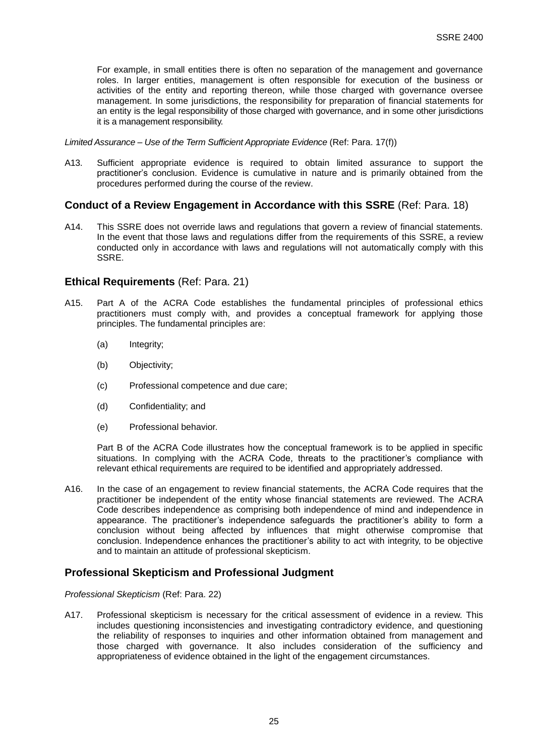For example, in small entities there is often no separation of the management and governance roles. In larger entities, management is often responsible for execution of the business or activities of the entity and reporting thereon, while those charged with governance oversee management. In some jurisdictions, the responsibility for preparation of financial statements for an entity is the legal responsibility of those charged with governance, and in some other jurisdictions it is a management responsibility.

*Limited Assurance – Use of the Term Sufficient Appropriate Evidence* (Ref: Para. 17(f))

A13. Sufficient appropriate evidence is required to obtain limited assurance to support the practitioner's conclusion. Evidence is cumulative in nature and is primarily obtained from the procedures performed during the course of the review.

# **Conduct of a Review Engagement in Accordance with this SSRE** (Ref: Para. 18)

A14. This SSRE does not override laws and regulations that govern a review of financial statements. In the event that those laws and regulations differ from the requirements of this SSRE, a review conducted only in accordance with laws and regulations will not automatically comply with this SSRE.

# **Ethical Requirements** (Ref: Para. 21)

- A15. Part A of the ACRA Code establishes the fundamental principles of professional ethics practitioners must comply with, and provides a conceptual framework for applying those principles. The fundamental principles are:
	- (a) Integrity;
	- (b) Objectivity;
	- (c) Professional competence and due care;
	- (d) Confidentiality; and
	- (e) Professional behavior.

Part B of the ACRA Code illustrates how the conceptual framework is to be applied in specific situations. In complying with the ACRA Code, threats to the practitioner's compliance with relevant ethical requirements are required to be identified and appropriately addressed.

A16. In the case of an engagement to review financial statements, the ACRA Code requires that the practitioner be independent of the entity whose financial statements are reviewed. The ACRA Code describes independence as comprising both independence of mind and independence in appearance. The practitioner's independence safeguards the practitioner's ability to form a conclusion without being affected by influences that might otherwise compromise that conclusion. Independence enhances the practitioner's ability to act with integrity, to be objective and to maintain an attitude of professional skepticism.

### **Professional Skepticism and Professional Judgment**

#### *Professional Skepticism* (Ref: Para. 22)

A17. Professional skepticism is necessary for the critical assessment of evidence in a review. This includes questioning inconsistencies and investigating contradictory evidence, and questioning the reliability of responses to inquiries and other information obtained from management and those charged with governance. It also includes consideration of the sufficiency and appropriateness of evidence obtained in the light of the engagement circumstances.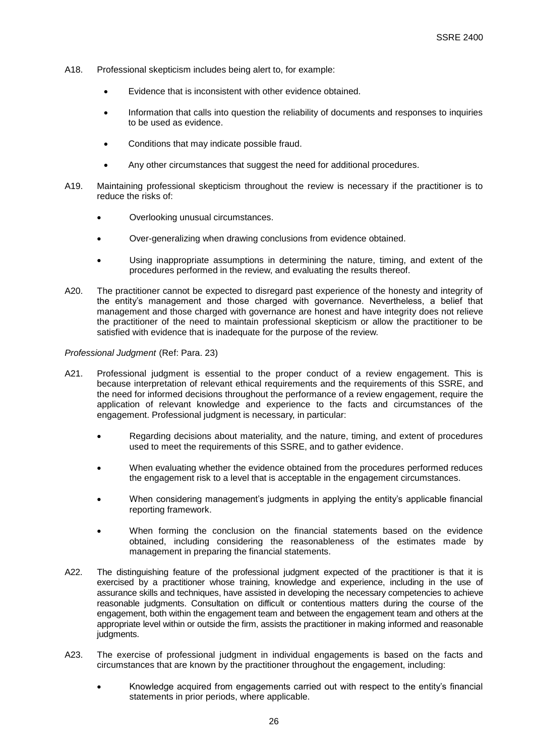- A18. Professional skepticism includes being alert to, for example:
	- Evidence that is inconsistent with other evidence obtained.
	- Information that calls into question the reliability of documents and responses to inquiries to be used as evidence.
	- Conditions that may indicate possible fraud.
	- Any other circumstances that suggest the need for additional procedures.
- A19. Maintaining professional skepticism throughout the review is necessary if the practitioner is to reduce the risks of:
	- Overlooking unusual circumstances.
	- Over-generalizing when drawing conclusions from evidence obtained.
	- Using inappropriate assumptions in determining the nature, timing, and extent of the procedures performed in the review, and evaluating the results thereof.
- A20. The practitioner cannot be expected to disregard past experience of the honesty and integrity of the entity's management and those charged with governance. Nevertheless, a belief that management and those charged with governance are honest and have integrity does not relieve the practitioner of the need to maintain professional skepticism or allow the practitioner to be satisfied with evidence that is inadequate for the purpose of the review.

#### *Professional Judgment* (Ref: Para. 23)

- A21. Professional judgment is essential to the proper conduct of a review engagement. This is because interpretation of relevant ethical requirements and the requirements of this SSRE, and the need for informed decisions throughout the performance of a review engagement, require the application of relevant knowledge and experience to the facts and circumstances of the engagement. Professional judgment is necessary, in particular:
	- Regarding decisions about materiality, and the nature, timing, and extent of procedures used to meet the requirements of this SSRE, and to gather evidence.
	- When evaluating whether the evidence obtained from the procedures performed reduces the engagement risk to a level that is acceptable in the engagement circumstances.
	- When considering management's judgments in applying the entity's applicable financial reporting framework.
	- When forming the conclusion on the financial statements based on the evidence obtained, including considering the reasonableness of the estimates made by management in preparing the financial statements.
- A22. The distinguishing feature of the professional judgment expected of the practitioner is that it is exercised by a practitioner whose training, knowledge and experience, including in the use of assurance skills and techniques, have assisted in developing the necessary competencies to achieve reasonable judgments. Consultation on difficult or contentious matters during the course of the engagement, both within the engagement team and between the engagement team and others at the appropriate level within or outside the firm, assists the practitioner in making informed and reasonable judgments.
- A23. The exercise of professional judgment in individual engagements is based on the facts and circumstances that are known by the practitioner throughout the engagement, including:
	- Knowledge acquired from engagements carried out with respect to the entity's financial statements in prior periods, where applicable.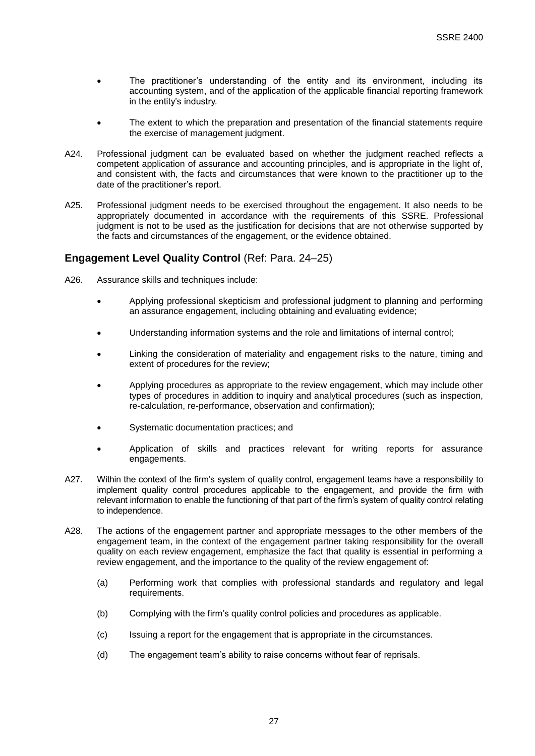- The practitioner's understanding of the entity and its environment, including its accounting system, and of the application of the applicable financial reporting framework in the entity's industry.
- The extent to which the preparation and presentation of the financial statements require the exercise of management judgment.
- A24. Professional judgment can be evaluated based on whether the judgment reached reflects a competent application of assurance and accounting principles, and is appropriate in the light of, and consistent with, the facts and circumstances that were known to the practitioner up to the date of the practitioner's report.
- A25. Professional judgment needs to be exercised throughout the engagement. It also needs to be appropriately documented in accordance with the requirements of this SSRE. Professional judgment is not to be used as the justification for decisions that are not otherwise supported by the facts and circumstances of the engagement, or the evidence obtained.

# **Engagement Level Quality Control** (Ref: Para. 24–25)

- A26. Assurance skills and techniques include:
	- Applying professional skepticism and professional judgment to planning and performing an assurance engagement, including obtaining and evaluating evidence;
	- Understanding information systems and the role and limitations of internal control;
	- Linking the consideration of materiality and engagement risks to the nature, timing and extent of procedures for the review;
	- Applying procedures as appropriate to the review engagement, which may include other types of procedures in addition to inquiry and analytical procedures (such as inspection, re-calculation, re-performance, observation and confirmation);
	- Systematic documentation practices; and
	- Application of skills and practices relevant for writing reports for assurance engagements.
- A27. Within the context of the firm's system of quality control, engagement teams have a responsibility to implement quality control procedures applicable to the engagement, and provide the firm with relevant information to enable the functioning of that part of the firm's system of quality control relating to independence.
- A28. The actions of the engagement partner and appropriate messages to the other members of the engagement team, in the context of the engagement partner taking responsibility for the overall quality on each review engagement, emphasize the fact that quality is essential in performing a review engagement, and the importance to the quality of the review engagement of:
	- (a) Performing work that complies with professional standards and regulatory and legal requirements.
	- (b) Complying with the firm's quality control policies and procedures as applicable.
	- (c) Issuing a report for the engagement that is appropriate in the circumstances.
	- (d) The engagement team's ability to raise concerns without fear of reprisals.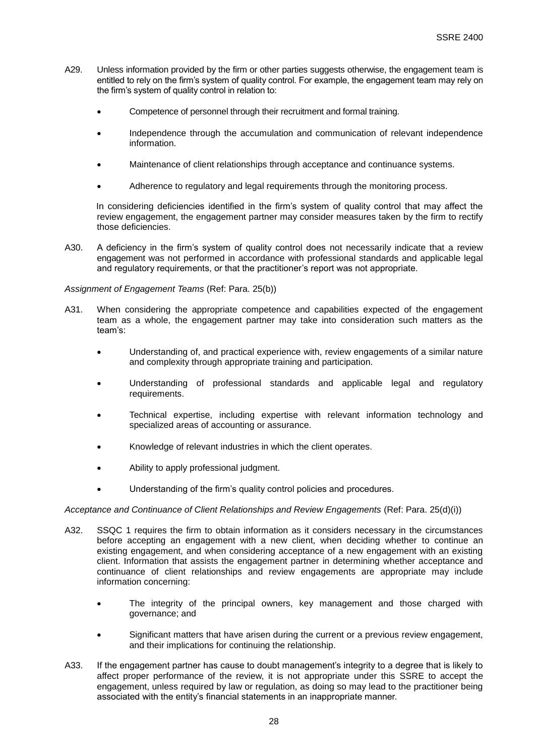- A29. Unless information provided by the firm or other parties suggests otherwise, the engagement team is entitled to rely on the firm's system of quality control. For example, the engagement team may rely on the firm's system of quality control in relation to:
	- Competence of personnel through their recruitment and formal training.
	- Independence through the accumulation and communication of relevant independence information.
	- Maintenance of client relationships through acceptance and continuance systems.
	- Adherence to regulatory and legal requirements through the monitoring process.

In considering deficiencies identified in the firm's system of quality control that may affect the review engagement, the engagement partner may consider measures taken by the firm to rectify those deficiencies.

A30. A deficiency in the firm's system of quality control does not necessarily indicate that a review engagement was not performed in accordance with professional standards and applicable legal and regulatory requirements, or that the practitioner's report was not appropriate.

#### *Assignment of Engagement Teams* (Ref: Para. 25(b))

- A31. When considering the appropriate competence and capabilities expected of the engagement team as a whole, the engagement partner may take into consideration such matters as the team's:
	- Understanding of, and practical experience with, review engagements of a similar nature and complexity through appropriate training and participation.
	- Understanding of professional standards and applicable legal and regulatory requirements.
	- Technical expertise, including expertise with relevant information technology and specialized areas of accounting or assurance.
	- Knowledge of relevant industries in which the client operates.
	- Ability to apply professional judgment.
	- Understanding of the firm's quality control policies and procedures.

#### *Acceptance and Continuance of Client Relationships and Review Engagements* (Ref: Para. 25(d)(i))

- A32. SSQC 1 requires the firm to obtain information as it considers necessary in the circumstances before accepting an engagement with a new client, when deciding whether to continue an existing engagement, and when considering acceptance of a new engagement with an existing client. Information that assists the engagement partner in determining whether acceptance and continuance of client relationships and review engagements are appropriate may include information concerning:
	- The integrity of the principal owners, key management and those charged with governance; and
	- Significant matters that have arisen during the current or a previous review engagement, and their implications for continuing the relationship.
- A33. If the engagement partner has cause to doubt management's integrity to a degree that is likely to affect proper performance of the review, it is not appropriate under this SSRE to accept the engagement, unless required by law or regulation, as doing so may lead to the practitioner being associated with the entity's financial statements in an inappropriate manner.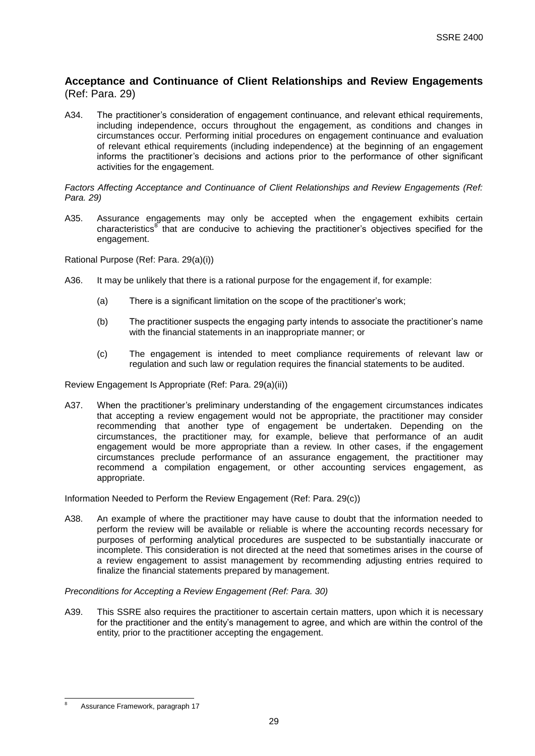# **Acceptance and Continuance of Client Relationships and Review Engagements**  (Ref: Para. 29)

A34. The practitioner's consideration of engagement continuance, and relevant ethical requirements, including independence, occurs throughout the engagement, as conditions and changes in circumstances occur. Performing initial procedures on engagement continuance and evaluation of relevant ethical requirements (including independence) at the beginning of an engagement informs the practitioner's decisions and actions prior to the performance of other significant activities for the engagement.

#### *Factors Affecting Acceptance and Continuance of Client Relationships and Review Engagements (Ref: Para. 29)*

A35. Assurance engagements may only be accepted when the engagement exhibits certain characteristics<sup>8</sup> that are conducive to achieving the practitioner's objectives specified for the engagement.

Rational Purpose (Ref: Para. 29(a)(i))

- A36. It may be unlikely that there is a rational purpose for the engagement if, for example:
	- (a) There is a significant limitation on the scope of the practitioner's work;
	- (b) The practitioner suspects the engaging party intends to associate the practitioner's name with the financial statements in an inappropriate manner; or
	- (c) The engagement is intended to meet compliance requirements of relevant law or regulation and such law or regulation requires the financial statements to be audited.

#### Review Engagement Is Appropriate (Ref: Para. 29(a)(ii))

A37. When the practitioner's preliminary understanding of the engagement circumstances indicates that accepting a review engagement would not be appropriate, the practitioner may consider recommending that another type of engagement be undertaken. Depending on the circumstances, the practitioner may, for example, believe that performance of an audit engagement would be more appropriate than a review. In other cases, if the engagement circumstances preclude performance of an assurance engagement, the practitioner may recommend a compilation engagement, or other accounting services engagement, as appropriate.

Information Needed to Perform the Review Engagement (Ref: Para. 29(c))

A38. An example of where the practitioner may have cause to doubt that the information needed to perform the review will be available or reliable is where the accounting records necessary for purposes of performing analytical procedures are suspected to be substantially inaccurate or incomplete. This consideration is not directed at the need that sometimes arises in the course of a review engagement to assist management by recommending adjusting entries required to finalize the financial statements prepared by management.

### *Preconditions for Accepting a Review Engagement (Ref: Para. 30)*

A39. This SSRE also requires the practitioner to ascertain certain matters, upon which it is necessary for the practitioner and the entity's management to agree, and which are within the control of the entity, prior to the practitioner accepting the engagement.

<sup>1</sup> Assurance Framework, paragraph 17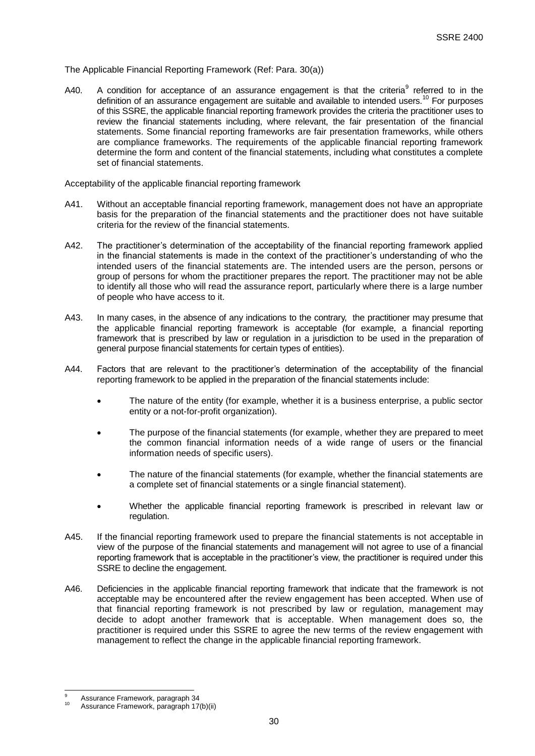The Applicable Financial Reporting Framework (Ref: Para. 30(a))

A40. A condition for acceptance of an assurance engagement is that the criteria $9$  referred to in the definition of an assurance engagement are suitable and available to intended users.<sup>10</sup> For purposes of this SSRE, the applicable financial reporting framework provides the criteria the practitioner uses to review the financial statements including, where relevant, the fair presentation of the financial statements. Some financial reporting frameworks are fair presentation frameworks, while others are compliance frameworks. The requirements of the applicable financial reporting framework determine the form and content of the financial statements, including what constitutes a complete set of financial statements.

Acceptability of the applicable financial reporting framework

- A41. Without an acceptable financial reporting framework, management does not have an appropriate basis for the preparation of the financial statements and the practitioner does not have suitable criteria for the review of the financial statements.
- A42. The practitioner's determination of the acceptability of the financial reporting framework applied in the financial statements is made in the context of the practitioner's understanding of who the intended users of the financial statements are. The intended users are the person, persons or group of persons for whom the practitioner prepares the report. The practitioner may not be able to identify all those who will read the assurance report, particularly where there is a large number of people who have access to it.
- A43. In many cases, in the absence of any indications to the contrary, the practitioner may presume that the applicable financial reporting framework is acceptable (for example, a financial reporting framework that is prescribed by law or regulation in a jurisdiction to be used in the preparation of general purpose financial statements for certain types of entities).
- A44. Factors that are relevant to the practitioner's determination of the acceptability of the financial reporting framework to be applied in the preparation of the financial statements include:
	- The nature of the entity (for example, whether it is a business enterprise, a public sector entity or a not-for-profit organization).
	- The purpose of the financial statements (for example, whether they are prepared to meet the common financial information needs of a wide range of users or the financial information needs of specific users).
	- The nature of the financial statements (for example, whether the financial statements are a complete set of financial statements or a single financial statement).
	- Whether the applicable financial reporting framework is prescribed in relevant law or regulation.
- A45. If the financial reporting framework used to prepare the financial statements is not acceptable in view of the purpose of the financial statements and management will not agree to use of a financial reporting framework that is acceptable in the practitioner's view, the practitioner is required under this SSRE to decline the engagement.
- A46. Deficiencies in the applicable financial reporting framework that indicate that the framework is not acceptable may be encountered after the review engagement has been accepted. When use of that financial reporting framework is not prescribed by law or regulation, management may decide to adopt another framework that is acceptable. When management does so, the practitioner is required under this SSRE to agree the new terms of the review engagement with management to reflect the change in the applicable financial reporting framework.

<sup>1</sup> <sup>9</sup> Assurance Framework, paragraph 34

Assurance Framework, paragraph 17(b)(ii)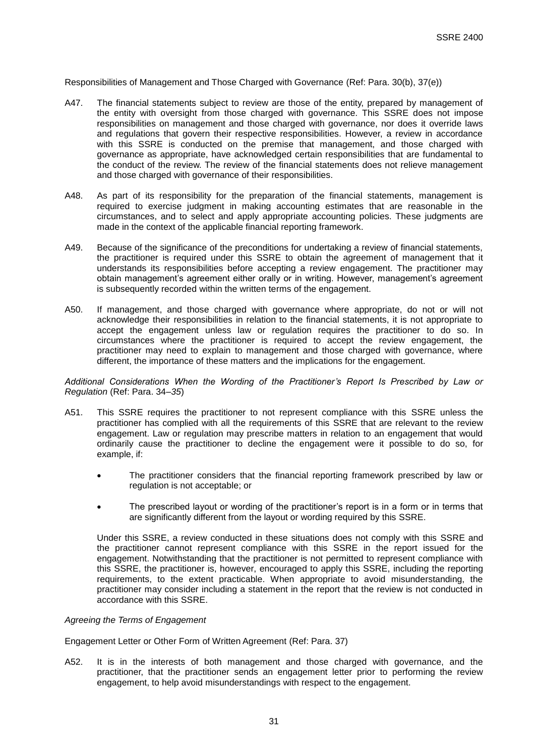Responsibilities of Management and Those Charged with Governance (Ref: Para. 30(b), 37(e))

- A47. The financial statements subject to review are those of the entity, prepared by management of the entity with oversight from those charged with governance. This SSRE does not impose responsibilities on management and those charged with governance, nor does it override laws and regulations that govern their respective responsibilities. However, a review in accordance with this SSRE is conducted on the premise that management, and those charged with governance as appropriate, have acknowledged certain responsibilities that are fundamental to the conduct of the review. The review of the financial statements does not relieve management and those charged with governance of their responsibilities.
- A48. As part of its responsibility for the preparation of the financial statements, management is required to exercise judgment in making accounting estimates that are reasonable in the circumstances, and to select and apply appropriate accounting policies. These judgments are made in the context of the applicable financial reporting framework.
- A49. Because of the significance of the preconditions for undertaking a review of financial statements, the practitioner is required under this SSRE to obtain the agreement of management that it understands its responsibilities before accepting a review engagement. The practitioner may obtain management's agreement either orally or in writing. However, management's agreement is subsequently recorded within the written terms of the engagement.
- A50. If management, and those charged with governance where appropriate, do not or will not acknowledge their responsibilities in relation to the financial statements, it is not appropriate to accept the engagement unless law or regulation requires the practitioner to do so. In circumstances where the practitioner is required to accept the review engagement, the practitioner may need to explain to management and those charged with governance, where different, the importance of these matters and the implications for the engagement.

*Additional Considerations When the Wording of the Practitioner's Report Is Prescribed by Law or Regulation* (Ref: Para. 34*–35*)

- A51. This SSRE requires the practitioner to not represent compliance with this SSRE unless the practitioner has complied with all the requirements of this SSRE that are relevant to the review engagement. Law or regulation may prescribe matters in relation to an engagement that would ordinarily cause the practitioner to decline the engagement were it possible to do so, for example, if:
	- The practitioner considers that the financial reporting framework prescribed by law or regulation is not acceptable; or
	- The prescribed layout or wording of the practitioner's report is in a form or in terms that are significantly different from the layout or wording required by this SSRE.

Under this SSRE, a review conducted in these situations does not comply with this SSRE and the practitioner cannot represent compliance with this SSRE in the report issued for the engagement. Notwithstanding that the practitioner is not permitted to represent compliance with this SSRE, the practitioner is, however, encouraged to apply this SSRE, including the reporting requirements, to the extent practicable. When appropriate to avoid misunderstanding, the practitioner may consider including a statement in the report that the review is not conducted in accordance with this SSRE.

#### *Agreeing the Terms of Engagement*

Engagement Letter or Other Form of Written Agreement (Ref: Para. 37)

A52. It is in the interests of both management and those charged with governance, and the practitioner, that the practitioner sends an engagement letter prior to performing the review engagement, to help avoid misunderstandings with respect to the engagement.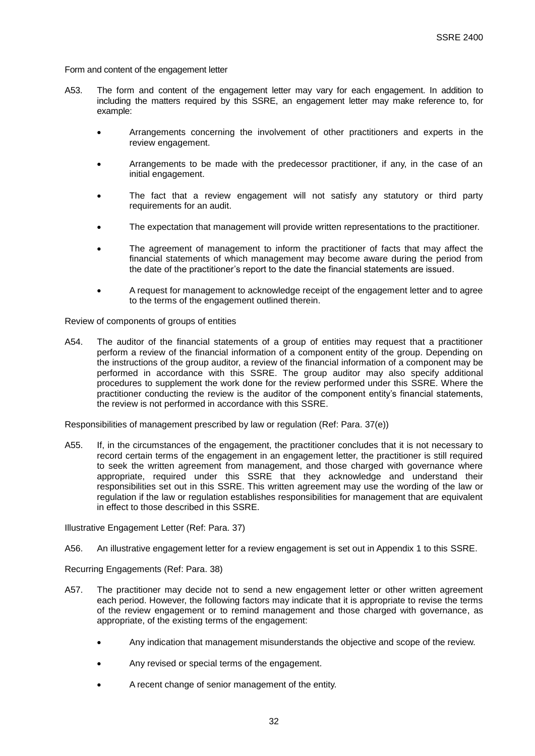Form and content of the engagement letter

- A53. The form and content of the engagement letter may vary for each engagement. In addition to including the matters required by this SSRE, an engagement letter may make reference to, for example:
	- Arrangements concerning the involvement of other practitioners and experts in the review engagement.
	- Arrangements to be made with the predecessor practitioner, if any, in the case of an initial engagement.
	- The fact that a review engagement will not satisfy any statutory or third party requirements for an audit.
	- The expectation that management will provide written representations to the practitioner.
	- The agreement of management to inform the practitioner of facts that may affect the financial statements of which management may become aware during the period from the date of the practitioner's report to the date the financial statements are issued.
	- A request for management to acknowledge receipt of the engagement letter and to agree to the terms of the engagement outlined therein.

Review of components of groups of entities

A54. The auditor of the financial statements of a group of entities may request that a practitioner perform a review of the financial information of a component entity of the group. Depending on the instructions of the group auditor, a review of the financial information of a component may be performed in accordance with this SSRE. The group auditor may also specify additional procedures to supplement the work done for the review performed under this SSRE. Where the practitioner conducting the review is the auditor of the component entity's financial statements, the review is not performed in accordance with this SSRE.

Responsibilities of management prescribed by law or regulation (Ref: Para. 37(e))

A55. If, in the circumstances of the engagement, the practitioner concludes that it is not necessary to record certain terms of the engagement in an engagement letter, the practitioner is still required to seek the written agreement from management, and those charged with governance where appropriate, required under this SSRE that they acknowledge and understand their responsibilities set out in this SSRE. This written agreement may use the wording of the law or regulation if the law or regulation establishes responsibilities for management that are equivalent in effect to those described in this SSRE.

Illustrative Engagement Letter (Ref: Para. 37)

A56. An illustrative engagement letter for a review engagement is set out in Appendix 1 to this SSRE.

Recurring Engagements (Ref: Para. 38)

- A57. The practitioner may decide not to send a new engagement letter or other written agreement each period. However, the following factors may indicate that it is appropriate to revise the terms of the review engagement or to remind management and those charged with governance, as appropriate, of the existing terms of the engagement:
	- Any indication that management misunderstands the objective and scope of the review.
	- Any revised or special terms of the engagement.
	- A recent change of senior management of the entity.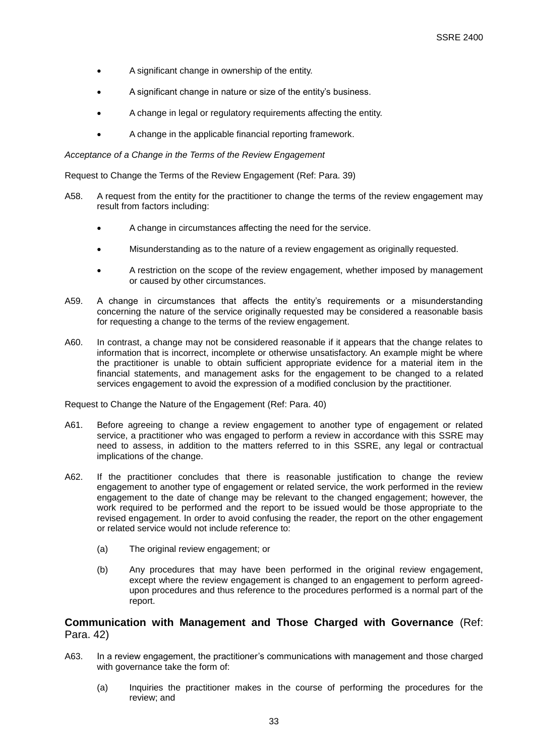- A significant change in ownership of the entity.
- A significant change in nature or size of the entity's business.
- A change in legal or regulatory requirements affecting the entity.
- A change in the applicable financial reporting framework.

*Acceptance of a Change in the Terms of the Review Engagement* 

Request to Change the Terms of the Review Engagement (Ref: Para. 39)

- A58. A request from the entity for the practitioner to change the terms of the review engagement may result from factors including:
	- A change in circumstances affecting the need for the service.
	- Misunderstanding as to the nature of a review engagement as originally requested.
	- A restriction on the scope of the review engagement, whether imposed by management or caused by other circumstances.
- A59. A change in circumstances that affects the entity's requirements or a misunderstanding concerning the nature of the service originally requested may be considered a reasonable basis for requesting a change to the terms of the review engagement.
- A60. In contrast, a change may not be considered reasonable if it appears that the change relates to information that is incorrect, incomplete or otherwise unsatisfactory. An example might be where the practitioner is unable to obtain sufficient appropriate evidence for a material item in the financial statements, and management asks for the engagement to be changed to a related services engagement to avoid the expression of a modified conclusion by the practitioner.

Request to Change the Nature of the Engagement (Ref: Para. 40)

- A61. Before agreeing to change a review engagement to another type of engagement or related service, a practitioner who was engaged to perform a review in accordance with this SSRE may need to assess, in addition to the matters referred to in this SSRE, any legal or contractual implications of the change.
- A62. If the practitioner concludes that there is reasonable justification to change the review engagement to another type of engagement or related service, the work performed in the review engagement to the date of change may be relevant to the changed engagement; however, the work required to be performed and the report to be issued would be those appropriate to the revised engagement. In order to avoid confusing the reader, the report on the other engagement or related service would not include reference to:
	- (a) The original review engagement; or
	- (b) Any procedures that may have been performed in the original review engagement, except where the review engagement is changed to an engagement to perform agreedupon procedures and thus reference to the procedures performed is a normal part of the report.

# **Communication with Management and Those Charged with Governance** (Ref: Para. 42)

- A63. In a review engagement, the practitioner's communications with management and those charged with governance take the form of:
	- (a) Inquiries the practitioner makes in the course of performing the procedures for the review; and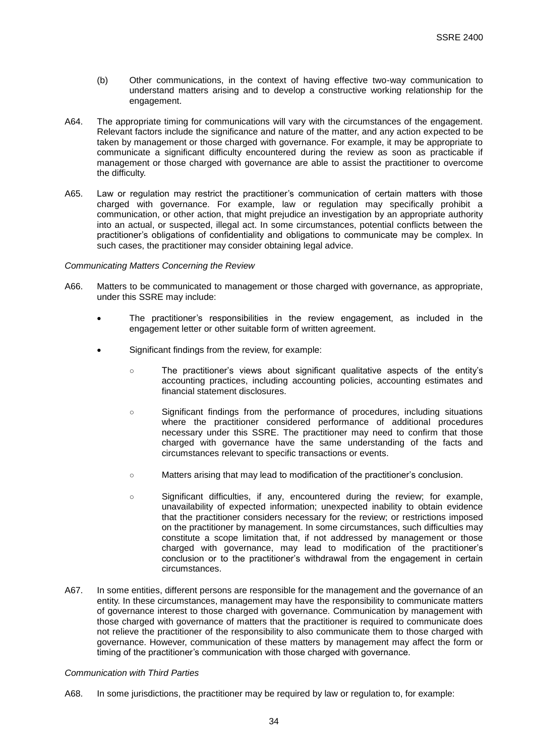- (b) Other communications, in the context of having effective two-way communication to understand matters arising and to develop a constructive working relationship for the engagement.
- A64. The appropriate timing for communications will vary with the circumstances of the engagement. Relevant factors include the significance and nature of the matter, and any action expected to be taken by management or those charged with governance. For example, it may be appropriate to communicate a significant difficulty encountered during the review as soon as practicable if management or those charged with governance are able to assist the practitioner to overcome the difficulty.
- A65. Law or regulation may restrict the practitioner's communication of certain matters with those charged with governance. For example, law or regulation may specifically prohibit a communication, or other action, that might prejudice an investigation by an appropriate authority into an actual, or suspected, illegal act. In some circumstances, potential conflicts between the practitioner's obligations of confidentiality and obligations to communicate may be complex. In such cases, the practitioner may consider obtaining legal advice.

#### *Communicating Matters Concerning the Review*

- A66. Matters to be communicated to management or those charged with governance, as appropriate, under this SSRE may include:
	- The practitioner's responsibilities in the review engagement, as included in the engagement letter or other suitable form of written agreement.
	- Significant findings from the review, for example:
		- The practitioner's views about significant qualitative aspects of the entity's accounting practices, including accounting policies, accounting estimates and financial statement disclosures.
		- Significant findings from the performance of procedures, including situations where the practitioner considered performance of additional procedures necessary under this SSRE. The practitioner may need to confirm that those charged with governance have the same understanding of the facts and circumstances relevant to specific transactions or events.
		- Matters arising that may lead to modification of the practitioner's conclusion.
		- Significant difficulties, if any, encountered during the review; for example, unavailability of expected information; unexpected inability to obtain evidence that the practitioner considers necessary for the review; or restrictions imposed on the practitioner by management. In some circumstances, such difficulties may constitute a scope limitation that, if not addressed by management or those charged with governance, may lead to modification of the practitioner's conclusion or to the practitioner's withdrawal from the engagement in certain circumstances.
- A67. In some entities, different persons are responsible for the management and the governance of an entity. In these circumstances, management may have the responsibility to communicate matters of governance interest to those charged with governance. Communication by management with those charged with governance of matters that the practitioner is required to communicate does not relieve the practitioner of the responsibility to also communicate them to those charged with governance. However, communication of these matters by management may affect the form or timing of the practitioner's communication with those charged with governance.

#### *Communication with Third Parties*

A68. In some jurisdictions, the practitioner may be required by law or regulation to, for example: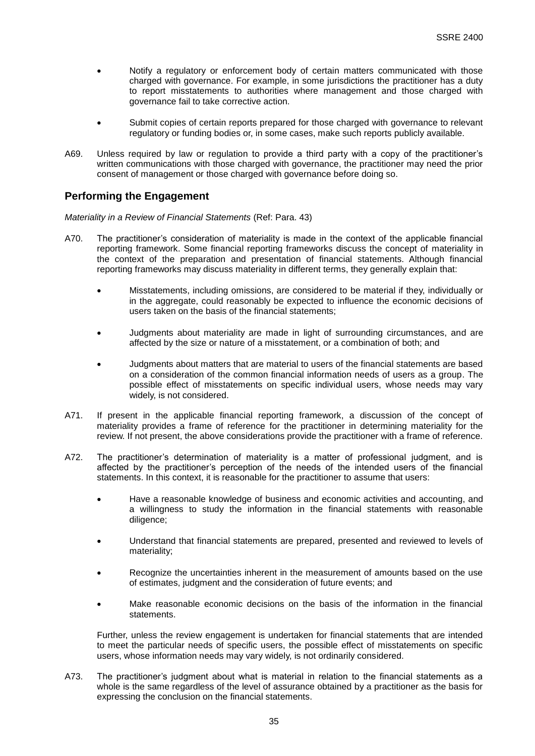- Notify a regulatory or enforcement body of certain matters communicated with those charged with governance. For example, in some jurisdictions the practitioner has a duty to report misstatements to authorities where management and those charged with governance fail to take corrective action.
- Submit copies of certain reports prepared for those charged with governance to relevant regulatory or funding bodies or, in some cases, make such reports publicly available.
- A69. Unless required by law or regulation to provide a third party with a copy of the practitioner's written communications with those charged with governance, the practitioner may need the prior consent of management or those charged with governance before doing so.

# **Performing the Engagement**

*Materiality in a Review of Financial Statements* (Ref: Para. 43)

- A70. The practitioner's consideration of materiality is made in the context of the applicable financial reporting framework. Some financial reporting frameworks discuss the concept of materiality in the context of the preparation and presentation of financial statements. Although financial reporting frameworks may discuss materiality in different terms, they generally explain that:
	- Misstatements, including omissions, are considered to be material if they, individually or in the aggregate, could reasonably be expected to influence the economic decisions of users taken on the basis of the financial statements;
	- Judgments about materiality are made in light of surrounding circumstances, and are affected by the size or nature of a misstatement, or a combination of both; and
	- Judgments about matters that are material to users of the financial statements are based on a consideration of the common financial information needs of users as a group. The possible effect of misstatements on specific individual users, whose needs may vary widely, is not considered.
- A71. If present in the applicable financial reporting framework, a discussion of the concept of materiality provides a frame of reference for the practitioner in determining materiality for the review. If not present, the above considerations provide the practitioner with a frame of reference.
- A72. The practitioner's determination of materiality is a matter of professional judgment, and is affected by the practitioner's perception of the needs of the intended users of the financial statements. In this context, it is reasonable for the practitioner to assume that users:
	- Have a reasonable knowledge of business and economic activities and accounting, and a willingness to study the information in the financial statements with reasonable diligence:
	- Understand that financial statements are prepared, presented and reviewed to levels of materiality;
	- Recognize the uncertainties inherent in the measurement of amounts based on the use of estimates, judgment and the consideration of future events; and
	- Make reasonable economic decisions on the basis of the information in the financial statements.

Further, unless the review engagement is undertaken for financial statements that are intended to meet the particular needs of specific users, the possible effect of misstatements on specific users, whose information needs may vary widely, is not ordinarily considered.

A73. The practitioner's judgment about what is material in relation to the financial statements as a whole is the same regardless of the level of assurance obtained by a practitioner as the basis for expressing the conclusion on the financial statements.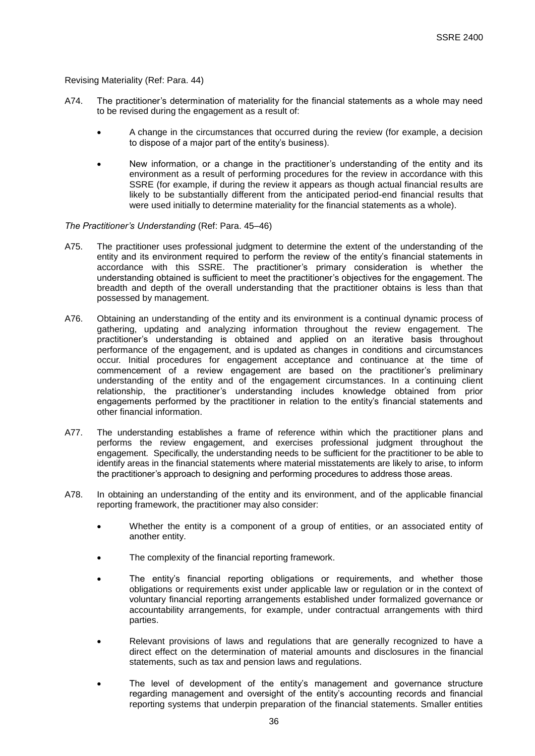Revising Materiality (Ref: Para. 44)

- A74. The practitioner's determination of materiality for the financial statements as a whole may need to be revised during the engagement as a result of:
	- A change in the circumstances that occurred during the review (for example, a decision to dispose of a major part of the entity's business).
	- New information, or a change in the practitioner's understanding of the entity and its environment as a result of performing procedures for the review in accordance with this SSRE (for example, if during the review it appears as though actual financial results are likely to be substantially different from the anticipated period-end financial results that were used initially to determine materiality for the financial statements as a whole).

*The Practitioner's Understanding* (Ref: Para. 45*–*46)

- A75. The practitioner uses professional judgment to determine the extent of the understanding of the entity and its environment required to perform the review of the entity's financial statements in accordance with this SSRE. The practitioner's primary consideration is whether the understanding obtained is sufficient to meet the practitioner's objectives for the engagement. The breadth and depth of the overall understanding that the practitioner obtains is less than that possessed by management.
- A76. Obtaining an understanding of the entity and its environment is a continual dynamic process of gathering, updating and analyzing information throughout the review engagement. The practitioner's understanding is obtained and applied on an iterative basis throughout performance of the engagement, and is updated as changes in conditions and circumstances occur. Initial procedures for engagement acceptance and continuance at the time of commencement of a review engagement are based on the practitioner's preliminary understanding of the entity and of the engagement circumstances. In a continuing client relationship, the practitioner's understanding includes knowledge obtained from prior engagements performed by the practitioner in relation to the entity's financial statements and other financial information.
- A77. The understanding establishes a frame of reference within which the practitioner plans and performs the review engagement, and exercises professional judgment throughout the engagement. Specifically, the understanding needs to be sufficient for the practitioner to be able to identify areas in the financial statements where material misstatements are likely to arise, to inform the practitioner's approach to designing and performing procedures to address those areas.
- A78. In obtaining an understanding of the entity and its environment, and of the applicable financial reporting framework, the practitioner may also consider:
	- Whether the entity is a component of a group of entities, or an associated entity of another entity.
	- The complexity of the financial reporting framework.
	- The entity's financial reporting obligations or requirements, and whether those obligations or requirements exist under applicable law or regulation or in the context of voluntary financial reporting arrangements established under formalized governance or accountability arrangements, for example, under contractual arrangements with third parties.
	- Relevant provisions of laws and regulations that are generally recognized to have a direct effect on the determination of material amounts and disclosures in the financial statements, such as tax and pension laws and regulations.
	- The level of development of the entity's management and governance structure regarding management and oversight of the entity's accounting records and financial reporting systems that underpin preparation of the financial statements. Smaller entities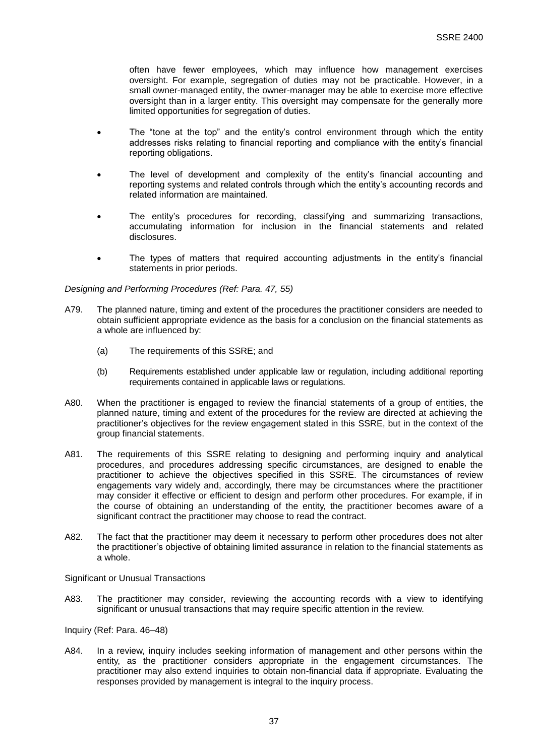often have fewer employees, which may influence how management exercises oversight. For example, segregation of duties may not be practicable. However, in a small owner-managed entity, the owner-manager may be able to exercise more effective oversight than in a larger entity. This oversight may compensate for the generally more limited opportunities for segregation of duties.

- The "tone at the top" and the entity's control environment through which the entity addresses risks relating to financial reporting and compliance with the entity's financial reporting obligations.
- The level of development and complexity of the entity's financial accounting and reporting systems and related controls through which the entity's accounting records and related information are maintained.
- The entity's procedures for recording, classifying and summarizing transactions, accumulating information for inclusion in the financial statements and related disclosures.
- The types of matters that required accounting adjustments in the entity's financial statements in prior periods.

#### *Designing and Performing Procedures (Ref: Para. 47, 55)*

- A79. The planned nature, timing and extent of the procedures the practitioner considers are needed to obtain sufficient appropriate evidence as the basis for a conclusion on the financial statements as a whole are influenced by:
	- (a) The requirements of this SSRE; and
	- (b) Requirements established under applicable law or regulation, including additional reporting requirements contained in applicable laws or regulations.
- A80. When the practitioner is engaged to review the financial statements of a group of entities, the planned nature, timing and extent of the procedures for the review are directed at achieving the practitioner's objectives for the review engagement stated in this SSRE, but in the context of the group financial statements.
- A81. The requirements of this SSRE relating to designing and performing inquiry and analytical procedures, and procedures addressing specific circumstances, are designed to enable the practitioner to achieve the objectives specified in this SSRE. The circumstances of review engagements vary widely and, accordingly, there may be circumstances where the practitioner may consider it effective or efficient to design and perform other procedures. For example, if in the course of obtaining an understanding of the entity, the practitioner becomes aware of a significant contract the practitioner may choose to read the contract.
- A82. The fact that the practitioner may deem it necessary to perform other procedures does not alter the practitioner's objective of obtaining limited assurance in relation to the financial statements as a whole.

Significant or Unusual Transactions

A83. The practitioner may consider, reviewing the accounting records with a view to identifying significant or unusual transactions that may require specific attention in the review.

Inquiry (Ref: Para. 46–48)

A84. In a review, inquiry includes seeking information of management and other persons within the entity, as the practitioner considers appropriate in the engagement circumstances. The practitioner may also extend inquiries to obtain non-financial data if appropriate. Evaluating the responses provided by management is integral to the inquiry process.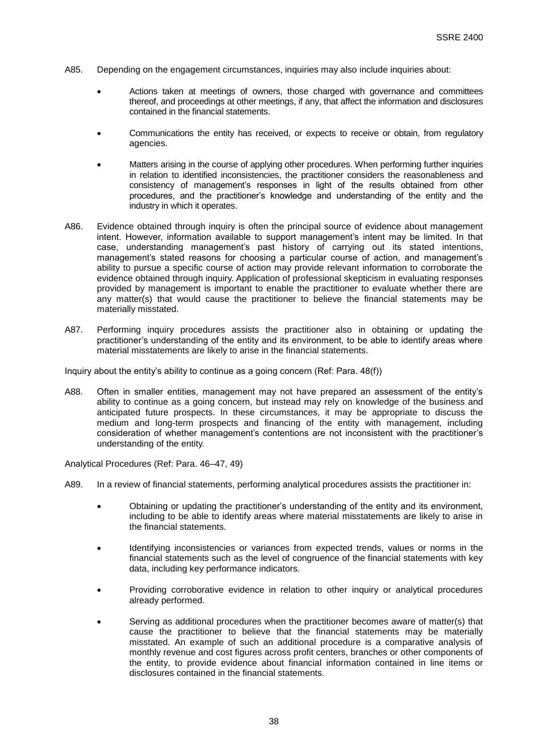- A85. Depending on the engagement circumstances, inquiries may also include inquiries about:
	- Actions taken at meetings of owners, those charged with governance and committees thereof, and proceedings at other meetings, if any, that affect the information and disclosures contained in the financial statements.
	- Communications the entity has received, or expects to receive or obtain, from regulatory agencies.
	- Matters arising in the course of applying other procedures. When performing further inquiries in relation to identified inconsistencies, the practitioner considers the reasonableness and consistency of management's responses in light of the results obtained from other procedures, and the practitioner's knowledge and understanding of the entity and the industry in which it operates.
- A86. Evidence obtained through inquiry is often the principal source of evidence about management intent. However, information available to support management's intent may be limited. In that case, understanding management's past history of carrying out its stated intentions, management's stated reasons for choosing a particular course of action, and management's ability to pursue a specific course of action may provide relevant information to corroborate the evidence obtained through inquiry. Application of professional skepticism in evaluating responses provided by management is important to enable the practitioner to evaluate whether there are any matter(s) that would cause the practitioner to believe the financial statements may be materially misstated.
- A87. Performing inquiry procedures assists the practitioner also in obtaining or updating the practitioner's understanding of the entity and its environment, to be able to identify areas where material misstatements are likely to arise in the financial statements.

Inquiry about the entity's ability to continue as a going concern (Ref: Para. 48(f))

A88. Often in smaller entities, management may not have prepared an assessment of the entity's ability to continue as a going concern, but instead may rely on knowledge of the business and anticipated future prospects. In these circumstances, it may be appropriate to discuss the medium and long-term prospects and financing of the entity with management, including consideration of whether management's contentions are not inconsistent with the practitioner's understanding of the entity.

Analytical Procedures (Ref: Para. 46–47, 49)

- A89. In a review of financial statements, performing analytical procedures assists the practitioner in:
	- Obtaining or updating the practitioner's understanding of the entity and its environment, including to be able to identify areas where material misstatements are likely to arise in the financial statements.
	- Identifying inconsistencies or variances from expected trends, values or norms in the financial statements such as the level of congruence of the financial statements with key data, including key performance indicators.
	- Providing corroborative evidence in relation to other inquiry or analytical procedures already performed.
	- Serving as additional procedures when the practitioner becomes aware of matter(s) that cause the practitioner to believe that the financial statements may be materially misstated. An example of such an additional procedure is a comparative analysis of monthly revenue and cost figures across profit centers, branches or other components of the entity, to provide evidence about financial information contained in line items or disclosures contained in the financial statements.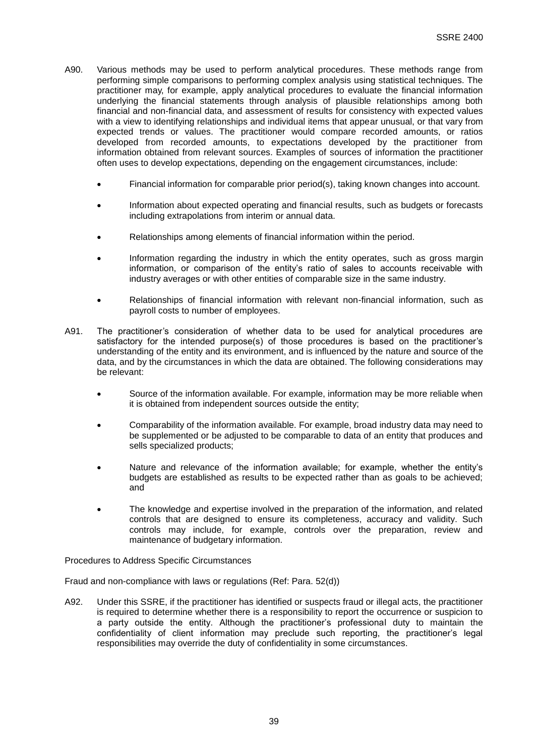- A90. Various methods may be used to perform analytical procedures. These methods range from performing simple comparisons to performing complex analysis using statistical techniques. The practitioner may, for example, apply analytical procedures to evaluate the financial information underlying the financial statements through analysis of plausible relationships among both financial and non-financial data, and assessment of results for consistency with expected values with a view to identifying relationships and individual items that appear unusual, or that vary from expected trends or values. The practitioner would compare recorded amounts, or ratios developed from recorded amounts, to expectations developed by the practitioner from information obtained from relevant sources. Examples of sources of information the practitioner often uses to develop expectations, depending on the engagement circumstances, include:
	- Financial information for comparable prior period(s), taking known changes into account.
	- Information about expected operating and financial results, such as budgets or forecasts including extrapolations from interim or annual data.
	- Relationships among elements of financial information within the period.
	- Information regarding the industry in which the entity operates, such as gross margin information, or comparison of the entity's ratio of sales to accounts receivable with industry averages or with other entities of comparable size in the same industry.
	- Relationships of financial information with relevant non-financial information, such as payroll costs to number of employees.
- A91. The practitioner's consideration of whether data to be used for analytical procedures are satisfactory for the intended purpose(s) of those procedures is based on the practitioner's understanding of the entity and its environment, and is influenced by the nature and source of the data, and by the circumstances in which the data are obtained. The following considerations may be relevant:
	- Source of the information available. For example, information may be more reliable when it is obtained from independent sources outside the entity;
	- Comparability of the information available. For example, broad industry data may need to be supplemented or be adjusted to be comparable to data of an entity that produces and sells specialized products;
	- Nature and relevance of the information available; for example, whether the entity's budgets are established as results to be expected rather than as goals to be achieved; and
	- The knowledge and expertise involved in the preparation of the information, and related controls that are designed to ensure its completeness, accuracy and validity. Such controls may include, for example, controls over the preparation, review and maintenance of budgetary information.

Procedures to Address Specific Circumstances

Fraud and non-compliance with laws or regulations (Ref: Para. 52(d))

A92. Under this SSRE, if the practitioner has identified or suspects fraud or illegal acts, the practitioner is required to determine whether there is a responsibility to report the occurrence or suspicion to a party outside the entity. Although the practitioner's professional duty to maintain the confidentiality of client information may preclude such reporting, the practitioner's legal responsibilities may override the duty of confidentiality in some circumstances.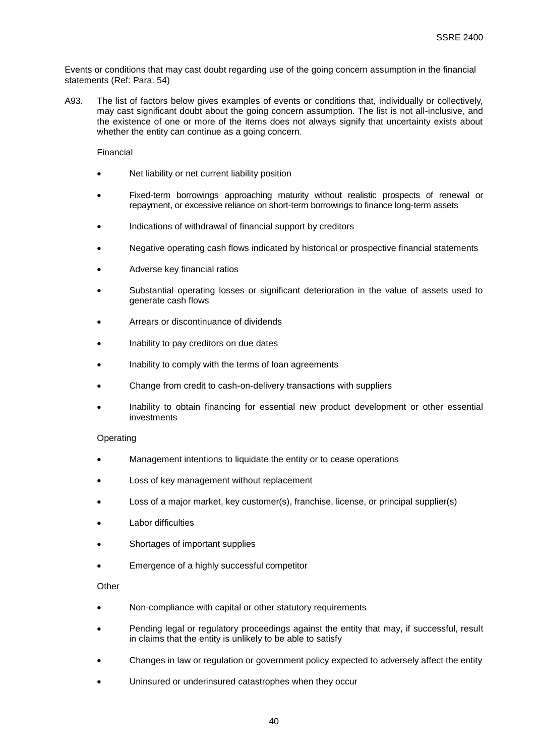Events or conditions that may cast doubt regarding use of the going concern assumption in the financial statements (Ref: Para. 54)

A93. The list of factors below gives examples of events or conditions that, individually or collectively, may cast significant doubt about the going concern assumption. The list is not all-inclusive, and the existence of one or more of the items does not always signify that uncertainty exists about whether the entity can continue as a going concern.

Financial

- Net liability or net current liability position
- Fixed-term borrowings approaching maturity without realistic prospects of renewal or repayment, or excessive reliance on short-term borrowings to finance long-term assets
- Indications of withdrawal of financial support by creditors
- Negative operating cash flows indicated by historical or prospective financial statements
- Adverse key financial ratios
- Substantial operating losses or significant deterioration in the value of assets used to generate cash flows
- Arrears or discontinuance of dividends
- Inability to pay creditors on due dates
- Inability to comply with the terms of loan agreements
- Change from credit to cash-on-delivery transactions with suppliers
- Inability to obtain financing for essential new product development or other essential investments

#### **Operating**

- Management intentions to liquidate the entity or to cease operations
- Loss of key management without replacement
- Loss of a major market, key customer(s), franchise, license, or principal supplier(s)
- Labor difficulties
- Shortages of important supplies
- Emergence of a highly successful competitor

#### **Other**

- Non-compliance with capital or other statutory requirements
- Pending legal or regulatory proceedings against the entity that may, if successful, result in claims that the entity is unlikely to be able to satisfy
- Changes in law or regulation or government policy expected to adversely affect the entity
- Uninsured or underinsured catastrophes when they occur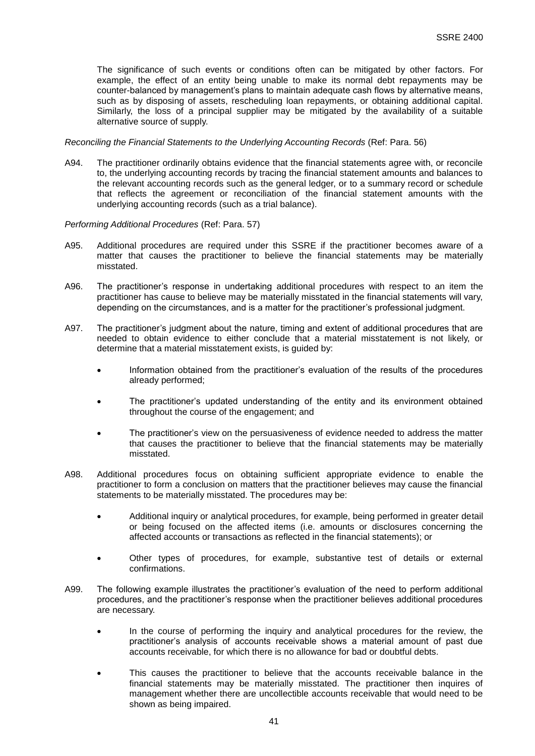The significance of such events or conditions often can be mitigated by other factors. For example, the effect of an entity being unable to make its normal debt repayments may be counter-balanced by management's plans to maintain adequate cash flows by alternative means, such as by disposing of assets, rescheduling loan repayments, or obtaining additional capital. Similarly, the loss of a principal supplier may be mitigated by the availability of a suitable alternative source of supply.

*Reconciling the Financial Statements to the Underlying Accounting Records (Ref: Para. 56)* 

A94. The practitioner ordinarily obtains evidence that the financial statements agree with, or reconcile to, the underlying accounting records by tracing the financial statement amounts and balances to the relevant accounting records such as the general ledger, or to a summary record or schedule that reflects the agreement or reconciliation of the financial statement amounts with the underlying accounting records (such as a trial balance).

#### *Performing Additional Procedures* (Ref: Para. 57)

- A95. Additional procedures are required under this SSRE if the practitioner becomes aware of a matter that causes the practitioner to believe the financial statements may be materially misstated.
- A96. The practitioner's response in undertaking additional procedures with respect to an item the practitioner has cause to believe may be materially misstated in the financial statements will vary, depending on the circumstances, and is a matter for the practitioner's professional judgment.
- A97. The practitioner's judgment about the nature, timing and extent of additional procedures that are needed to obtain evidence to either conclude that a material misstatement is not likely, or determine that a material misstatement exists, is guided by:
	- Information obtained from the practitioner's evaluation of the results of the procedures already performed;
	- The practitioner's updated understanding of the entity and its environment obtained throughout the course of the engagement; and
	- The practitioner's view on the persuasiveness of evidence needed to address the matter that causes the practitioner to believe that the financial statements may be materially misstated.
- A98. Additional procedures focus on obtaining sufficient appropriate evidence to enable the practitioner to form a conclusion on matters that the practitioner believes may cause the financial statements to be materially misstated. The procedures may be:
	- Additional inquiry or analytical procedures, for example, being performed in greater detail or being focused on the affected items (i.e. amounts or disclosures concerning the affected accounts or transactions as reflected in the financial statements); or
	- Other types of procedures, for example, substantive test of details or external confirmations.
- A99. The following example illustrates the practitioner's evaluation of the need to perform additional procedures, and the practitioner's response when the practitioner believes additional procedures are necessary.
	- In the course of performing the inquiry and analytical procedures for the review, the practitioner's analysis of accounts receivable shows a material amount of past due accounts receivable, for which there is no allowance for bad or doubtful debts.
	- This causes the practitioner to believe that the accounts receivable balance in the financial statements may be materially misstated. The practitioner then inquires of management whether there are uncollectible accounts receivable that would need to be shown as being impaired.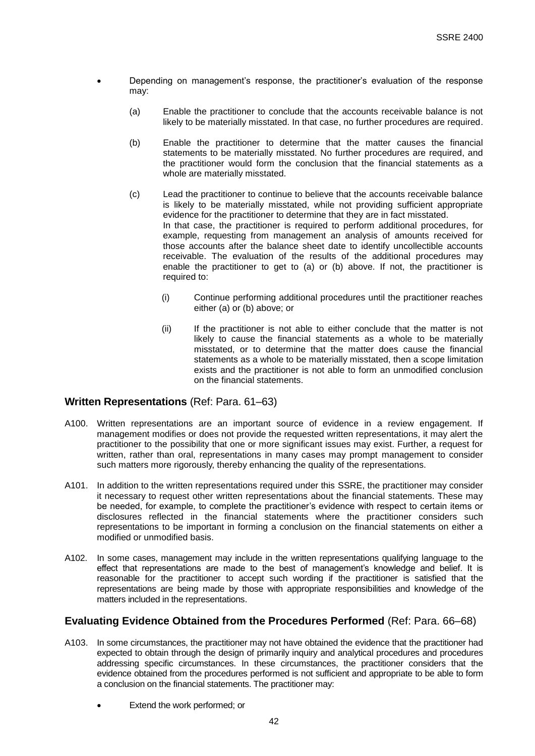- Depending on management's response, the practitioner's evaluation of the response may:
	- (a) Enable the practitioner to conclude that the accounts receivable balance is not likely to be materially misstated. In that case, no further procedures are required.
	- (b) Enable the practitioner to determine that the matter causes the financial statements to be materially misstated. No further procedures are required, and the practitioner would form the conclusion that the financial statements as a whole are materially misstated.
	- (c) Lead the practitioner to continue to believe that the accounts receivable balance is likely to be materially misstated, while not providing sufficient appropriate evidence for the practitioner to determine that they are in fact misstated. In that case, the practitioner is required to perform additional procedures, for example, requesting from management an analysis of amounts received for those accounts after the balance sheet date to identify uncollectible accounts receivable. The evaluation of the results of the additional procedures may enable the practitioner to get to (a) or (b) above. If not, the practitioner is required to:
		- (i) Continue performing additional procedures until the practitioner reaches either (a) or (b) above; or
		- (ii) If the practitioner is not able to either conclude that the matter is not likely to cause the financial statements as a whole to be materially misstated, or to determine that the matter does cause the financial statements as a whole to be materially misstated, then a scope limitation exists and the practitioner is not able to form an unmodified conclusion on the financial statements.

# **Written Representations** (Ref: Para. 61–63)

- A100. Written representations are an important source of evidence in a review engagement. If management modifies or does not provide the requested written representations, it may alert the practitioner to the possibility that one or more significant issues may exist. Further, a request for written, rather than oral, representations in many cases may prompt management to consider such matters more rigorously, thereby enhancing the quality of the representations.
- A101. In addition to the written representations required under this SSRE, the practitioner may consider it necessary to request other written representations about the financial statements. These may be needed, for example, to complete the practitioner's evidence with respect to certain items or disclosures reflected in the financial statements where the practitioner considers such representations to be important in forming a conclusion on the financial statements on either a modified or unmodified basis.
- A102. In some cases, management may include in the written representations qualifying language to the effect that representations are made to the best of management's knowledge and belief. It is reasonable for the practitioner to accept such wording if the practitioner is satisfied that the representations are being made by those with appropriate responsibilities and knowledge of the matters included in the representations.

# **Evaluating Evidence Obtained from the Procedures Performed** (Ref: Para. 66–68)

- A103. In some circumstances, the practitioner may not have obtained the evidence that the practitioner had expected to obtain through the design of primarily inquiry and analytical procedures and procedures addressing specific circumstances. In these circumstances, the practitioner considers that the evidence obtained from the procedures performed is not sufficient and appropriate to be able to form a conclusion on the financial statements. The practitioner may:
	- Extend the work performed; or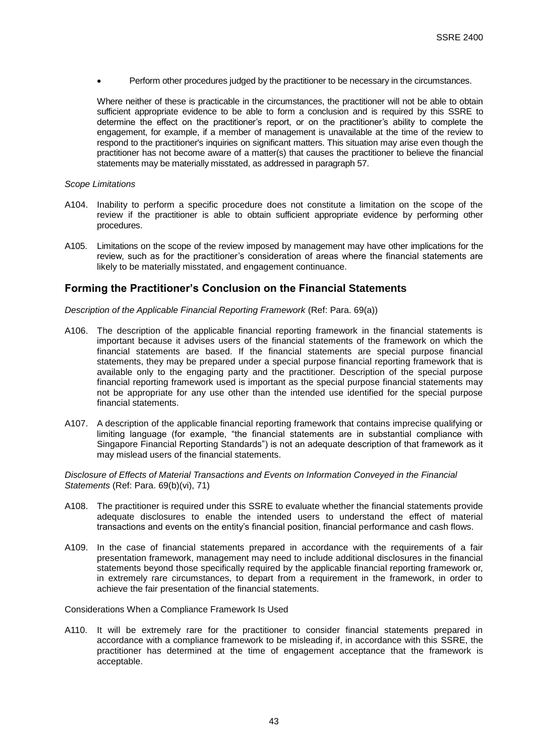Perform other procedures judged by the practitioner to be necessary in the circumstances.

Where neither of these is practicable in the circumstances, the practitioner will not be able to obtain sufficient appropriate evidence to be able to form a conclusion and is required by this SSRE to determine the effect on the practitioner's report, or on the practitioner's ability to complete the engagement, for example, if a member of management is unavailable at the time of the review to respond to the practitioner's inquiries on significant matters. This situation may arise even though the practitioner has not become aware of a matter(s) that causes the practitioner to believe the financial statements may be materially misstated, as addressed in paragraph 57.

#### *Scope Limitations*

- A104. Inability to perform a specific procedure does not constitute a limitation on the scope of the review if the practitioner is able to obtain sufficient appropriate evidence by performing other procedures.
- A105. Limitations on the scope of the review imposed by management may have other implications for the review, such as for the practitioner's consideration of areas where the financial statements are likely to be materially misstated, and engagement continuance.

### **Forming the Practitioner's Conclusion on the Financial Statements**

*Description of the Applicable Financial Reporting Framework* (Ref: Para. 69(a))

- A106. The description of the applicable financial reporting framework in the financial statements is important because it advises users of the financial statements of the framework on which the financial statements are based. If the financial statements are special purpose financial statements, they may be prepared under a special purpose financial reporting framework that is available only to the engaging party and the practitioner. Description of the special purpose financial reporting framework used is important as the special purpose financial statements may not be appropriate for any use other than the intended use identified for the special purpose financial statements.
- A107. A description of the applicable financial reporting framework that contains imprecise qualifying or limiting language (for example, "the financial statements are in substantial compliance with Singapore Financial Reporting Standards") is not an adequate description of that framework as it may mislead users of the financial statements.

*Disclosure of Effects of Material Transactions and Events on Information Conveyed in the Financial Statements* (Ref: Para. 69(b)(vi), 71)

- A108. The practitioner is required under this SSRE to evaluate whether the financial statements provide adequate disclosures to enable the intended users to understand the effect of material transactions and events on the entity's financial position, financial performance and cash flows.
- A109. In the case of financial statements prepared in accordance with the requirements of a fair presentation framework, management may need to include additional disclosures in the financial statements beyond those specifically required by the applicable financial reporting framework or, in extremely rare circumstances, to depart from a requirement in the framework, in order to achieve the fair presentation of the financial statements.

Considerations When a Compliance Framework Is Used

A110. It will be extremely rare for the practitioner to consider financial statements prepared in accordance with a compliance framework to be misleading if, in accordance with this SSRE, the practitioner has determined at the time of engagement acceptance that the framework is acceptable.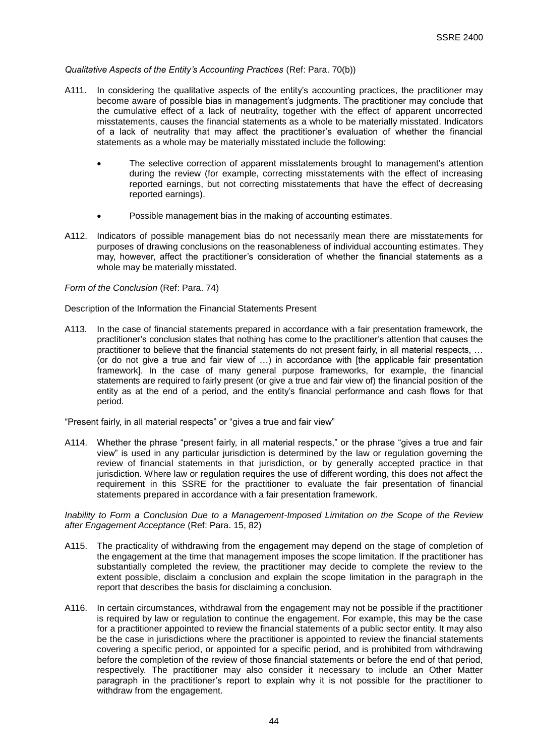#### *Qualitative Aspects of the Entity's Accounting Practices* (Ref: Para. 70(b))

- A111. In considering the qualitative aspects of the entity's accounting practices, the practitioner may become aware of possible bias in management's judgments. The practitioner may conclude that the cumulative effect of a lack of neutrality, together with the effect of apparent uncorrected misstatements, causes the financial statements as a whole to be materially misstated. Indicators of a lack of neutrality that may affect the practitioner's evaluation of whether the financial statements as a whole may be materially misstated include the following:
	- The selective correction of apparent misstatements brought to management's attention during the review (for example, correcting misstatements with the effect of increasing reported earnings, but not correcting misstatements that have the effect of decreasing reported earnings).
	- Possible management bias in the making of accounting estimates.
- A112. Indicators of possible management bias do not necessarily mean there are misstatements for purposes of drawing conclusions on the reasonableness of individual accounting estimates. They may, however, affect the practitioner's consideration of whether the financial statements as a whole may be materially misstated.

#### *Form of the Conclusion* (Ref: Para. 74)

#### Description of the Information the Financial Statements Present

A113. In the case of financial statements prepared in accordance with a fair presentation framework, the practitioner's conclusion states that nothing has come to the practitioner's attention that causes the practitioner to believe that the financial statements do not present fairly, in all material respects, … (or do not give a true and fair view of …) in accordance with [the applicable fair presentation framework]. In the case of many general purpose frameworks, for example, the financial statements are required to fairly present (or give a true and fair view of) the financial position of the entity as at the end of a period, and the entity's financial performance and cash flows for that period.

"Present fairly, in all material respects" or "gives a true and fair view"

A114. Whether the phrase "present fairly, in all material respects," or the phrase "gives a true and fair view" is used in any particular jurisdiction is determined by the law or regulation governing the review of financial statements in that jurisdiction, or by generally accepted practice in that jurisdiction. Where law or regulation requires the use of different wording, this does not affect the requirement in this SSRE for the practitioner to evaluate the fair presentation of financial statements prepared in accordance with a fair presentation framework.

*Inability to Form a Conclusion Due to a Management-Imposed Limitation on the Scope of the Review after Engagement Acceptance* (Ref: Para. 15, 82)

- A115. The practicality of withdrawing from the engagement may depend on the stage of completion of the engagement at the time that management imposes the scope limitation. If the practitioner has substantially completed the review, the practitioner may decide to complete the review to the extent possible, disclaim a conclusion and explain the scope limitation in the paragraph in the report that describes the basis for disclaiming a conclusion.
- A116. In certain circumstances, withdrawal from the engagement may not be possible if the practitioner is required by law or regulation to continue the engagement. For example, this may be the case for a practitioner appointed to review the financial statements of a public sector entity. It may also be the case in jurisdictions where the practitioner is appointed to review the financial statements covering a specific period, or appointed for a specific period, and is prohibited from withdrawing before the completion of the review of those financial statements or before the end of that period, respectively. The practitioner may also consider it necessary to include an Other Matter paragraph in the practitioner's report to explain why it is not possible for the practitioner to withdraw from the engagement.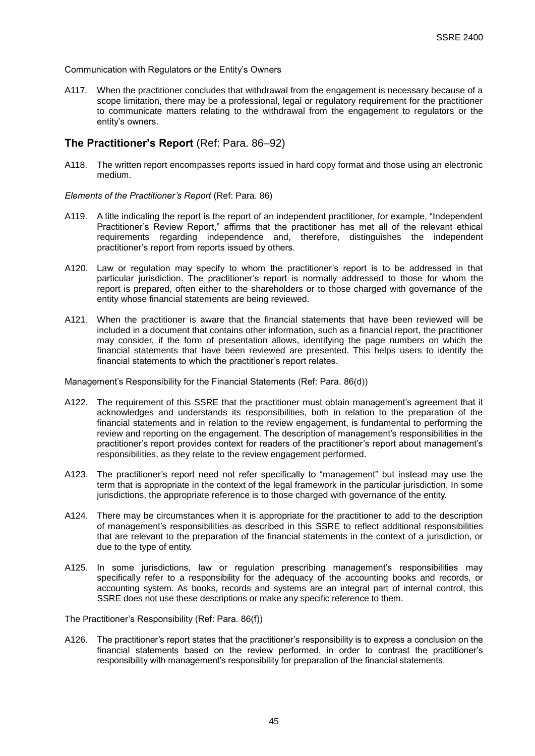#### Communication with Regulators or the Entity's Owners

A117. When the practitioner concludes that withdrawal from the engagement is necessary because of a scope limitation, there may be a professional, legal or regulatory requirement for the practitioner to communicate matters relating to the withdrawal from the engagement to regulators or the entity's owners.

# **The Practitioner's Report** (Ref: Para. 86–92)

A118. The written report encompasses reports issued in hard copy format and those using an electronic medium.

#### *Elements of the Practitioner's Report* (Ref: Para. 86)

- A119. A title indicating the report is the report of an independent practitioner, for example, "Independent Practitioner's Review Report," affirms that the practitioner has met all of the relevant ethical requirements regarding independence and, therefore, distinguishes the independent practitioner's report from reports issued by others.
- A120. Law or regulation may specify to whom the practitioner's report is to be addressed in that particular jurisdiction. The practitioner's report is normally addressed to those for whom the report is prepared, often either to the shareholders or to those charged with governance of the entity whose financial statements are being reviewed.
- A121. When the practitioner is aware that the financial statements that have been reviewed will be included in a document that contains other information, such as a financial report, the practitioner may consider, if the form of presentation allows, identifying the page numbers on which the financial statements that have been reviewed are presented. This helps users to identify the financial statements to which the practitioner's report relates.

Management's Responsibility for the Financial Statements (Ref: Para. 86(d))

- A122. The requirement of this SSRE that the practitioner must obtain management's agreement that it acknowledges and understands its responsibilities, both in relation to the preparation of the financial statements and in relation to the review engagement, is fundamental to performing the review and reporting on the engagement. The description of management's responsibilities in the practitioner's report provides context for readers of the practitioner's report about management's responsibilities, as they relate to the review engagement performed.
- A123. The practitioner's report need not refer specifically to "management" but instead may use the term that is appropriate in the context of the legal framework in the particular jurisdiction. In some jurisdictions, the appropriate reference is to those charged with governance of the entity.
- A124. There may be circumstances when it is appropriate for the practitioner to add to the description of management's responsibilities as described in this SSRE to reflect additional responsibilities that are relevant to the preparation of the financial statements in the context of a jurisdiction, or due to the type of entity.
- A125. In some jurisdictions, law or regulation prescribing management's responsibilities may specifically refer to a responsibility for the adequacy of the accounting books and records, or accounting system. As books, records and systems are an integral part of internal control, this SSRE does not use these descriptions or make any specific reference to them.

The Practitioner's Responsibility (Ref: Para. 86(f))

A126. The practitioner's report states that the practitioner's responsibility is to express a conclusion on the financial statements based on the review performed, in order to contrast the practitioner's responsibility with management's responsibility for preparation of the financial statements.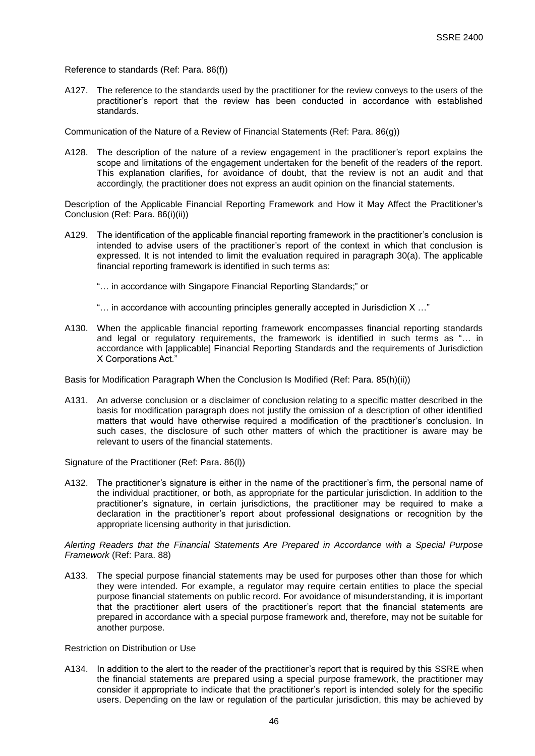Reference to standards (Ref: Para. 86(f))

A127. The reference to the standards used by the practitioner for the review conveys to the users of the practitioner's report that the review has been conducted in accordance with established standards.

Communication of the Nature of a Review of Financial Statements (Ref: Para. 86(g))

A128. The description of the nature of a review engagement in the practitioner's report explains the scope and limitations of the engagement undertaken for the benefit of the readers of the report. This explanation clarifies, for avoidance of doubt, that the review is not an audit and that accordingly, the practitioner does not express an audit opinion on the financial statements.

Description of the Applicable Financial Reporting Framework and How it May Affect the Practitioner's Conclusion (Ref: Para. 86(i)(ii))

- A129. The identification of the applicable financial reporting framework in the practitioner's conclusion is intended to advise users of the practitioner's report of the context in which that conclusion is expressed. It is not intended to limit the evaluation required in paragraph 30(a). The applicable financial reporting framework is identified in such terms as:
	- "… in accordance with Singapore Financial Reporting Standards;" or
	- "… in accordance with accounting principles generally accepted in Jurisdiction X …"
- A130. When the applicable financial reporting framework encompasses financial reporting standards and legal or regulatory requirements, the framework is identified in such terms as "… in accordance with [applicable] Financial Reporting Standards and the requirements of Jurisdiction X Corporations Act."

Basis for Modification Paragraph When the Conclusion Is Modified (Ref: Para. 85(h)(ii))

A131. An adverse conclusion or a disclaimer of conclusion relating to a specific matter described in the basis for modification paragraph does not justify the omission of a description of other identified matters that would have otherwise required a modification of the practitioner's conclusion. In such cases, the disclosure of such other matters of which the practitioner is aware may be relevant to users of the financial statements.

Signature of the Practitioner (Ref: Para. 86(l))

A132. The practitioner's signature is either in the name of the practitioner's firm, the personal name of the individual practitioner, or both, as appropriate for the particular jurisdiction. In addition to the practitioner's signature, in certain jurisdictions, the practitioner may be required to make a declaration in the practitioner's report about professional designations or recognition by the appropriate licensing authority in that jurisdiction.

*Alerting Readers that the Financial Statements Are Prepared in Accordance with a Special Purpose Framework* (Ref: Para. 88)

A133. The special purpose financial statements may be used for purposes other than those for which they were intended. For example, a regulator may require certain entities to place the special purpose financial statements on public record. For avoidance of misunderstanding, it is important that the practitioner alert users of the practitioner's report that the financial statements are prepared in accordance with a special purpose framework and, therefore, may not be suitable for another purpose.

Restriction on Distribution or Use

A134. In addition to the alert to the reader of the practitioner's report that is required by this SSRE when the financial statements are prepared using a special purpose framework, the practitioner may consider it appropriate to indicate that the practitioner's report is intended solely for the specific users. Depending on the law or regulation of the particular jurisdiction, this may be achieved by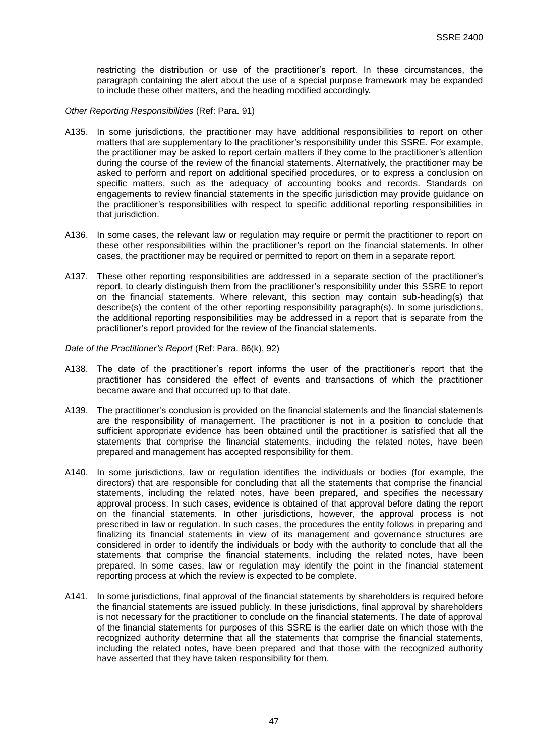restricting the distribution or use of the practitioner's report. In these circumstances, the paragraph containing the alert about the use of a special purpose framework may be expanded to include these other matters, and the heading modified accordingly.

*Other Reporting Responsibilities* (Ref: Para. 91)

- A135. In some jurisdictions, the practitioner may have additional responsibilities to report on other matters that are supplementary to the practitioner's responsibility under this SSRE. For example, the practitioner may be asked to report certain matters if they come to the practitioner's attention during the course of the review of the financial statements. Alternatively, the practitioner may be asked to perform and report on additional specified procedures, or to express a conclusion on specific matters, such as the adequacy of accounting books and records. Standards on engagements to review financial statements in the specific jurisdiction may provide guidance on the practitioner's responsibilities with respect to specific additional reporting responsibilities in that jurisdiction.
- A136. In some cases, the relevant law or regulation may require or permit the practitioner to report on these other responsibilities within the practitioner's report on the financial statements. In other cases, the practitioner may be required or permitted to report on them in a separate report.
- A137. These other reporting responsibilities are addressed in a separate section of the practitioner's report, to clearly distinguish them from the practitioner's responsibility under this SSRE to report on the financial statements. Where relevant, this section may contain sub-heading(s) that describe(s) the content of the other reporting responsibility paragraph(s). In some jurisdictions, the additional reporting responsibilities may be addressed in a report that is separate from the practitioner's report provided for the review of the financial statements.

#### *Date of the Practitioner's Report* (Ref: Para. 86(k), 92)

- A138. The date of the practitioner's report informs the user of the practitioner's report that the practitioner has considered the effect of events and transactions of which the practitioner became aware and that occurred up to that date.
- A139. The practitioner's conclusion is provided on the financial statements and the financial statements are the responsibility of management. The practitioner is not in a position to conclude that sufficient appropriate evidence has been obtained until the practitioner is satisfied that all the statements that comprise the financial statements, including the related notes, have been prepared and management has accepted responsibility for them.
- A140. In some jurisdictions, law or regulation identifies the individuals or bodies (for example, the directors) that are responsible for concluding that all the statements that comprise the financial statements, including the related notes, have been prepared, and specifies the necessary approval process. In such cases, evidence is obtained of that approval before dating the report on the financial statements. In other jurisdictions, however, the approval process is not prescribed in law or regulation. In such cases, the procedures the entity follows in preparing and finalizing its financial statements in view of its management and governance structures are considered in order to identify the individuals or body with the authority to conclude that all the statements that comprise the financial statements, including the related notes, have been prepared. In some cases, law or regulation may identify the point in the financial statement reporting process at which the review is expected to be complete.
- A141. In some jurisdictions, final approval of the financial statements by shareholders is required before the financial statements are issued publicly. In these jurisdictions, final approval by shareholders is not necessary for the practitioner to conclude on the financial statements. The date of approval of the financial statements for purposes of this SSRE is the earlier date on which those with the recognized authority determine that all the statements that comprise the financial statements, including the related notes, have been prepared and that those with the recognized authority have asserted that they have taken responsibility for them.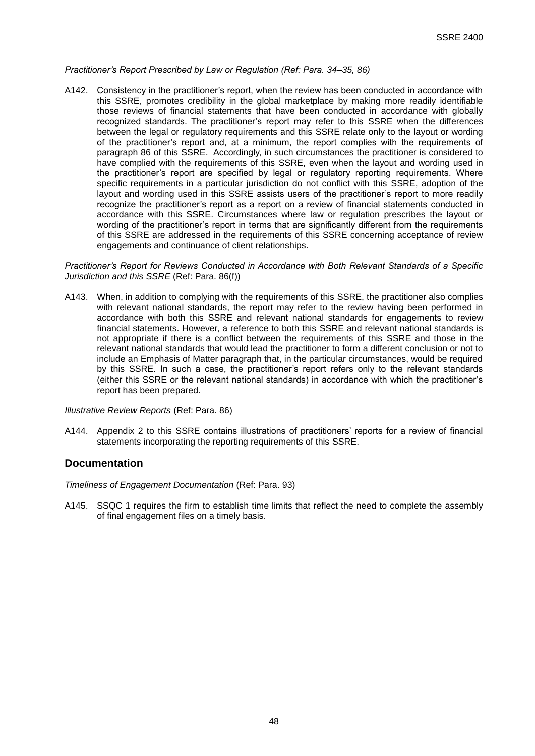### *Practitioner's Report Prescribed by Law or Regulation (Ref: Para. 34–35, 86)*

A142. Consistency in the practitioner's report, when the review has been conducted in accordance with this SSRE, promotes credibility in the global marketplace by making more readily identifiable those reviews of financial statements that have been conducted in accordance with globally recognized standards. The practitioner's report may refer to this SSRE when the differences between the legal or regulatory requirements and this SSRE relate only to the layout or wording of the practitioner's report and, at a minimum, the report complies with the requirements of paragraph 86 of this SSRE. Accordingly, in such circumstances the practitioner is considered to have complied with the requirements of this SSRE, even when the layout and wording used in the practitioner's report are specified by legal or regulatory reporting requirements. Where specific requirements in a particular jurisdiction do not conflict with this SSRE, adoption of the layout and wording used in this SSRE assists users of the practitioner's report to more readily recognize the practitioner's report as a report on a review of financial statements conducted in accordance with this SSRE. Circumstances where law or regulation prescribes the layout or wording of the practitioner's report in terms that are significantly different from the requirements of this SSRE are addressed in the requirements of this SSRE concerning acceptance of review engagements and continuance of client relationships.

*Practitioner's Report for Reviews Conducted in Accordance with Both Relevant Standards of a Specific Jurisdiction and this SSRE* (Ref: Para. 86(f))

A143. When, in addition to complying with the requirements of this SSRE, the practitioner also complies with relevant national standards, the report may refer to the review having been performed in accordance with both this SSRE and relevant national standards for engagements to review financial statements. However, a reference to both this SSRE and relevant national standards is not appropriate if there is a conflict between the requirements of this SSRE and those in the relevant national standards that would lead the practitioner to form a different conclusion or not to include an Emphasis of Matter paragraph that, in the particular circumstances, would be required by this SSRE. In such a case, the practitioner's report refers only to the relevant standards (either this SSRE or the relevant national standards) in accordance with which the practitioner's report has been prepared.

*Illustrative Review Reports* (Ref: Para. 86)

A144. Appendix 2 to this SSRE contains illustrations of practitioners' reports for a review of financial statements incorporating the reporting requirements of this SSRE.

# **Documentation**

*Timeliness of Engagement Documentation* (Ref: Para. 93)

A145. SSQC 1 requires the firm to establish time limits that reflect the need to complete the assembly of final engagement files on a timely basis.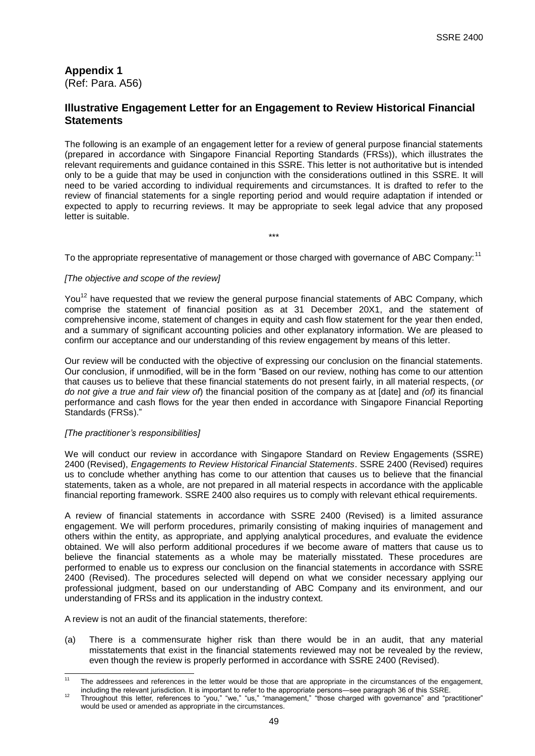# **Appendix 1** (Ref: Para. A56)

# **Illustrative Engagement Letter for an Engagement to Review Historical Financial Statements**

The following is an example of an engagement letter for a review of general purpose financial statements (prepared in accordance with Singapore Financial Reporting Standards (FRSs)), which illustrates the relevant requirements and guidance contained in this SSRE. This letter is not authoritative but is intended only to be a guide that may be used in conjunction with the considerations outlined in this SSRE. It will need to be varied according to individual requirements and circumstances. It is drafted to refer to the review of financial statements for a single reporting period and would require adaptation if intended or expected to apply to recurring reviews. It may be appropriate to seek legal advice that any proposed letter is suitable.

To the appropriate representative of management or those charged with governance of ABC Company:<sup>11</sup>

\*\*\*

#### *[The objective and scope of the review]*

You<sup>12</sup> have requested that we review the general purpose financial statements of ABC Company, which comprise the statement of financial position as at 31 December 20X1, and the statement of comprehensive income, statement of changes in equity and cash flow statement for the year then ended, and a summary of significant accounting policies and other explanatory information. We are pleased to confirm our acceptance and our understanding of this review engagement by means of this letter.

Our review will be conducted with the objective of expressing our conclusion on the financial statements. Our conclusion, if unmodified, will be in the form "Based on our review, nothing has come to our attention that causes us to believe that these financial statements do not present fairly, in all material respects, (*or do not give a true and fair view of*) the financial position of the company as at [date] and *(of)* its financial performance and cash flows for the year then ended in accordance with Singapore Financial Reporting Standards (FRSs)."

#### *[The practitioner's responsibilities]*

We will conduct our review in accordance with Singapore Standard on Review Engagements (SSRE) 2400 (Revised), *Engagements to Review Historical Financial Statements*. SSRE 2400 (Revised) requires us to conclude whether anything has come to our attention that causes us to believe that the financial statements, taken as a whole, are not prepared in all material respects in accordance with the applicable financial reporting framework. SSRE 2400 also requires us to comply with relevant ethical requirements.

A review of financial statements in accordance with SSRE 2400 (Revised) is a limited assurance engagement. We will perform procedures, primarily consisting of making inquiries of management and others within the entity, as appropriate, and applying analytical procedures, and evaluate the evidence obtained. We will also perform additional procedures if we become aware of matters that cause us to believe the financial statements as a whole may be materially misstated. These procedures are performed to enable us to express our conclusion on the financial statements in accordance with SSRE 2400 (Revised). The procedures selected will depend on what we consider necessary applying our professional judgment, based on our understanding of ABC Company and its environment, and our understanding of FRSs and its application in the industry context.

A review is not an audit of the financial statements, therefore:

(a) There is a commensurate higher risk than there would be in an audit, that any material misstatements that exist in the financial statements reviewed may not be revealed by the review, even though the review is properly performed in accordance with SSRE 2400 (Revised).

 $11$ The addressees and references in the letter would be those that are appropriate in the circumstances of the engagement, including the relevant jurisdiction. It is important to refer to the appropriate persons—see paragraph 36 of this SSRE. <sup>12</sup> Throughout this letter, references to "you," "we," "us," "management," "those charged with governance" and "practitioner"

would be used or amended as appropriate in the circumstances.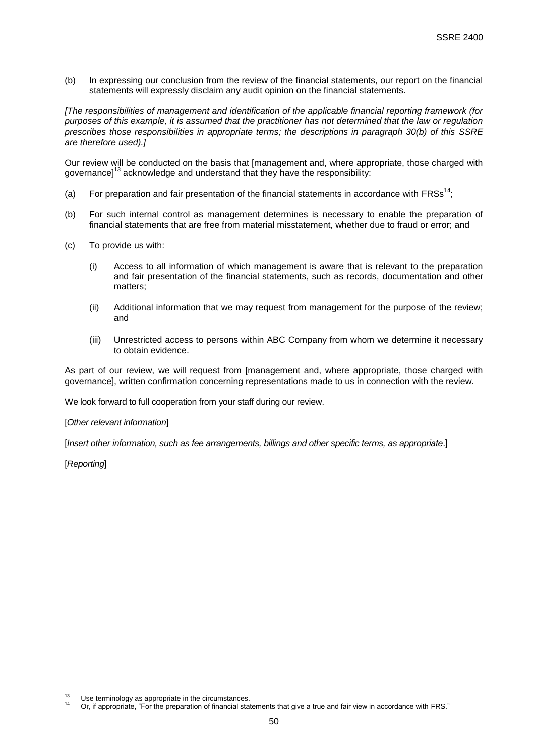(b) In expressing our conclusion from the review of the financial statements, our report on the financial statements will expressly disclaim any audit opinion on the financial statements.

*[The responsibilities of management and identification of the applicable financial reporting framework (for purposes of this example, it is assumed that the practitioner has not determined that the law or regulation prescribes those responsibilities in appropriate terms; the descriptions in paragraph 30(b) of this SSRE are therefore used).]*

Our review will be conducted on the basis that [management and, where appropriate, those charged with governance]<sup>13</sup> acknowledge and understand that they have the responsibility:

- (a) For preparation and fair presentation of the financial statements in accordance with  $FRSs^{14}$ ;
- (b) For such internal control as management determines is necessary to enable the preparation of financial statements that are free from material misstatement, whether due to fraud or error; and
- (c) To provide us with:
	- (i) Access to all information of which management is aware that is relevant to the preparation and fair presentation of the financial statements, such as records, documentation and other matters;
	- (ii) Additional information that we may request from management for the purpose of the review; and
	- (iii) Unrestricted access to persons within ABC Company from whom we determine it necessary to obtain evidence.

As part of our review, we will request from [management and, where appropriate, those charged with governance], written confirmation concerning representations made to us in connection with the review.

We look forward to full cooperation from your staff during our review.

[*Other relevant information*]

[*Insert other information, such as fee arrangements, billings and other specific terms, as appropriate*.]

[*Reporting*]

 $13$ <sup>13</sup> Use terminology as appropriate in the circumstances.<br><sup>14</sup> Or if parameters "Fasthe appropriate of financial sta

<sup>14</sup> Or, if appropriate, "For the preparation of financial statements that give a true and fair view in accordance with FRS."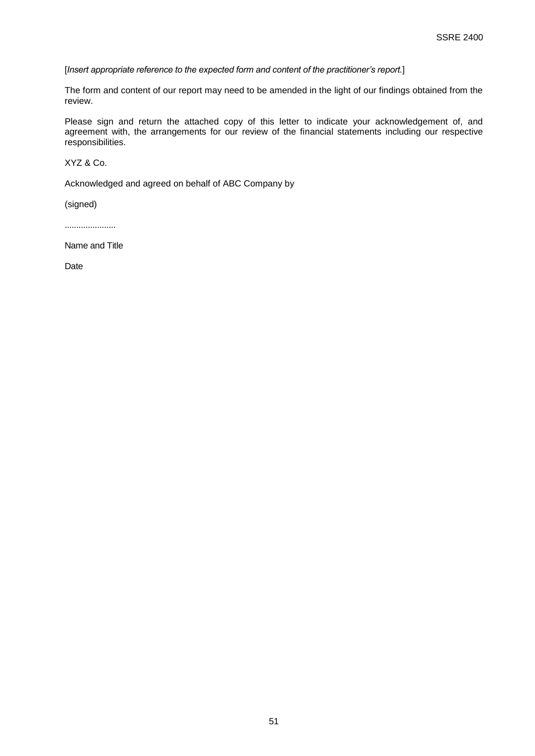#### [*Insert appropriate reference to the expected form and content of the practitioner's report.*]

The form and content of our report may need to be amended in the light of our findings obtained from the review.

Please sign and return the attached copy of this letter to indicate your acknowledgement of, and agreement with, the arrangements for our review of the financial statements including our respective responsibilities.

XYZ & Co.

Acknowledged and agreed on behalf of ABC Company by

(signed)

......................

Name and Title

Date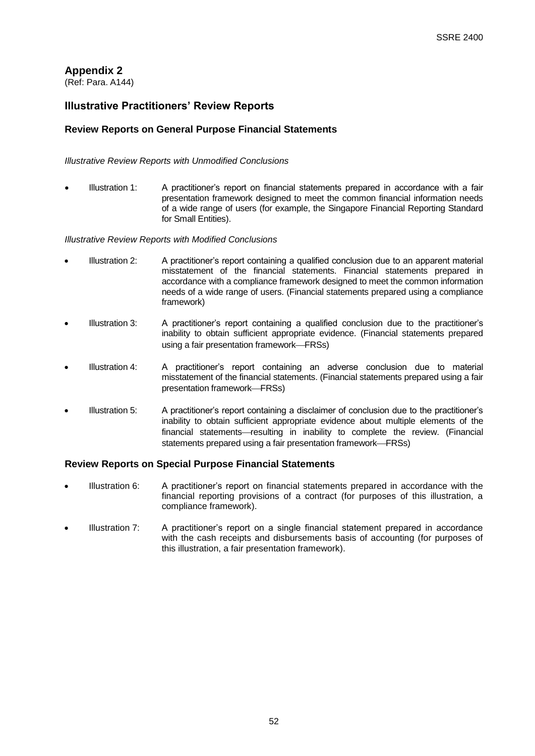**Appendix 2** (Ref: Para. A144)

# **Illustrative Practitioners' Review Reports**

# **Review Reports on General Purpose Financial Statements**

#### *Illustrative Review Reports with Unmodified Conclusions*

 Illustration 1: A practitioner's report on financial statements prepared in accordance with a fair presentation framework designed to meet the common financial information needs of a wide range of users (for example, the Singapore Financial Reporting Standard for Small Entities).

*Illustrative Review Reports with Modified Conclusions* 

- Illustration 2: A practitioner's report containing a qualified conclusion due to an apparent material misstatement of the financial statements. Financial statements prepared in accordance with a compliance framework designed to meet the common information needs of a wide range of users. (Financial statements prepared using a compliance framework)
- Illustration 3: A practitioner's report containing a qualified conclusion due to the practitioner's inability to obtain sufficient appropriate evidence. (Financial statements prepared using a fair presentation framework-FRSs)
- Illustration 4: A practitioner's report containing an adverse conclusion due to material misstatement of the financial statements. (Financial statements prepared using a fair presentation framework-FRSs)
- Illustration 5: A practitioner's report containing a disclaimer of conclusion due to the practitioner's inability to obtain sufficient appropriate evidence about multiple elements of the financial statements—resulting in inability to complete the review. (Financial statements prepared using a fair presentation framework—FRSs)

### **Review Reports on Special Purpose Financial Statements**

- Illustration 6: A practitioner's report on financial statements prepared in accordance with the financial reporting provisions of a contract (for purposes of this illustration, a compliance framework).
- Illustration 7: A practitioner's report on a single financial statement prepared in accordance with the cash receipts and disbursements basis of accounting (for purposes of this illustration, a fair presentation framework).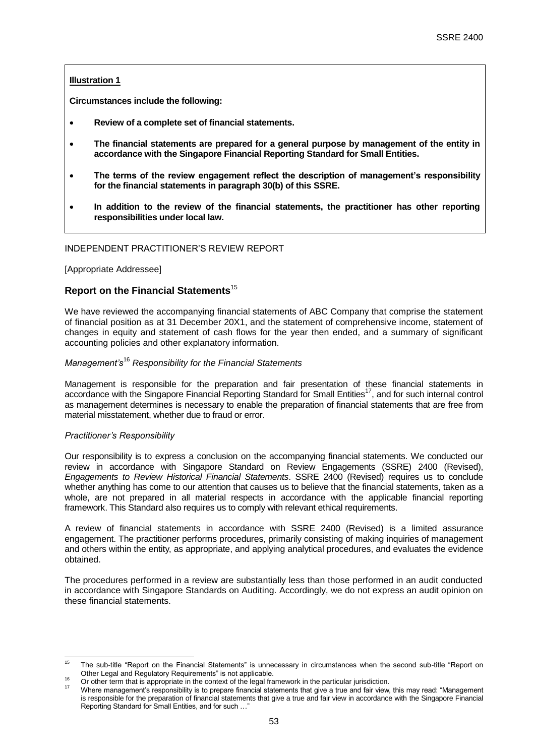# **Illustration 1**

**Circumstances include the following:**

- **Review of a complete set of financial statements.**
- **The financial statements are prepared for a general purpose by management of the entity in accordance with the Singapore Financial Reporting Standard for Small Entities.**
- **The terms of the review engagement reflect the description of management's responsibility for the financial statements in paragraph 30(b) of this SSRE.**
- **In addition to the review of the financial statements, the practitioner has other reporting responsibilities under local law.**

### INDEPENDENT PRACTITIONER'S REVIEW REPORT

[Appropriate Addressee]

# **Report on the Financial Statements**<sup>15</sup>

We have reviewed the accompanying financial statements of ABC Company that comprise the statement of financial position as at 31 December 20X1, and the statement of comprehensive income, statement of changes in equity and statement of cash flows for the year then ended, and a summary of significant accounting policies and other explanatory information.

# *Management's*<sup>16</sup> *Responsibility for the Financial Statements*

Management is responsible for the preparation and fair presentation of these financial statements in accordance with the Singapore Financial Reporting Standard for Small Entities<sup>17</sup>, and for such internal control as management determines is necessary to enable the preparation of financial statements that are free from material misstatement, whether due to fraud or error.

#### *Practitioner's Responsibility*

Our responsibility is to express a conclusion on the accompanying financial statements. We conducted our review in accordance with Singapore Standard on Review Engagements (SSRE) 2400 (Revised), *Engagements to Review Historical Financial Statements*. SSRE 2400 (Revised) requires us to conclude whether anything has come to our attention that causes us to believe that the financial statements, taken as a whole, are not prepared in all material respects in accordance with the applicable financial reporting framework. This Standard also requires us to comply with relevant ethical requirements.

A review of financial statements in accordance with SSRE 2400 (Revised) is a limited assurance engagement. The practitioner performs procedures, primarily consisting of making inquiries of management and others within the entity, as appropriate, and applying analytical procedures, and evaluates the evidence obtained.

The procedures performed in a review are substantially less than those performed in an audit conducted in accordance with Singapore Standards on Auditing. Accordingly, we do not express an audit opinion on these financial statements.

<sup>1</sup> <sup>15</sup> The sub-title "Report on the Financial Statements" is unnecessary in circumstances when the second sub-title "Report on Other Legal and Regulatory Requirements" is not applicable.

<sup>&</sup>lt;sup>16</sup> Or other term that is appropriate in the context of the legal framework in the particular jurisdiction.

<sup>17</sup> Where management's responsibility is to prepare financial statements that give a true and fair view, this may read: "Management is responsible for the preparation of financial statements that give a true and fair view in accordance with the Singapore Financial Reporting Standard for Small Entities, and for such …"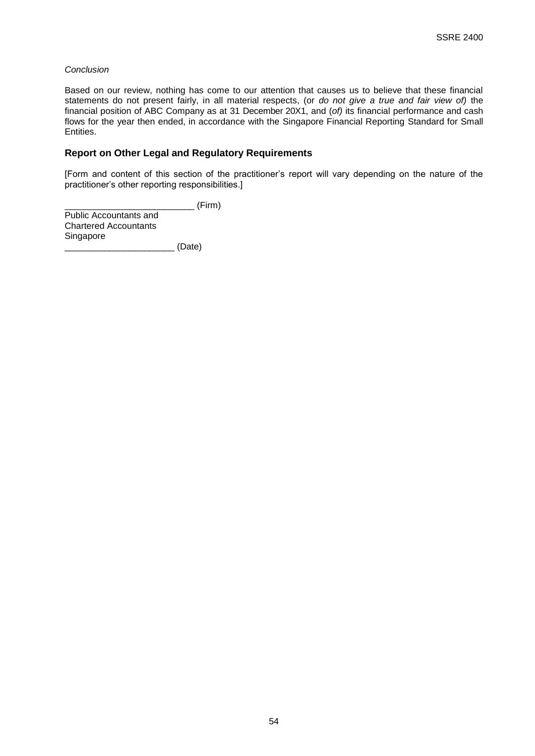### *Conclusion*

Based on our review, nothing has come to our attention that causes us to believe that these financial statements do not present fairly, in all material respects, (or *do not give a true and fair view of)* the financial position of ABC Company as at 31 December 20X1, and (*of)* its financial performance and cash flows for the year then ended, in accordance with the Singapore Financial Reporting Standard for Small Entities.

# **Report on Other Legal and Regulatory Requirements**

[Form and content of this section of the practitioner's report will vary depending on the nature of the practitioner's other reporting responsibilities.]

 $\sqrt{F}$  (Firm) Public Accountants and Chartered Accountants Singapore \_\_\_\_\_\_\_\_\_\_\_\_\_\_\_\_\_\_\_\_\_\_ (Date)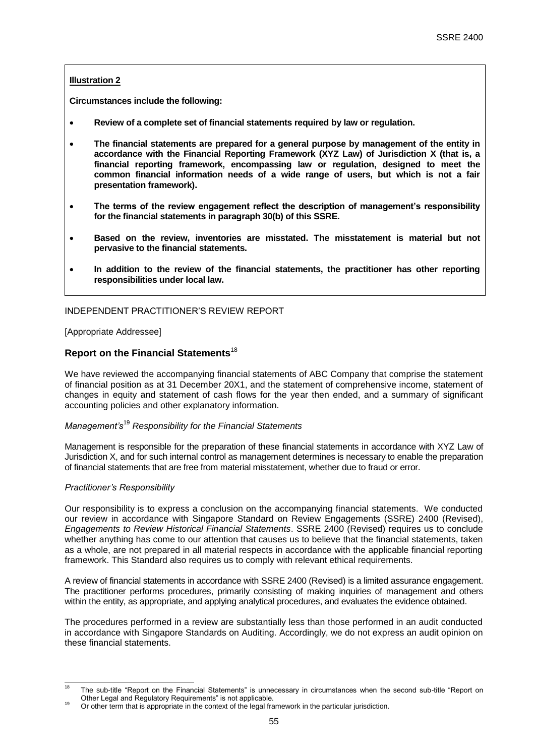### **Illustration 2**

**Circumstances include the following:**

- **Review of a complete set of financial statements required by law or regulation.**
- **The financial statements are prepared for a general purpose by management of the entity in accordance with the Financial Reporting Framework (XYZ Law) of Jurisdiction X (that is, a financial reporting framework, encompassing law or regulation, designed to meet the common financial information needs of a wide range of users, but which is not a fair presentation framework).**
- **The terms of the review engagement reflect the description of management's responsibility for the financial statements in paragraph 30(b) of this SSRE.**
- **Based on the review, inventories are misstated. The misstatement is material but not pervasive to the financial statements.**
- **In addition to the review of the financial statements, the practitioner has other reporting responsibilities under local law.**

#### INDEPENDENT PRACTITIONER'S REVIEW REPORT

[Appropriate Addressee]

# **Report on the Financial Statements**<sup>18</sup>

We have reviewed the accompanying financial statements of ABC Company that comprise the statement of financial position as at 31 December 20X1, and the statement of comprehensive income, statement of changes in equity and statement of cash flows for the year then ended, and a summary of significant accounting policies and other explanatory information.

# *Management's*<sup>19</sup> *Responsibility for the Financial Statements*

Management is responsible for the preparation of these financial statements in accordance with XYZ Law of Jurisdiction X, and for such internal control as management determines is necessary to enable the preparation of financial statements that are free from material misstatement, whether due to fraud or error.

#### *Practitioner's Responsibility*

Our responsibility is to express a conclusion on the accompanying financial statements. We conducted our review in accordance with Singapore Standard on Review Engagements (SSRE) 2400 (Revised), *Engagements to Review Historical Financial Statements*. SSRE 2400 (Revised) requires us to conclude whether anything has come to our attention that causes us to believe that the financial statements, taken as a whole, are not prepared in all material respects in accordance with the applicable financial reporting framework. This Standard also requires us to comply with relevant ethical requirements.

A review of financial statements in accordance with SSRE 2400 (Revised) is a limited assurance engagement. The practitioner performs procedures, primarily consisting of making inquiries of management and others within the entity, as appropriate, and applying analytical procedures, and evaluates the evidence obtained.

The procedures performed in a review are substantially less than those performed in an audit conducted in accordance with Singapore Standards on Auditing. Accordingly, we do not express an audit opinion on these financial statements.

 $18$ <sup>18</sup> The sub-title "Report on the Financial Statements" is unnecessary in circumstances when the second sub-title "Report on Other Legal and Regulatory Requirements" is not applicable.

<sup>&</sup>lt;sup>19</sup> Or other term that is appropriate in the context of the legal framework in the particular jurisdiction.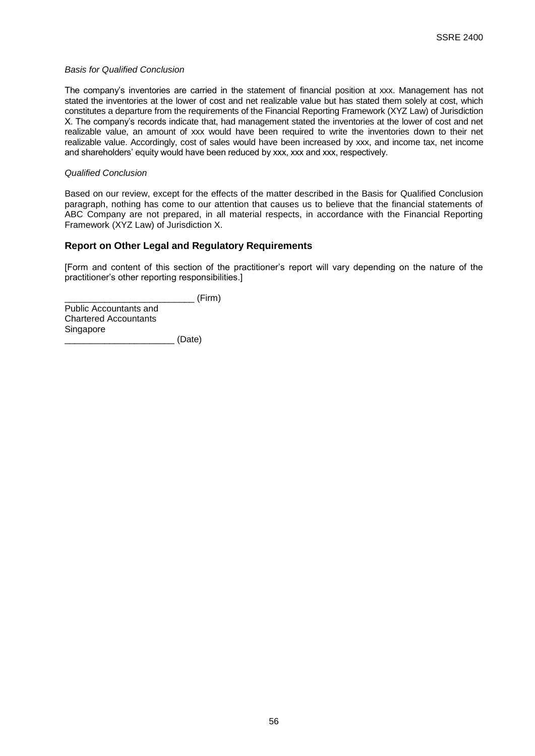#### *Basis for Qualified Conclusion*

The company's inventories are carried in the statement of financial position at xxx. Management has not stated the inventories at the lower of cost and net realizable value but has stated them solely at cost, which constitutes a departure from the requirements of the Financial Reporting Framework (XYZ Law) of Jurisdiction X. The company's records indicate that, had management stated the inventories at the lower of cost and net realizable value, an amount of xxx would have been required to write the inventories down to their net realizable value. Accordingly, cost of sales would have been increased by xxx, and income tax, net income and shareholders' equity would have been reduced by xxx, xxx and xxx, respectively.

#### *Qualified Conclusion*

Based on our review, except for the effects of the matter described in the Basis for Qualified Conclusion paragraph, nothing has come to our attention that causes us to believe that the financial statements of ABC Company are not prepared, in all material respects, in accordance with the Financial Reporting Framework (XYZ Law) of Jurisdiction X.

# **Report on Other Legal and Regulatory Requirements**

[Form and content of this section of the practitioner's report will vary depending on the nature of the practitioner's other reporting responsibilities.]

 $(Firm)$ 

Public Accountants and Chartered Accountants Singapore

\_\_\_\_\_\_\_\_\_\_\_\_\_\_\_\_\_\_\_\_\_\_ (Date)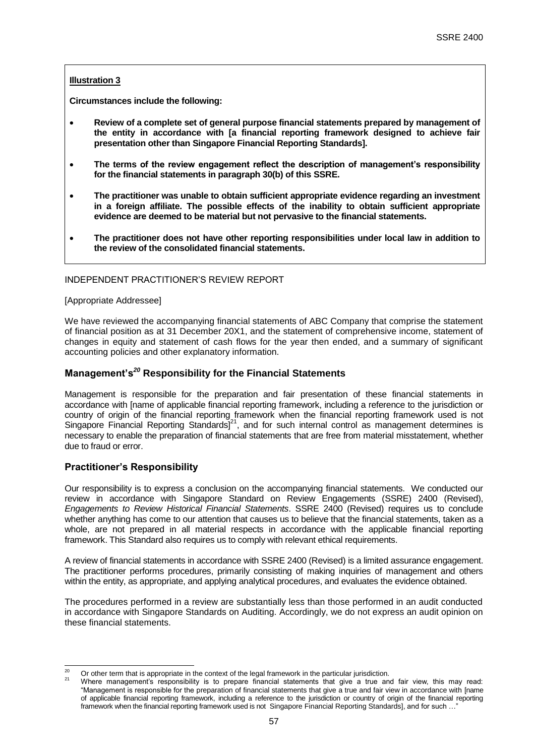# **Illustration 3**

**Circumstances include the following:**

- **Review of a complete set of general purpose financial statements prepared by management of the entity in accordance with [a financial reporting framework designed to achieve fair presentation other than Singapore Financial Reporting Standards].**
- **The terms of the review engagement reflect the description of management's responsibility for the financial statements in paragraph 30(b) of this SSRE.**
- **The practitioner was unable to obtain sufficient appropriate evidence regarding an investment in a foreign affiliate. The possible effects of the inability to obtain sufficient appropriate evidence are deemed to be material but not pervasive to the financial statements.**
- **The practitioner does not have other reporting responsibilities under local law in addition to the review of the consolidated financial statements.**

#### INDEPENDENT PRACTITIONER'S REVIEW REPORT

#### [Appropriate Addressee]

We have reviewed the accompanying financial statements of ABC Company that comprise the statement of financial position as at 31 December 20X1, and the statement of comprehensive income, statement of changes in equity and statement of cash flows for the year then ended, and a summary of significant accounting policies and other explanatory information.

# **Management's***<sup>20</sup>* **Responsibility for the Financial Statements**

Management is responsible for the preparation and fair presentation of these financial statements in accordance with [name of applicable financial reporting framework, including a reference to the jurisdiction or country of origin of the financial reporting framework when the financial reporting framework used is not Singapore Financial Reporting Standards $j^{21}$ , and for such internal control as management determines is necessary to enable the preparation of financial statements that are free from material misstatement, whether due to fraud or error.

# **Practitioner's Responsibility**

Our responsibility is to express a conclusion on the accompanying financial statements. We conducted our review in accordance with Singapore Standard on Review Engagements (SSRE) 2400 (Revised), *Engagements to Review Historical Financial Statements*. SSRE 2400 (Revised) requires us to conclude whether anything has come to our attention that causes us to believe that the financial statements, taken as a whole, are not prepared in all material respects in accordance with the applicable financial reporting framework. This Standard also requires us to comply with relevant ethical requirements.

A review of financial statements in accordance with SSRE 2400 (Revised) is a limited assurance engagement. The practitioner performs procedures, primarily consisting of making inquiries of management and others within the entity, as appropriate, and applying analytical procedures, and evaluates the evidence obtained.

The procedures performed in a review are substantially less than those performed in an audit conducted in accordance with Singapore Standards on Auditing. Accordingly, we do not express an audit opinion on these financial statements.

 $20$ <sup>20</sup> Or other term that is appropriate in the context of the legal framework in the particular jurisdiction.

Where management's responsibility is to prepare financial statements that give a true and fair view, this may read: "Management is responsible for the preparation of financial statements that give a true and fair view in accordance with [name of applicable financial reporting framework, including a reference to the jurisdiction or country of origin of the financial reporting framework when the financial reporting framework used is not Singapore Financial Reporting Standards], and for such ...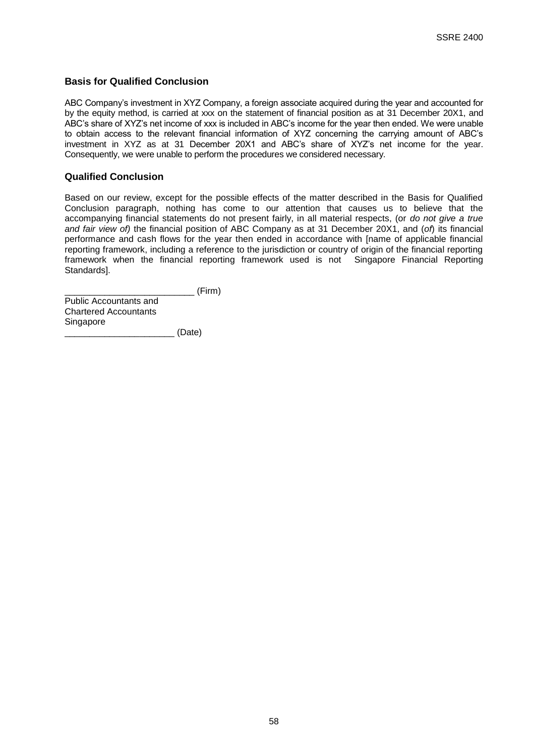# **Basis for Qualified Conclusion**

ABC Company's investment in XYZ Company, a foreign associate acquired during the year and accounted for by the equity method, is carried at xxx on the statement of financial position as at 31 December 20X1, and ABC's share of XYZ's net income of xxx is included in ABC's income for the year then ended. We were unable to obtain access to the relevant financial information of XYZ concerning the carrying amount of ABC's investment in XYZ as at 31 December 20X1 and ABC's share of XYZ's net income for the year. Consequently, we were unable to perform the procedures we considered necessary.

# **Qualified Conclusion**

Based on our review, except for the possible effects of the matter described in the Basis for Qualified Conclusion paragraph, nothing has come to our attention that causes us to believe that the accompanying financial statements do not present fairly, in all material respects, (or *do not give a true and fair view of)* the financial position of ABC Company as at 31 December 20X1, and (*of*) its financial performance and cash flows for the year then ended in accordance with [name of applicable financial reporting framework, including a reference to the jurisdiction or country of origin of the financial reporting framework when the financial reporting framework used is not Singapore Financial Reporting Standards].

 $\_$  (Firm)

Public Accountants and Chartered Accountants Singapore

\_\_\_\_\_\_\_\_\_\_\_\_\_\_\_\_\_\_\_\_\_\_ (Date)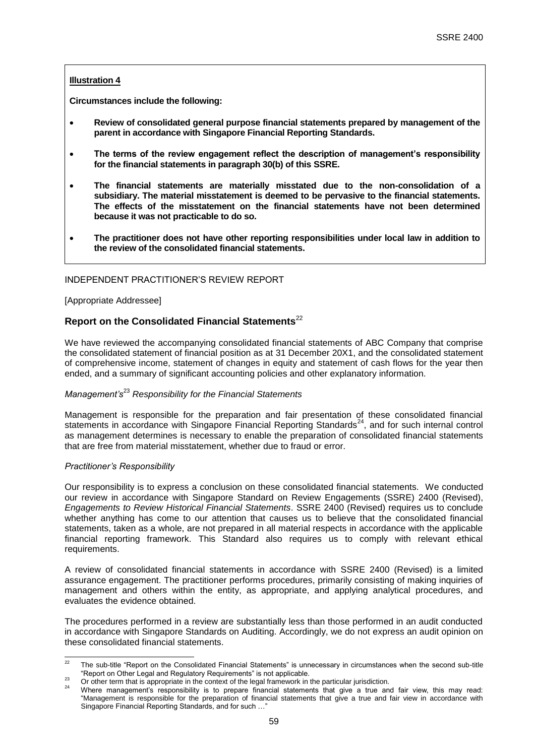### **Illustration 4**

**Circumstances include the following:**

- **Review of consolidated general purpose financial statements prepared by management of the parent in accordance with Singapore Financial Reporting Standards.**
- **The terms of the review engagement reflect the description of management's responsibility for the financial statements in paragraph 30(b) of this SSRE.**
- **The financial statements are materially misstated due to the non-consolidation of a subsidiary. The material misstatement is deemed to be pervasive to the financial statements. The effects of the misstatement on the financial statements have not been determined because it was not practicable to do so.**
- **The practitioner does not have other reporting responsibilities under local law in addition to the review of the consolidated financial statements.**

#### INDEPENDENT PRACTITIONER'S REVIEW REPORT

#### [Appropriate Addressee]

# **Report on the Consolidated Financial Statements**<sup>22</sup>

We have reviewed the accompanying consolidated financial statements of ABC Company that comprise the consolidated statement of financial position as at 31 December 20X1, and the consolidated statement of comprehensive income, statement of changes in equity and statement of cash flows for the year then ended, and a summary of significant accounting policies and other explanatory information.

# *Management's*<sup>23</sup> *Responsibility for the Financial Statements*

Management is responsible for the preparation and fair presentation of these consolidated financial statements in accordance with Singapore Financial Reporting Standards $^{24}$ , and for such internal control as management determines is necessary to enable the preparation of consolidated financial statements that are free from material misstatement, whether due to fraud or error.

#### *Practitioner's Responsibility*

Our responsibility is to express a conclusion on these consolidated financial statements. We conducted our review in accordance with Singapore Standard on Review Engagements (SSRE) 2400 (Revised), *Engagements to Review Historical Financial Statements*. SSRE 2400 (Revised) requires us to conclude whether anything has come to our attention that causes us to believe that the consolidated financial statements, taken as a whole, are not prepared in all material respects in accordance with the applicable financial reporting framework. This Standard also requires us to comply with relevant ethical requirements.

A review of consolidated financial statements in accordance with SSRE 2400 (Revised) is a limited assurance engagement. The practitioner performs procedures, primarily consisting of making inquiries of management and others within the entity, as appropriate, and applying analytical procedures, and evaluates the evidence obtained.

The procedures performed in a review are substantially less than those performed in an audit conducted in accordance with Singapore Standards on Auditing. Accordingly, we do not express an audit opinion on these consolidated financial statements.

 $22$ <sup>22</sup> The sub-title "Report on the Consolidated Financial Statements" is unnecessary in circumstances when the second sub-title "Report on Other Legal and Regulatory Requirements" is not applicable.

<sup>&</sup>lt;sup>23</sup> Or other term that is appropriate in the context of the legal framework in the particular jurisdiction.

<sup>24</sup> Where management's responsibility is to prepare financial statements that give a true and fair view, this may read: "Management is responsible for the preparation of financial statements that give a true and fair view in accordance with Singapore Financial Reporting Standards, and for such …"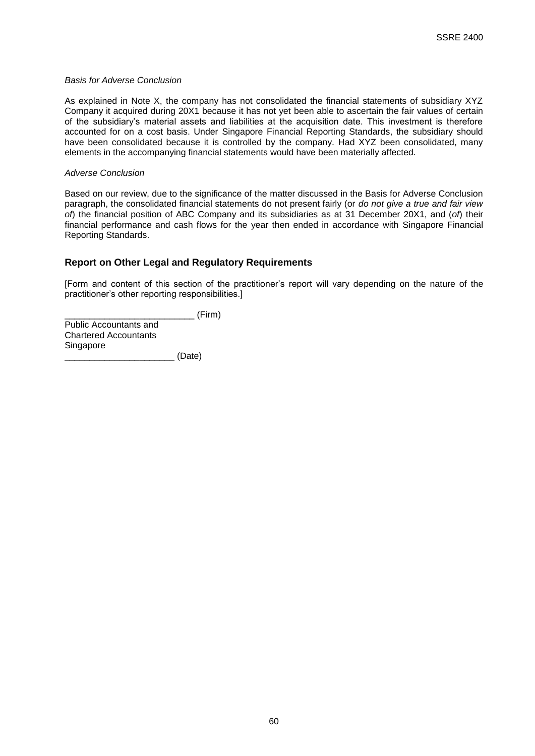#### *Basis for Adverse Conclusion*

As explained in Note X, the company has not consolidated the financial statements of subsidiary XYZ Company it acquired during 20X1 because it has not yet been able to ascertain the fair values of certain of the subsidiary's material assets and liabilities at the acquisition date. This investment is therefore accounted for on a cost basis. Under Singapore Financial Reporting Standards, the subsidiary should have been consolidated because it is controlled by the company. Had XYZ been consolidated, many elements in the accompanying financial statements would have been materially affected.

#### *Adverse Conclusion*

Based on our review, due to the significance of the matter discussed in the Basis for Adverse Conclusion paragraph, the consolidated financial statements do not present fairly (or *do not give a true and fair view of*) the financial position of ABC Company and its subsidiaries as at 31 December 20X1, and (*of*) their financial performance and cash flows for the year then ended in accordance with Singapore Financial Reporting Standards.

# **Report on Other Legal and Regulatory Requirements**

[Form and content of this section of the practitioner's report will vary depending on the nature of the practitioner's other reporting responsibilities.]

 $(Firm)$ Public Accountants and Chartered Accountants Singapore \_\_\_\_\_\_\_\_\_\_\_\_\_\_\_\_\_\_\_\_\_\_ (Date)

60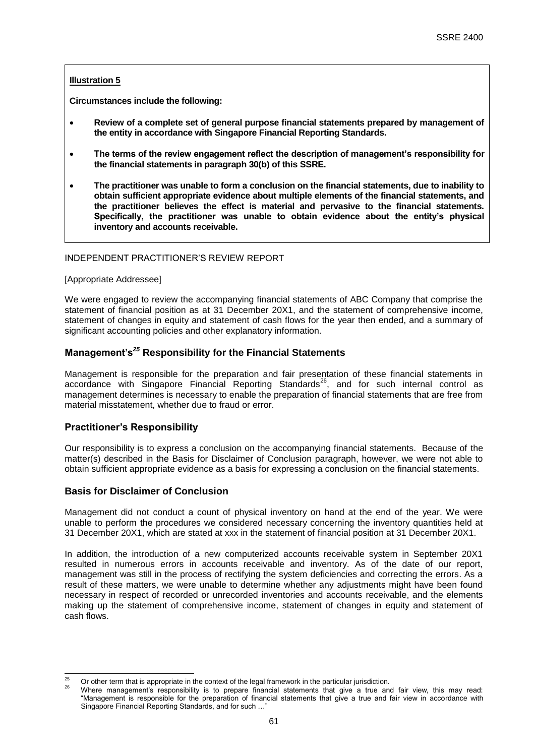# **Illustration 5**

**Circumstances include the following:**

- **Review of a complete set of general purpose financial statements prepared by management of the entity in accordance with Singapore Financial Reporting Standards.**
- **The terms of the review engagement reflect the description of management's responsibility for the financial statements in paragraph 30(b) of this SSRE.**
- **The practitioner was unable to form a conclusion on the financial statements, due to inability to obtain sufficient appropriate evidence about multiple elements of the financial statements, and the practitioner believes the effect is material and pervasive to the financial statements. Specifically, the practitioner was unable to obtain evidence about the entity's physical inventory and accounts receivable.**

#### INDEPENDENT PRACTITIONER'S REVIEW REPORT

#### [Appropriate Addressee]

We were engaged to review the accompanying financial statements of ABC Company that comprise the statement of financial position as at 31 December 20X1, and the statement of comprehensive income, statement of changes in equity and statement of cash flows for the year then ended, and a summary of significant accounting policies and other explanatory information.

# **Management's***<sup>25</sup>* **Responsibility for the Financial Statements**

Management is responsible for the preparation and fair presentation of these financial statements in accordance with Singapore Financial Reporting Standards<sup>26</sup>, and for such internal control as management determines is necessary to enable the preparation of financial statements that are free from material misstatement, whether due to fraud or error.

### **Practitioner's Responsibility**

Our responsibility is to express a conclusion on the accompanying financial statements. Because of the matter(s) described in the Basis for Disclaimer of Conclusion paragraph, however, we were not able to obtain sufficient appropriate evidence as a basis for expressing a conclusion on the financial statements.

# **Basis for Disclaimer of Conclusion**

Management did not conduct a count of physical inventory on hand at the end of the year. We were unable to perform the procedures we considered necessary concerning the inventory quantities held at 31 December 20X1, which are stated at xxx in the statement of financial position at 31 December 20X1.

In addition, the introduction of a new computerized accounts receivable system in September 20X1 resulted in numerous errors in accounts receivable and inventory. As of the date of our report, management was still in the process of rectifying the system deficiencies and correcting the errors. As a result of these matters, we were unable to determine whether any adjustments might have been found necessary in respect of recorded or unrecorded inventories and accounts receivable, and the elements making up the statement of comprehensive income, statement of changes in equity and statement of cash flows.

 $25$ <sup>25</sup> Or other term that is appropriate in the context of the legal framework in the particular jurisdiction.

Where management's responsibility is to prepare financial statements that give a true and fair view, this may read: "Management is responsible for the preparation of financial statements that give a true and fair view in accordance with Singapore Financial Reporting Standards, and for such …"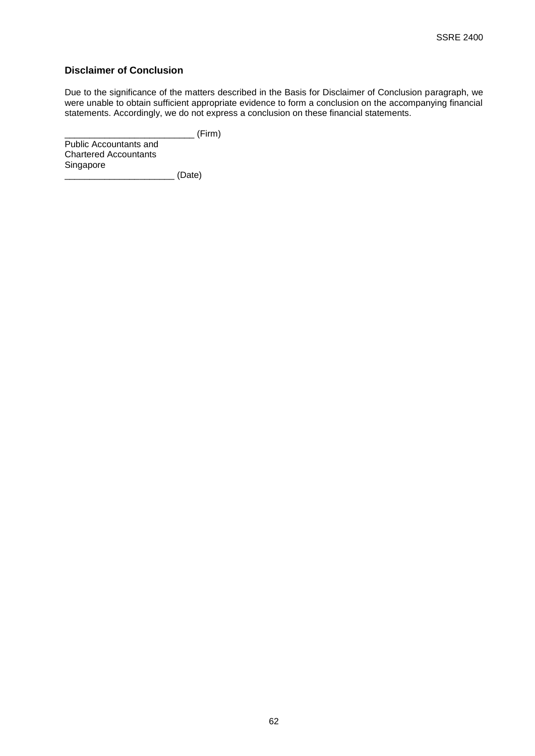# **Disclaimer of Conclusion**

Due to the significance of the matters described in the Basis for Disclaimer of Conclusion paragraph, we were unable to obtain sufficient appropriate evidence to form a conclusion on the accompanying financial statements. Accordingly, we do not express a conclusion on these financial statements.

 $(Firm)$ Public Accountants and Chartered Accountants

Singapore \_\_\_\_\_\_\_\_\_\_\_\_\_\_\_\_\_\_\_\_\_\_ (Date)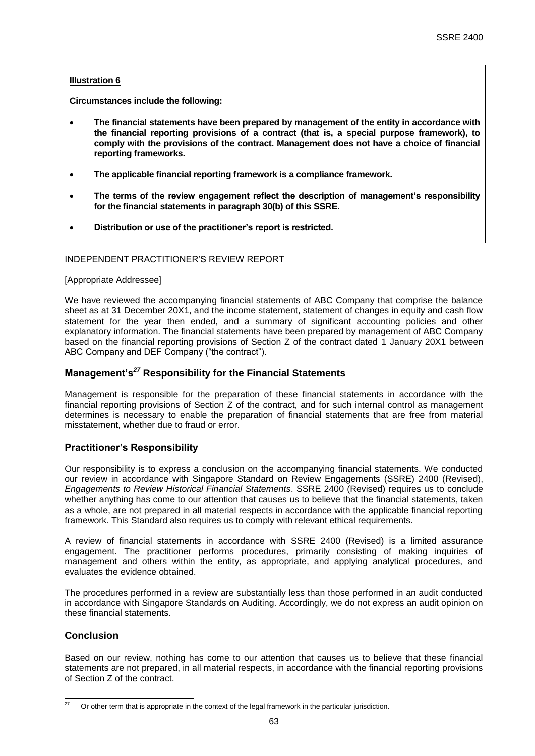# **Illustration 6**

**Circumstances include the following:**

- **The financial statements have been prepared by management of the entity in accordance with the financial reporting provisions of a contract (that is, a special purpose framework), to comply with the provisions of the contract. Management does not have a choice of financial reporting frameworks.**
- **The applicable financial reporting framework is a compliance framework.**
- **The terms of the review engagement reflect the description of management's responsibility for the financial statements in paragraph 30(b) of this SSRE.**
- **Distribution or use of the practitioner's report is restricted.**

INDEPENDENT PRACTITIONER'S REVIEW REPORT

#### [Appropriate Addressee]

We have reviewed the accompanying financial statements of ABC Company that comprise the balance sheet as at 31 December 20X1, and the income statement, statement of changes in equity and cash flow statement for the year then ended, and a summary of significant accounting policies and other explanatory information. The financial statements have been prepared by management of ABC Company based on the financial reporting provisions of Section Z of the contract dated 1 January 20X1 between ABC Company and DEF Company ("the contract").

# **Management's***<sup>27</sup>* **Responsibility for the Financial Statements**

Management is responsible for the preparation of these financial statements in accordance with the financial reporting provisions of Section Z of the contract, and for such internal control as management determines is necessary to enable the preparation of financial statements that are free from material misstatement, whether due to fraud or error.

### **Practitioner's Responsibility**

Our responsibility is to express a conclusion on the accompanying financial statements. We conducted our review in accordance with Singapore Standard on Review Engagements (SSRE) 2400 (Revised), *Engagements to Review Historical Financial Statements*. SSRE 2400 (Revised) requires us to conclude whether anything has come to our attention that causes us to believe that the financial statements, taken as a whole, are not prepared in all material respects in accordance with the applicable financial reporting framework. This Standard also requires us to comply with relevant ethical requirements.

A review of financial statements in accordance with SSRE 2400 (Revised) is a limited assurance engagement. The practitioner performs procedures, primarily consisting of making inquiries of management and others within the entity, as appropriate, and applying analytical procedures, and evaluates the evidence obtained.

The procedures performed in a review are substantially less than those performed in an audit conducted in accordance with Singapore Standards on Auditing. Accordingly, we do not express an audit opinion on these financial statements.

# **Conclusion**

Based on our review, nothing has come to our attention that causes us to believe that these financial statements are not prepared, in all material respects, in accordance with the financial reporting provisions of Section Z of the contract.

 $\overline{27}$ <sup>27</sup> Or other term that is appropriate in the context of the legal framework in the particular jurisdiction.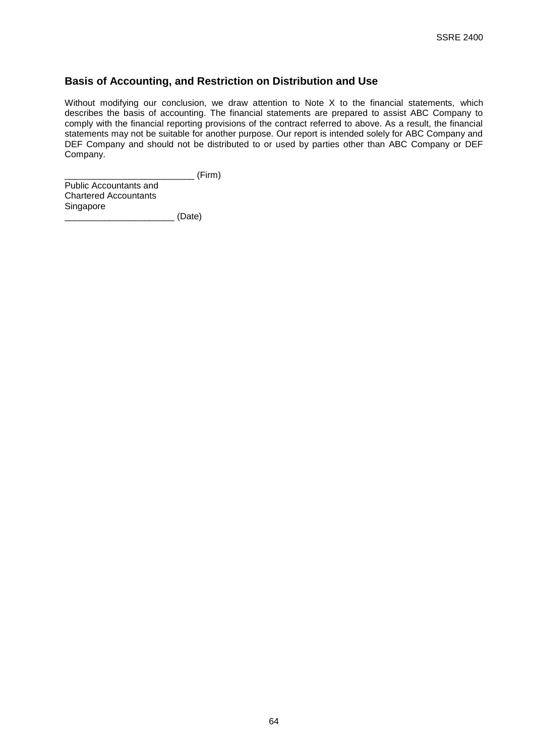# **Basis of Accounting, and Restriction on Distribution and Use**

Without modifying our conclusion, we draw attention to Note X to the financial statements, which describes the basis of accounting. The financial statements are prepared to assist ABC Company to comply with the financial reporting provisions of the contract referred to above. As a result, the financial statements may not be suitable for another purpose. Our report is intended solely for ABC Company and DEF Company and should not be distributed to or used by parties other than ABC Company or DEF Company.

 $\_$  (Firm) Public Accountants and Chartered Accountants Singapore \_\_\_\_\_\_\_\_\_\_\_\_\_\_\_\_\_\_\_\_\_\_ (Date)

64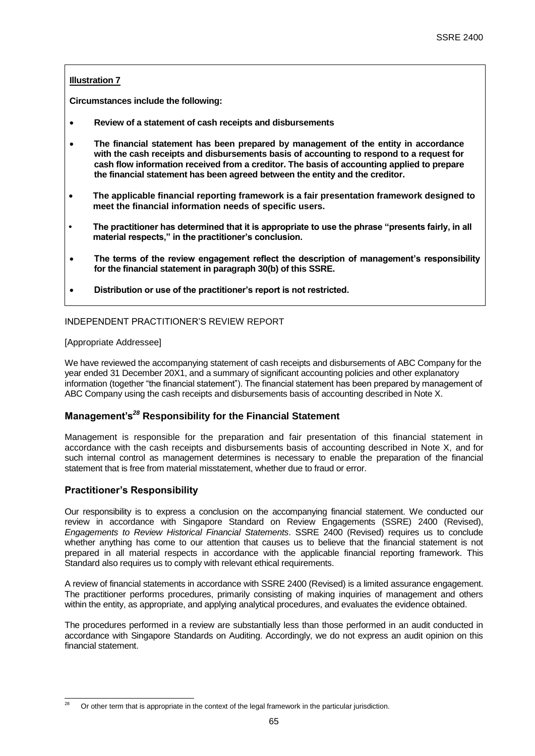# **Illustration 7**

**Circumstances include the following:**

- **Review of a statement of cash receipts and disbursements**
- **The financial statement has been prepared by management of the entity in accordance with the cash receipts and disbursements basis of accounting to respond to a request for cash flow information received from a creditor. The basis of accounting applied to prepare the financial statement has been agreed between the entity and the creditor.**
- **The applicable financial reporting framework is a fair presentation framework designed to meet the financial information needs of specific users.**
- **• The practitioner has determined that it is appropriate to use the phrase "presents fairly, in all material respects," in the practitioner's conclusion.**
- **The terms of the review engagement reflect the description of management's responsibility for the financial statement in paragraph 30(b) of this SSRE.**
- **Distribution or use of the practitioner's report is not restricted.**

### INDEPENDENT PRACTITIONER'S REVIEW REPORT

### [Appropriate Addressee]

We have reviewed the accompanying statement of cash receipts and disbursements of ABC Company for the year ended 31 December 20X1, and a summary of significant accounting policies and other explanatory information (together "the financial statement"). The financial statement has been prepared by management of ABC Company using the cash receipts and disbursements basis of accounting described in Note X.

# **Management's***<sup>28</sup>* **Responsibility for the Financial Statement**

Management is responsible for the preparation and fair presentation of this financial statement in accordance with the cash receipts and disbursements basis of accounting described in Note X, and for such internal control as management determines is necessary to enable the preparation of the financial statement that is free from material misstatement, whether due to fraud or error.

# **Practitioner's Responsibility**

Our responsibility is to express a conclusion on the accompanying financial statement. We conducted our review in accordance with Singapore Standard on Review Engagements (SSRE) 2400 (Revised), *Engagements to Review Historical Financial Statements*. SSRE 2400 (Revised) requires us to conclude whether anything has come to our attention that causes us to believe that the financial statement is not prepared in all material respects in accordance with the applicable financial reporting framework. This Standard also requires us to comply with relevant ethical requirements.

A review of financial statements in accordance with SSRE 2400 (Revised) is a limited assurance engagement. The practitioner performs procedures, primarily consisting of making inquiries of management and others within the entity, as appropriate, and applying analytical procedures, and evaluates the evidence obtained.

The procedures performed in a review are substantially less than those performed in an audit conducted in accordance with Singapore Standards on Auditing. Accordingly, we do not express an audit opinion on this financial statement.

<sup>28</sup> <sup>28</sup> Or other term that is appropriate in the context of the legal framework in the particular jurisdiction.